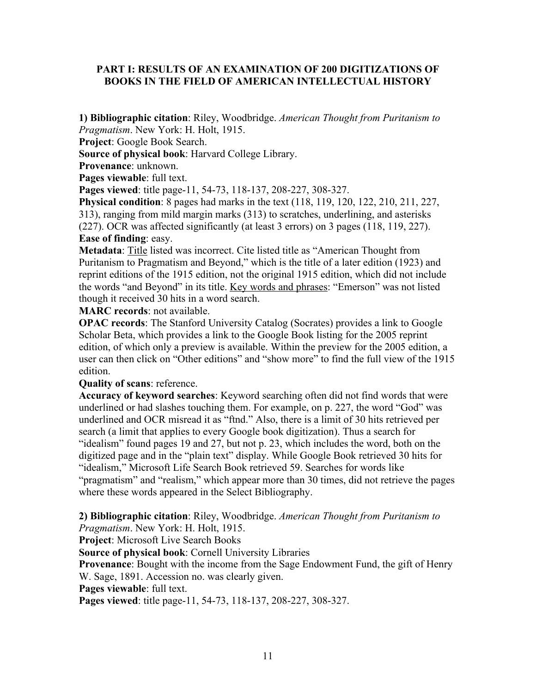## **PART I: RESULTS OF AN EXAMINATION OF 200 DIGITIZATIONS OF BOOKS IN THE FIELD OF AMERICAN INTELLECTUAL HISTORY**

**1) Bibliographic citation**: Riley, Woodbridge. *American Thought from Puritanism to Pragmatism*. New York: H. Holt, 1915.

**Project**: Google Book Search.

**Source of physical book**: Harvard College Library.

**Provenance**: unknown.

Pages viewable: full text.

**Pages viewed**: title page-11, 54-73, 118-137, 208-227, 308-327.

**Physical condition**: 8 pages had marks in the text (118, 119, 120, 122, 210, 211, 227, 313), ranging from mild margin marks (313) to scratches, underlining, and asterisks (227). OCR was affected significantly (at least 3 errors) on 3 pages (118, 119, 227). **Ease of finding**: easy.

**Metadata**: Title listed was incorrect. Cite listed title as "American Thought from Puritanism to Pragmatism and Beyond," which is the title of a later edition (1923) and reprint editions of the 1915 edition, not the original 1915 edition, which did not include the words "and Beyond" in its title. Key words and phrases: "Emerson" was not listed though it received 30 hits in a word search.

**MARC records**: not available.

**OPAC records**: The Stanford University Catalog (Socrates) provides a link to Google Scholar Beta, which provides a link to the Google Book listing for the 2005 reprint edition, of which only a preview is available. Within the preview for the 2005 edition, a user can then click on "Other editions" and "show more" to find the full view of the 1915 edition.

#### **Quality of scans**: reference.

**Accuracy of keyword searches**: Keyword searching often did not find words that were underlined or had slashes touching them. For example, on p. 227, the word "God" was underlined and OCR misread it as "ftnd." Also, there is a limit of 30 hits retrieved per search (a limit that applies to every Google book digitization). Thus a search for "idealism" found pages 19 and 27, but not p. 23, which includes the word, both on the digitized page and in the "plain text" display. While Google Book retrieved 30 hits for "idealism," Microsoft Life Search Book retrieved 59. Searches for words like "pragmatism" and "realism," which appear more than 30 times, did not retrieve the pages where these words appeared in the Select Bibliography.

**2) Bibliographic citation**: Riley, Woodbridge. *American Thought from Puritanism to* 

*Pragmatism*. New York: H. Holt, 1915.

**Project**: Microsoft Live Search Books

**Source of physical book**: Cornell University Libraries

**Provenance**: Bought with the income from the Sage Endowment Fund, the gift of Henry W. Sage, 1891. Accession no. was clearly given.

**Pages viewable**: full text.

**Pages viewed**: title page-11, 54-73, 118-137, 208-227, 308-327.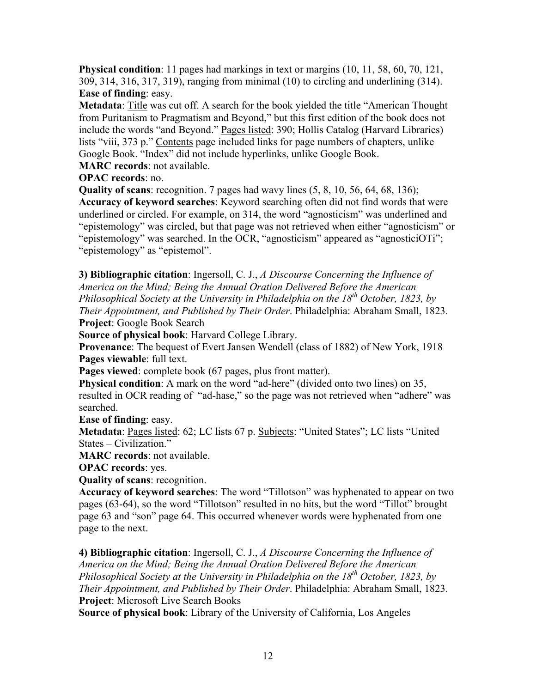**Physical condition**: 11 pages had markings in text or margins (10, 11, 58, 60, 70, 121, 309, 314, 316, 317, 319), ranging from minimal (10) to circling and underlining (314). **Ease of finding**: easy.

**Metadata**: Title was cut off. A search for the book yielded the title "American Thought from Puritanism to Pragmatism and Beyond," but this first edition of the book does not include the words "and Beyond." Pages listed: 390; Hollis Catalog (Harvard Libraries) lists "viii, 373 p." Contents page included links for page numbers of chapters, unlike Google Book. "Index" did not include hyperlinks, unlike Google Book.

**MARC records**: not available.

**OPAC records**: no.

**Quality of scans**: recognition. 7 pages had wavy lines (5, 8, 10, 56, 64, 68, 136);

**Accuracy of keyword searches**: Keyword searching often did not find words that were underlined or circled. For example, on 314, the word "agnosticism" was underlined and "epistemology" was circled, but that page was not retrieved when either "agnosticism" or "epistemology" was searched. In the OCR, "agnosticism" appeared as "agnosticiOTi"; "epistemology" as "epistemol".

**3) Bibliographic citation**: Ingersoll, C. J., *A Discourse Concerning the Influence of America on the Mind; Being the Annual Oration Delivered Before the American Philosophical Society at the University in Philadelphia on the 18<sup>th</sup> October, 1823, by Their Appointment, and Published by Their Order*. Philadelphia: Abraham Small, 1823. **Project**: Google Book Search

**Source of physical book**: Harvard College Library.

**Provenance**: The bequest of Evert Jansen Wendell (class of 1882) of New York, 1918 **Pages viewable**: full text.

**Pages viewed**: complete book (67 pages, plus front matter).

**Physical condition**: A mark on the word "ad-here" (divided onto two lines) on 35, resulted in OCR reading of "ad-hase," so the page was not retrieved when "adhere" was searched.

**Ease of finding**: easy.

**Metadata**: Pages listed: 62; LC lists 67 p. Subjects: "United States"; LC lists "United States – Civilization."

**MARC records**: not available.

**OPAC records**: yes.

**Quality of scans**: recognition.

**Accuracy of keyword searches**: The word "Tillotson" was hyphenated to appear on two pages (63-64), so the word "Tillotson" resulted in no hits, but the word "Tillot" brought page 63 and "son" page 64. This occurred whenever words were hyphenated from one page to the next.

**4) Bibliographic citation**: Ingersoll, C. J., *A Discourse Concerning the Influence of America on the Mind; Being the Annual Oration Delivered Before the American Philosophical Society at the University in Philadelphia on the 18th October, 1823, by Their Appointment, and Published by Their Order*. Philadelphia: Abraham Small, 1823. **Project**: Microsoft Live Search Books

**Source of physical book**: Library of the University of California, Los Angeles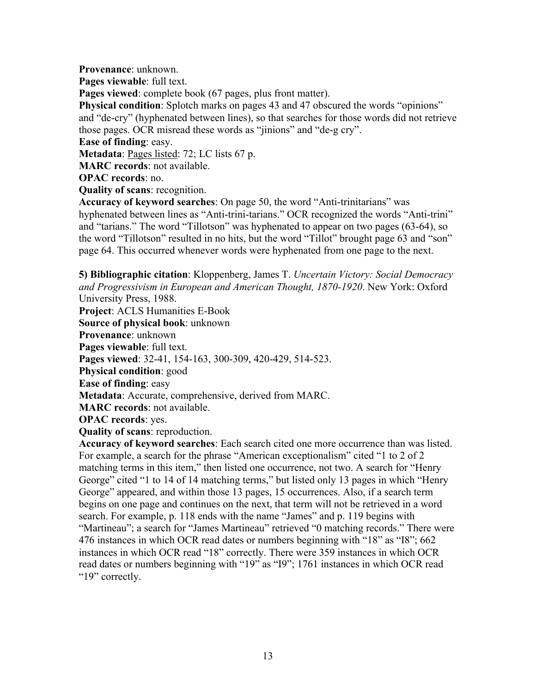**Provenance**: unknown.

**Pages viewable**: full text.

Pages viewed: complete book (67 pages, plus front matter).

**Physical condition**: Splotch marks on pages 43 and 47 obscured the words "opinions" and "de-cry" (hyphenated between lines), so that searches for those words did not retrieve those pages. OCR misread these words as "jinions" and "de-g cry".

**Ease of finding**: easy.

**Metadata**: Pages listed: 72; LC lists 67 p.

**MARC records**: not available.

**OPAC records**: no.

**Quality of scans**: recognition.

**Accuracy of keyword searches**: On page 50, the word "Anti-trinitarians" was hyphenated between lines as "Anti-trini-tarians." OCR recognized the words "Anti-trini" and "tarians." The word "Tillotson" was hyphenated to appear on two pages (63-64), so the word "Tillotson" resulted in no hits, but the word "Tillot" brought page 63 and "son" page 64. This occurred whenever words were hyphenated from one page to the next.

**5) Bibliographic citation**: Kloppenberg, James T. *Uncertain Victory: Social Democracy and Progressivism in European and American Thought, 1870-1920*. New York: Oxford University Press, 1988.

**Project**: ACLS Humanities E-Book **Source of physical book**: unknown **Provenance**: unknown **Pages viewable**: full text. **Pages viewed**: 32-41, 154-163, 300-309, 420-429, 514-523. **Physical condition**: good **Ease of finding**: easy **Metadata**: Accurate, comprehensive, derived from MARC. **MARC records**: not available. **OPAC records**: yes. **Quality of scans**: reproduction.

**Accuracy of keyword searches**: Each search cited one more occurrence than was listed. For example, a search for the phrase "American exceptionalism" cited "1 to 2 of 2 matching terms in this item," then listed one occurrence, not two. A search for "Henry George" cited "1 to 14 of 14 matching terms," but listed only 13 pages in which "Henry George" appeared, and within those 13 pages, 15 occurrences. Also, if a search term begins on one page and continues on the next, that term will not be retrieved in a word search. For example, p. 118 ends with the name "James" and p. 119 begins with "Martineau"; a search for "James Martineau" retrieved "0 matching records." There were 476 instances in which OCR read dates or numbers beginning with "18" as "I8"; 662 instances in which OCR read "18" correctly. There were 359 instances in which OCR read dates or numbers beginning with "19" as "I9"; 1761 instances in which OCR read "19" correctly.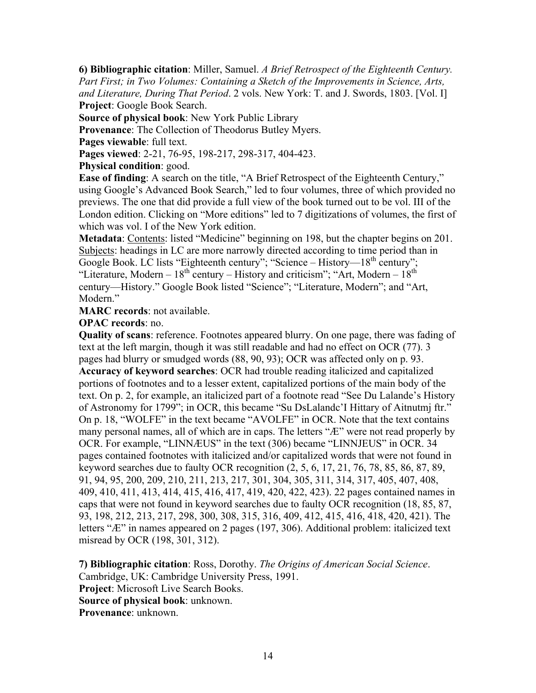**6) Bibliographic citation**: Miller, Samuel. *A Brief Retrospect of the Eighteenth Century. Part First; in Two Volumes: Containing a Sketch of the Improvements in Science, Arts, and Literature, During That Period*. 2 vols. New York: T. and J. Swords, 1803. [Vol. I] **Project**: Google Book Search.

**Source of physical book**: New York Public Library

**Provenance**: The Collection of Theodorus Butley Myers.

**Pages viewable**: full text.

**Pages viewed**: 2-21, 76-95, 198-217, 298-317, 404-423.

**Physical condition**: good.

**Ease of finding**: A search on the title, "A Brief Retrospect of the Eighteenth Century," using Google's Advanced Book Search," led to four volumes, three of which provided no previews. The one that did provide a full view of the book turned out to be vol. III of the London edition. Clicking on "More editions" led to 7 digitizations of volumes, the first of which was vol. I of the New York edition.

**Metadata**: Contents: listed "Medicine" beginning on 198, but the chapter begins on 201. Subjects: headings in LC are more narrowly directed according to time period than in Google Book. LC lists "Eighteenth century"; "Science – History—18<sup>th</sup> century"; "Literature, Modern –  $18<sup>th</sup>$  century – History and criticism"; "Art, Modern –  $18<sup>th</sup>$ century—History." Google Book listed "Science"; "Literature, Modern"; and "Art, Modern."

**MARC records**: not available.

**OPAC records**: no.

**Quality of scans**: reference. Footnotes appeared blurry. On one page, there was fading of text at the left margin, though it was still readable and had no effect on OCR (77). 3 pages had blurry or smudged words (88, 90, 93); OCR was affected only on p. 93. **Accuracy of keyword searches**: OCR had trouble reading italicized and capitalized portions of footnotes and to a lesser extent, capitalized portions of the main body of the text. On p. 2, for example, an italicized part of a footnote read "See Du Lalande's History of Astronomy for 1799"; in OCR, this became "Su DsLalandc'I Hittary of Aitnutmj ftr." On p. 18, "WOLFE" in the text became "AVOLFE" in OCR. Note that the text contains many personal names, all of which are in caps. The letters "Æ" were not read properly by OCR. For example, "LINNÆUS" in the text (306) became "LINNJEUS" in OCR. 34 pages contained footnotes with italicized and/or capitalized words that were not found in keyword searches due to faulty OCR recognition (2, 5, 6, 17, 21, 76, 78, 85, 86, 87, 89, 91, 94, 95, 200, 209, 210, 211, 213, 217, 301, 304, 305, 311, 314, 317, 405, 407, 408, 409, 410, 411, 413, 414, 415, 416, 417, 419, 420, 422, 423). 22 pages contained names in caps that were not found in keyword searches due to faulty OCR recognition (18, 85, 87, 93, 198, 212, 213, 217, 298, 300, 308, 315, 316, 409, 412, 415, 416, 418, 420, 421). The letters "Æ" in names appeared on 2 pages (197, 306). Additional problem: italicized text misread by OCR (198, 301, 312).

**7) Bibliographic citation**: Ross, Dorothy. *The Origins of American Social Science*. Cambridge, UK: Cambridge University Press, 1991. **Project**: Microsoft Live Search Books. **Source of physical book**: unknown. **Provenance**: unknown.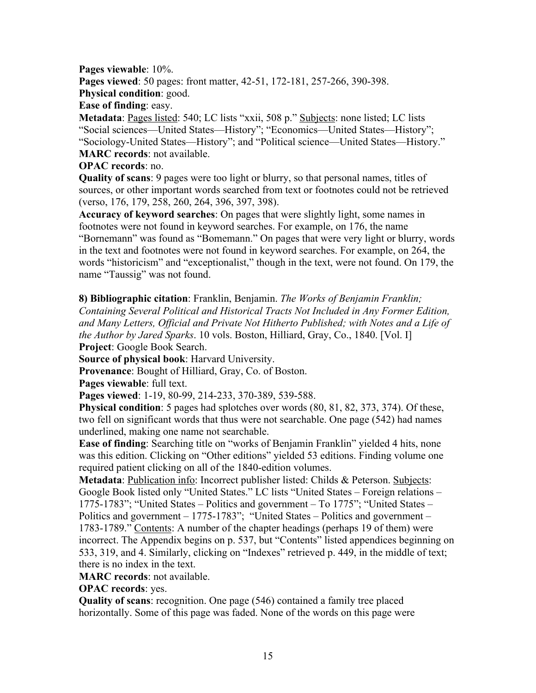**Pages viewable**: 10%. **Pages viewed**: 50 pages: front matter, 42-51, 172-181, 257-266, 390-398. **Physical condition**: good.

**Ease of finding**: easy.

**Metadata**: Pages listed: 540; LC lists "xxii, 508 p." Subjects: none listed; LC lists "Social sciences—United States—History"; "Economics—United States—History"; "Sociology-United States—History"; and "Political science—United States—History." **MARC records**: not available.

## **OPAC records**: no.

**Quality of scans**: 9 pages were too light or blurry, so that personal names, titles of sources, or other important words searched from text or footnotes could not be retrieved (verso, 176, 179, 258, 260, 264, 396, 397, 398).

**Accuracy of keyword searches**: On pages that were slightly light, some names in footnotes were not found in keyword searches. For example, on 176, the name "Bornemann" was found as "Bomemann." On pages that were very light or blurry, words in the text and footnotes were not found in keyword searches. For example, on 264, the words "historicism" and "exceptionalist," though in the text, were not found. On 179, the name "Taussig" was not found.

**8) Bibliographic citation**: Franklin, Benjamin. *The Works of Benjamin Franklin; Containing Several Political and Historical Tracts Not Included in Any Former Edition, and Many Letters, Official and Private Not Hitherto Published; with Notes and a Life of the Author by Jared Sparks*. 10 vols. Boston, Hilliard, Gray, Co., 1840. [Vol. I] **Project**: Google Book Search.

**Source of physical book**: Harvard University.

**Provenance**: Bought of Hilliard, Gray, Co. of Boston.

**Pages viewable**: full text.

**Pages viewed**: 1-19, 80-99, 214-233, 370-389, 539-588.

**Physical condition**: 5 pages had splotches over words (80, 81, 82, 373, 374). Of these, two fell on significant words that thus were not searchable. One page (542) had names underlined, making one name not searchable.

**Ease of finding**: Searching title on "works of Benjamin Franklin" yielded 4 hits, none was this edition. Clicking on "Other editions" yielded 53 editions. Finding volume one required patient clicking on all of the 1840-edition volumes.

**Metadata**: Publication info: Incorrect publisher listed: Childs & Peterson. Subjects: Google Book listed only "United States." LC lists "United States – Foreign relations – 1775-1783"; "United States – Politics and government – To 1775"; "United States – Politics and government – 1775-1783"; "United States – Politics and government – 1783-1789." Contents: A number of the chapter headings (perhaps 19 of them) were incorrect. The Appendix begins on p. 537, but "Contents" listed appendices beginning on 533, 319, and 4. Similarly, clicking on "Indexes" retrieved p. 449, in the middle of text; there is no index in the text.

**MARC records**: not available.

**OPAC records**: yes.

**Quality of scans**: recognition. One page (546) contained a family tree placed horizontally. Some of this page was faded. None of the words on this page were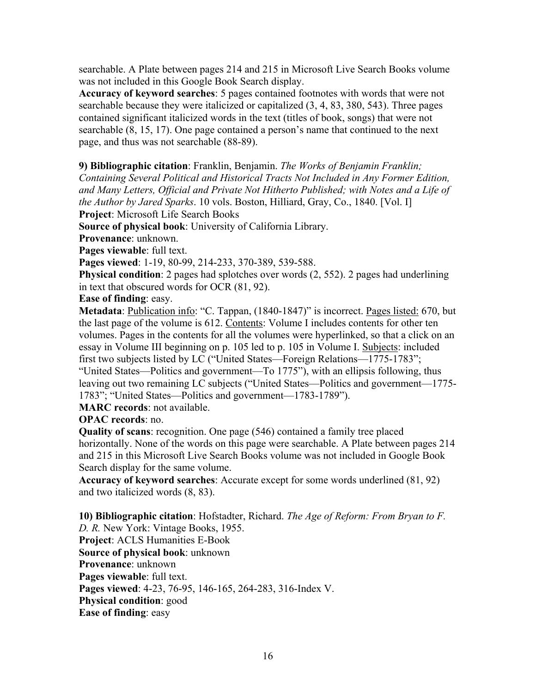searchable. A Plate between pages 214 and 215 in Microsoft Live Search Books volume was not included in this Google Book Search display.

**Accuracy of keyword searches**: 5 pages contained footnotes with words that were not searchable because they were italicized or capitalized (3, 4, 83, 380, 543). Three pages contained significant italicized words in the text (titles of book, songs) that were not searchable (8, 15, 17). One page contained a person's name that continued to the next page, and thus was not searchable (88-89).

**9) Bibliographic citation**: Franklin, Benjamin. *The Works of Benjamin Franklin; Containing Several Political and Historical Tracts Not Included in Any Former Edition, and Many Letters, Official and Private Not Hitherto Published; with Notes and a Life of the Author by Jared Sparks*. 10 vols. Boston, Hilliard, Gray, Co., 1840. [Vol. I] **Project**: Microsoft Life Search Books

**Source of physical book**: University of California Library.

**Provenance**: unknown.

**Pages viewable**: full text.

**Pages viewed**: 1-19, 80-99, 214-233, 370-389, 539-588.

**Physical condition**: 2 pages had splotches over words (2, 552). 2 pages had underlining in text that obscured words for OCR (81, 92).

**Ease of finding**: easy.

**Metadata**: Publication info: "C. Tappan, (1840-1847)" is incorrect. Pages listed: 670, but the last page of the volume is 612. Contents: Volume I includes contents for other ten volumes. Pages in the contents for all the volumes were hyperlinked, so that a click on an essay in Volume III beginning on p. 105 led to p. 105 in Volume I. Subjects: included first two subjects listed by LC ("United States—Foreign Relations—1775-1783"; "United States—Politics and government—To 1775"), with an ellipsis following, thus leaving out two remaining LC subjects ("United States—Politics and government—1775- 1783"; "United States—Politics and government—1783-1789").

**MARC records**: not available.

**OPAC records**: no.

**Quality of scans**: recognition. One page (546) contained a family tree placed horizontally. None of the words on this page were searchable. A Plate between pages 214 and 215 in this Microsoft Live Search Books volume was not included in Google Book Search display for the same volume.

**Accuracy of keyword searches**: Accurate except for some words underlined (81, 92) and two italicized words (8, 83).

**10) Bibliographic citation**: Hofstadter, Richard. *The Age of Reform: From Bryan to F. D. R.* New York: Vintage Books, 1955. **Project**: ACLS Humanities E-Book **Source of physical book**: unknown **Provenance**: unknown **Pages viewable**: full text. **Pages viewed**: 4-23, 76-95, 146-165, 264-283, 316-Index V. **Physical condition**: good **Ease of finding**: easy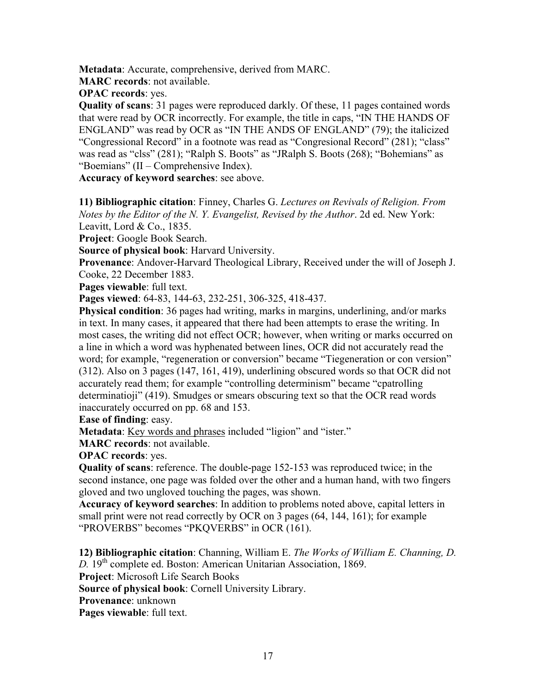**Metadata**: Accurate, comprehensive, derived from MARC.

**MARC records**: not available.

**OPAC records**: yes.

**Quality of scans**: 31 pages were reproduced darkly. Of these, 11 pages contained words that were read by OCR incorrectly. For example, the title in caps, "IN THE HANDS OF ENGLAND" was read by OCR as "IN THE ANDS OF ENGLAND" (79); the italicized "Congressional Record" in a footnote was read as "Congresional Record" (281); "class" was read as "clss" (281); "Ralph S. Boots" as "JRalph S. Boots (268); "Bohemians" as "Boemians" (II – Comprehensive Index).

**Accuracy of keyword searches**: see above.

**11) Bibliographic citation**: Finney, Charles G. *Lectures on Revivals of Religion. From Notes by the Editor of the N. Y. Evangelist, Revised by the Author*. 2d ed. New York: Leavitt, Lord & Co., 1835.

**Project**: Google Book Search.

**Source of physical book**: Harvard University.

**Provenance**: Andover-Harvard Theological Library, Received under the will of Joseph J. Cooke, 22 December 1883.

**Pages viewable**: full text.

**Pages viewed**: 64-83, 144-63, 232-251, 306-325, 418-437.

**Physical condition**: 36 pages had writing, marks in margins, underlining, and/or marks in text. In many cases, it appeared that there had been attempts to erase the writing. In most cases, the writing did not effect OCR; however, when writing or marks occurred on a line in which a word was hyphenated between lines, OCR did not accurately read the word; for example, "regeneration or conversion" became "Tiegeneration or con version" (312). Also on 3 pages (147, 161, 419), underlining obscured words so that OCR did not accurately read them; for example "controlling determinism" became "cpatrolling determinatioji" (419). Smudges or smears obscuring text so that the OCR read words inaccurately occurred on pp. 68 and 153.

**Ease of finding**: easy.

**Metadata**: Key words and phrases included "ligion" and "ister."

**MARC records**: not available.

**OPAC records**: yes.

**Quality of scans**: reference. The double-page 152-153 was reproduced twice; in the second instance, one page was folded over the other and a human hand, with two fingers gloved and two ungloved touching the pages, was shown.

**Accuracy of keyword searches**: In addition to problems noted above, capital letters in small print were not read correctly by OCR on 3 pages (64, 144, 161); for example "PROVERBS" becomes "PKQVERBS" in OCR (161).

**12) Bibliographic citation**: Channing, William E. *The Works of William E. Channing, D. D.* 19th complete ed. Boston: American Unitarian Association, 1869.

**Project**: Microsoft Life Search Books

**Source of physical book**: Cornell University Library.

**Provenance**: unknown

**Pages viewable**: full text.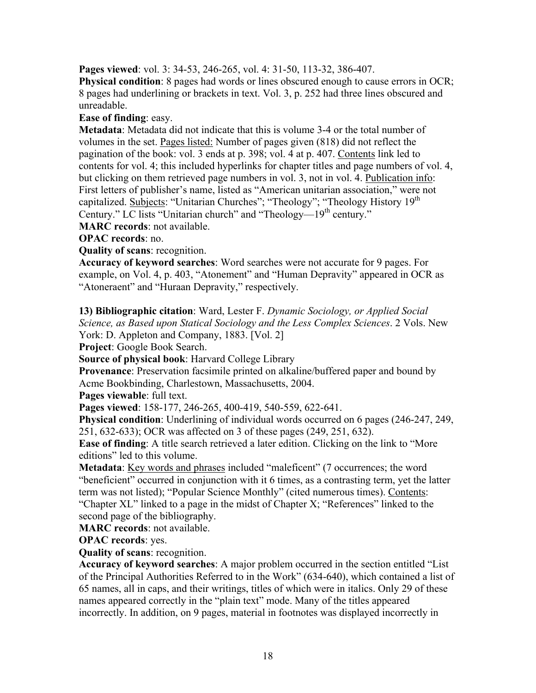**Pages viewed**: vol. 3: 34-53, 246-265, vol. 4: 31-50, 113-32, 386-407.

**Physical condition**: 8 pages had words or lines obscured enough to cause errors in OCR; 8 pages had underlining or brackets in text. Vol. 3, p. 252 had three lines obscured and unreadable.

**Ease of finding**: easy.

**Metadata**: Metadata did not indicate that this is volume 3-4 or the total number of volumes in the set. Pages listed: Number of pages given (818) did not reflect the pagination of the book: vol. 3 ends at p. 398; vol. 4 at p. 407. Contents link led to contents for vol. 4; this included hyperlinks for chapter titles and page numbers of vol. 4, but clicking on them retrieved page numbers in vol. 3, not in vol. 4. Publication info: First letters of publisher's name, listed as "American unitarian association," were not capitalized. Subjects: "Unitarian Churches"; "Theology"; "Theology History 19<sup>th</sup> Century." LC lists "Unitarian church" and "Theology—19<sup>th</sup> century."

**MARC records**: not available.

**OPAC records**: no.

**Quality of scans**: recognition.

**Accuracy of keyword searches**: Word searches were not accurate for 9 pages. For example, on Vol. 4, p. 403, "Atonement" and "Human Depravity" appeared in OCR as "Atoneraent" and "Huraan Depravity," respectively.

**13) Bibliographic citation**: Ward, Lester F. *Dynamic Sociology, or Applied Social Science, as Based upon Statical Sociology and the Less Complex Sciences*. 2 Vols. New York: D. Appleton and Company, 1883. [Vol. 2]

**Project**: Google Book Search.

**Source of physical book**: Harvard College Library

**Provenance**: Preservation facsimile printed on alkaline/buffered paper and bound by Acme Bookbinding, Charlestown, Massachusetts, 2004.

**Pages viewable**: full text.

**Pages viewed**: 158-177, 246-265, 400-419, 540-559, 622-641.

**Physical condition**: Underlining of individual words occurred on 6 pages (246-247, 249, 251, 632-633); OCR was affected on 3 of these pages (249, 251, 632).

**Ease of finding**: A title search retrieved a later edition. Clicking on the link to "More editions" led to this volume.

**Metadata**: Key words and phrases included "maleficent" (7 occurrences; the word "beneficient" occurred in conjunction with it 6 times, as a contrasting term, yet the latter term was not listed); "Popular Science Monthly" (cited numerous times). Contents: "Chapter XL" linked to a page in the midst of Chapter X; "References" linked to the second page of the bibliography.

**MARC records**: not available.

**OPAC records**: yes.

**Quality of scans**: recognition.

**Accuracy of keyword searches**: A major problem occurred in the section entitled "List of the Principal Authorities Referred to in the Work" (634-640), which contained a list of 65 names, all in caps, and their writings, titles of which were in italics. Only 29 of these names appeared correctly in the "plain text" mode. Many of the titles appeared incorrectly. In addition, on 9 pages, material in footnotes was displayed incorrectly in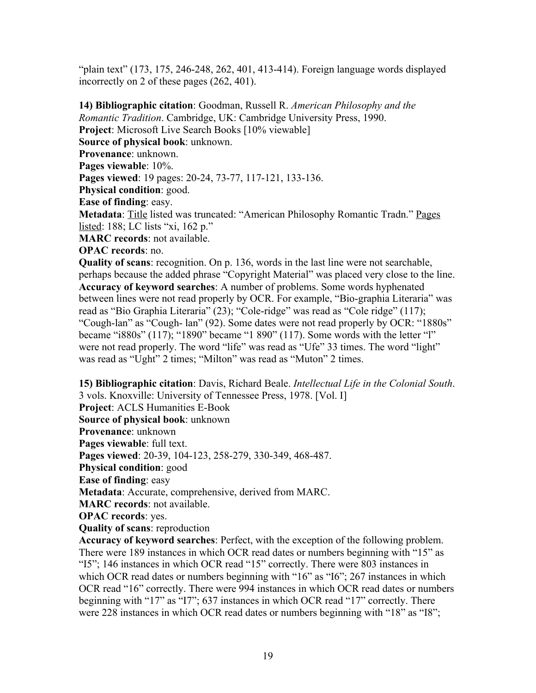"plain text" (173, 175, 246-248, 262, 401, 413-414). Foreign language words displayed incorrectly on 2 of these pages (262, 401).

**14) Bibliographic citation**: Goodman, Russell R. *American Philosophy and the Romantic Tradition*. Cambridge, UK: Cambridge University Press, 1990. **Project**: Microsoft Live Search Books [10% viewable] **Source of physical book**: unknown. **Provenance**: unknown. **Pages viewable**: 10%. **Pages viewed**: 19 pages: 20-24, 73-77, 117-121, 133-136. **Physical condition**: good. **Ease of finding**: easy. **Metadata**: Title listed was truncated: "American Philosophy Romantic Tradn." Pages listed: 188; LC lists "xi, 162 p." **MARC records**: not available. **OPAC records**: no. **Quality of scans**: recognition. On p. 136, words in the last line were not searchable, perhaps because the added phrase "Copyright Material" was placed very close to the line. **Accuracy of keyword searches**: A number of problems. Some words hyphenated between lines were not read properly by OCR. For example, "Bio-graphia Literaria" was read as "Bio Graphia Literaria" (23); "Cole-ridge" was read as "Cole ridge" (117); "Cough-lan" as "Cough- lan" (92). Some dates were not read properly by OCR: "1880s" became "i880s" (117); "1890" became "1 890" (117). Some words with the letter "l" were not read properly. The word "life" was read as "Ufe" 33 times. The word "light"

was read as "Ught" 2 times; "Milton" was read as "Muton" 2 times.

**15) Bibliographic citation**: Davis, Richard Beale. *Intellectual Life in the Colonial South*. 3 vols. Knoxville: University of Tennessee Press, 1978. [Vol. I] **Project**: ACLS Humanities E-Book **Source of physical book**: unknown **Provenance**: unknown **Pages viewable**: full text. **Pages viewed**: 20-39, 104-123, 258-279, 330-349, 468-487. **Physical condition**: good **Ease of finding**: easy **Metadata**: Accurate, comprehensive, derived from MARC. **MARC records**: not available. **OPAC records**: yes. **Quality of scans**: reproduction **Accuracy of keyword searches**: Perfect, with the exception of the following problem.

There were 189 instances in which OCR read dates or numbers beginning with "15" as "I5"; 146 instances in which OCR read "15" correctly. There were 803 instances in which OCR read dates or numbers beginning with "16" as "I6"; 267 instances in which OCR read "16" correctly. There were 994 instances in which OCR read dates or numbers beginning with "17" as "I7"; 637 instances in which OCR read "17" correctly. There were 228 instances in which OCR read dates or numbers beginning with "18" as "I8";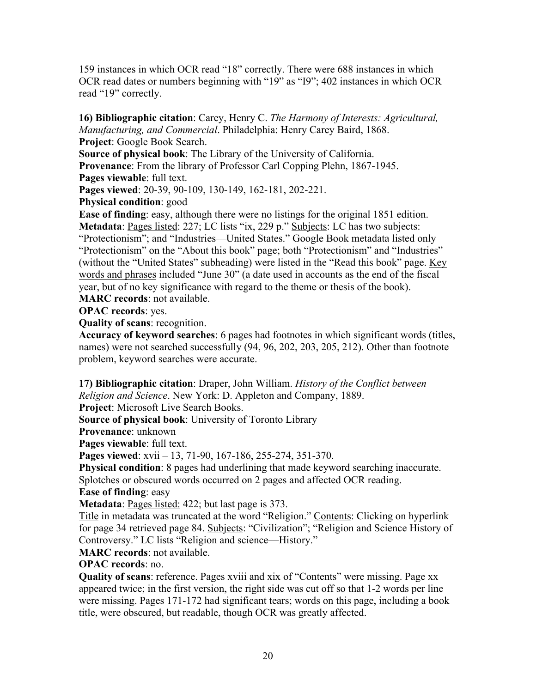159 instances in which OCR read "18" correctly. There were 688 instances in which OCR read dates or numbers beginning with "19" as "I9"; 402 instances in which OCR read "19" correctly.

# **16) Bibliographic citation**: Carey, Henry C. *The Harmony of Interests: Agricultural, Manufacturing, and Commercial*. Philadelphia: Henry Carey Baird, 1868.

**Project**: Google Book Search.

**Source of physical book**: The Library of the University of California.

**Provenance**: From the library of Professor Carl Copping Plehn, 1867-1945.

**Pages viewable**: full text.

**Pages viewed**: 20-39, 90-109, 130-149, 162-181, 202-221.

## **Physical condition**: good

**Ease of finding**: easy, although there were no listings for the original 1851 edition. **Metadata**: Pages listed: 227; LC lists "ix, 229 p." Subjects: LC has two subjects: "Protectionism"; and "Industries—United States." Google Book metadata listed only "Protectionism" on the "About this book" page; both "Protectionism" and "Industries" (without the "United States" subheading) were listed in the "Read this book" page. Key words and phrases included "June 30" (a date used in accounts as the end of the fiscal year, but of no key significance with regard to the theme or thesis of the book). **MARC records**: not available.

**OPAC records**: yes.

**Quality of scans**: recognition.

**Accuracy of keyword searches**: 6 pages had footnotes in which significant words (titles, names) were not searched successfully (94, 96, 202, 203, 205, 212). Other than footnote problem, keyword searches were accurate.

**17) Bibliographic citation**: Draper, John William. *History of the Conflict between Religion and Science*. New York: D. Appleton and Company, 1889.

**Project**: Microsoft Live Search Books.

**Source of physical book**: University of Toronto Library

**Provenance**: unknown

**Pages viewable**: full text.

**Pages viewed**: xvii – 13, 71-90, 167-186, 255-274, 351-370.

**Physical condition**: 8 pages had underlining that made keyword searching inaccurate. Splotches or obscured words occurred on 2 pages and affected OCR reading.

**Ease of finding**: easy

**Metadata**: Pages listed: 422; but last page is 373.

Title in metadata was truncated at the word "Religion." Contents: Clicking on hyperlink for page 34 retrieved page 84. Subjects: "Civilization"; "Religion and Science History of Controversy." LC lists "Religion and science—History."

**MARC records**: not available.

**OPAC records**: no.

**Quality of scans**: reference. Pages xviii and xix of "Contents" were missing. Page xx appeared twice; in the first version, the right side was cut off so that 1-2 words per line were missing. Pages 171-172 had significant tears; words on this page, including a book title, were obscured, but readable, though OCR was greatly affected.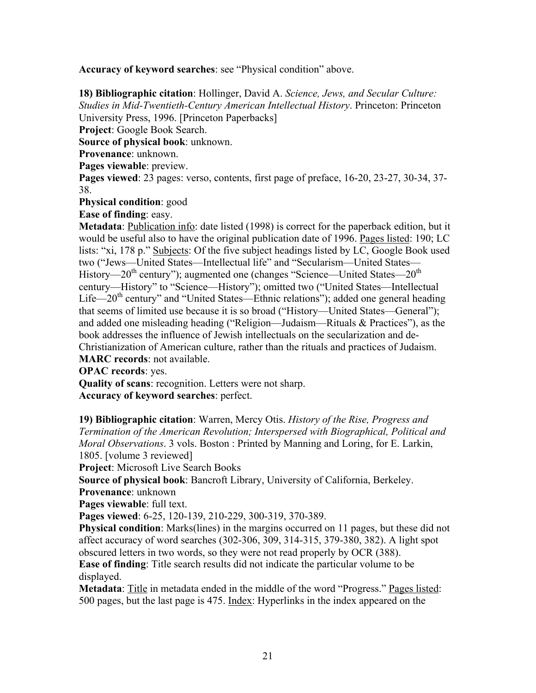**Accuracy of keyword searches**: see "Physical condition" above.

**18) Bibliographic citation**: Hollinger, David A. *Science, Jews, and Secular Culture: Studies in Mid-Twentieth-Century American Intellectual History*. Princeton: Princeton University Press, 1996. [Princeton Paperbacks] **Project**: Google Book Search. **Source of physical book**: unknown. **Provenance**: unknown. **Pages viewable**: preview. **Pages viewed**: 23 pages: verso, contents, first page of preface, 16-20, 23-27, 30-34, 37- 38. **Physical condition**: good

**Ease of finding**: easy.

**Metadata**: Publication info: date listed (1998) is correct for the paperback edition, but it would be useful also to have the original publication date of 1996. Pages listed: 190; LC lists: "xi, 178 p." Subjects: Of the five subject headings listed by LC, Google Book used two ("Jews—United States—Intellectual life" and "Secularism—United States— History—20<sup>th</sup> century"); augmented one (changes "Science—United States— $20<sup>th</sup>$ century—History" to "Science—History"); omitted two ("United States—Intellectual Life—20<sup>th</sup> century" and "United States—Ethnic relations"); added one general heading that seems of limited use because it is so broad ("History—United States—General"); and added one misleading heading ("Religion—Judaism—Rituals & Practices"), as the book addresses the influence of Jewish intellectuals on the secularization and de-Christianization of American culture, rather than the rituals and practices of Judaism.

**MARC records**: not available.

**OPAC records**: yes.

**Quality of scans**: recognition. Letters were not sharp.

**Accuracy of keyword searches**: perfect.

**19) Bibliographic citation**: Warren, Mercy Otis. *History of the Rise, Progress and Termination of the American Revolution; Interspersed with Biographical, Political and Moral Observations*. 3 vols. Boston : Printed by Manning and Loring, for E. Larkin, 1805. [volume 3 reviewed]

**Project**: Microsoft Live Search Books

**Source of physical book**: Bancroft Library, University of California, Berkeley.

**Provenance**: unknown

**Pages viewable**: full text.

**Pages viewed**: 6-25, 120-139, 210-229, 300-319, 370-389.

**Physical condition**: Marks(lines) in the margins occurred on 11 pages, but these did not affect accuracy of word searches (302-306, 309, 314-315, 379-380, 382). A light spot obscured letters in two words, so they were not read properly by OCR (388).

**Ease of finding**: Title search results did not indicate the particular volume to be displayed.

**Metadata**: Title in metadata ended in the middle of the word "Progress." Pages listed: 500 pages, but the last page is 475. Index: Hyperlinks in the index appeared on the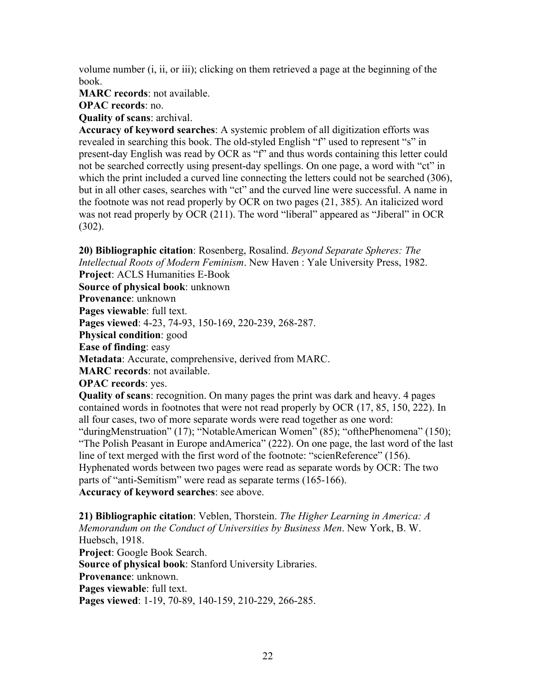volume number (i, ii, or iii); clicking on them retrieved a page at the beginning of the book.

**MARC records**: not available.

**OPAC records**: no.

**Quality of scans**: archival.

**Accuracy of keyword searches**: A systemic problem of all digitization efforts was revealed in searching this book. The old-styled English "f" used to represent "s" in present-day English was read by OCR as "f" and thus words containing this letter could not be searched correctly using present-day spellings. On one page, a word with "ct" in which the print included a curved line connecting the letters could not be searched (306), but in all other cases, searches with "ct" and the curved line were successful. A name in the footnote was not read properly by OCR on two pages (21, 385). An italicized word was not read properly by OCR (211). The word "liberal" appeared as "Jiberal" in OCR (302).

**20) Bibliographic citation**: Rosenberg, Rosalind. *Beyond Separate Spheres: The Intellectual Roots of Modern Feminism*. New Haven : Yale University Press, 1982. **Project**: ACLS Humanities E-Book **Source of physical book**: unknown **Provenance**: unknown **Pages viewable**: full text. **Pages viewed**: 4-23, 74-93, 150-169, 220-239, 268-287. **Physical condition**: good **Ease of finding**: easy **Metadata**: Accurate, comprehensive, derived from MARC. **MARC records**: not available. **OPAC records**: yes. **Quality of scans**: recognition. On many pages the print was dark and heavy. 4 pages contained words in footnotes that were not read properly by OCR (17, 85, 150, 222). In all four cases, two of more separate words were read together as one word: "duringMenstruation" (17); "NotableAmerican Women" (85); "ofthePhenomena" (150); "The Polish Peasant in Europe andAmerica" (222). On one page, the last word of the last line of text merged with the first word of the footnote: "scienReference" (156). Hyphenated words between two pages were read as separate words by OCR: The two parts of "anti-Semitism" were read as separate terms (165-166).

**Accuracy of keyword searches**: see above.

**21) Bibliographic citation**: Veblen, Thorstein. *The Higher Learning in America: A Memorandum on the Conduct of Universities by Business Men*. New York, B. W. Huebsch, 1918. **Project**: Google Book Search. **Source of physical book**: Stanford University Libraries. **Provenance**: unknown. **Pages viewable**: full text. **Pages viewed**: 1-19, 70-89, 140-159, 210-229, 266-285.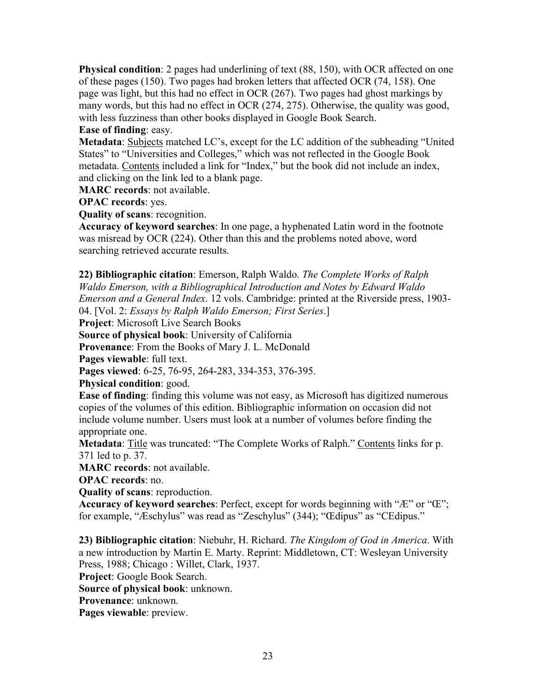**Physical condition**: 2 pages had underlining of text (88, 150), with OCR affected on one of these pages (150). Two pages had broken letters that affected OCR (74, 158). One page was light, but this had no effect in OCR (267). Two pages had ghost markings by many words, but this had no effect in OCR (274, 275). Otherwise, the quality was good, with less fuzziness than other books displayed in Google Book Search.

# **Ease of finding**: easy.

**Metadata**: Subjects matched LC's, except for the LC addition of the subheading "United States" to "Universities and Colleges," which was not reflected in the Google Book metadata. Contents included a link for "Index," but the book did not include an index, and clicking on the link led to a blank page.

**MARC records**: not available.

**OPAC records**: yes.

**Quality of scans**: recognition.

**Accuracy of keyword searches**: In one page, a hyphenated Latin word in the footnote was misread by OCR (224). Other than this and the problems noted above, word searching retrieved accurate results.

**22) Bibliographic citation**: Emerson, Ralph Waldo. *The Complete Works of Ralph Waldo Emerson, with a Bibliographical Introduction and Notes by Edward Waldo Emerson and a General Index*. 12 vols. Cambridge: printed at the Riverside press, 1903- 04. [Vol. 2: *Essays by Ralph Waldo Emerson; First Series*.]

**Project**: Microsoft Live Search Books

**Source of physical book**: University of California

**Provenance**: From the Books of Mary J. L. McDonald

**Pages viewable**: full text.

**Pages viewed**: 6-25, 76-95, 264-283, 334-353, 376-395.

**Physical condition**: good.

**Ease of finding**: finding this volume was not easy, as Microsoft has digitized numerous copies of the volumes of this edition. Bibliographic information on occasion did not include volume number. Users must look at a number of volumes before finding the appropriate one.

**Metadata**: Title was truncated: "The Complete Works of Ralph." Contents links for p. 371 led to p. 37.

**MARC records**: not available.

**OPAC records**: no.

**Quality of scans**: reproduction.

**Accuracy of keyword searches**: Perfect, except for words beginning with "Æ" or "Œ"; for example, "Æschylus" was read as "Zeschylus" (344); "Œdipus" as "CEdipus."

**23) Bibliographic citation**: Niebuhr, H. Richard. *The Kingdom of God in America*. With a new introduction by Martin E. Marty. Reprint: Middletown, CT: Wesleyan University Press, 1988; Chicago : Willet, Clark, 1937.

**Project**: Google Book Search.

**Source of physical book**: unknown.

**Provenance**: unknown.

**Pages viewable**: preview.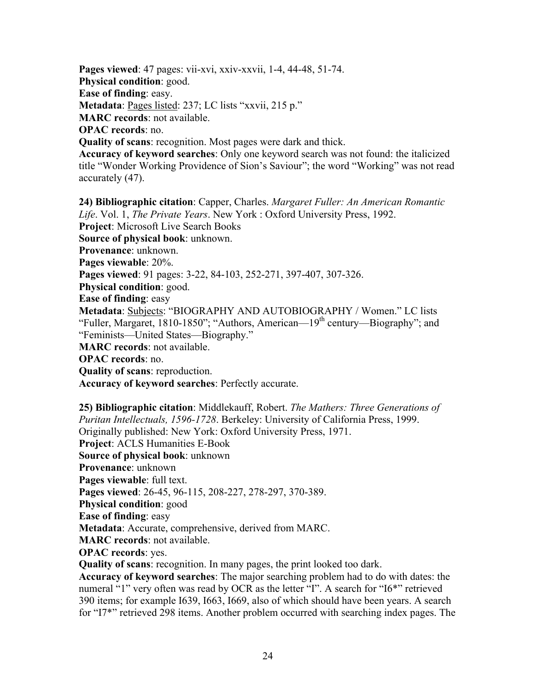**Pages viewed**: 47 pages: vii-xvi, xxiv-xxvii, 1-4, 44-48, 51-74.

**Physical condition**: good.

**Ease of finding**: easy.

**Metadata**: Pages listed: 237; LC lists "xxvii, 215 p."

**MARC records**: not available.

**OPAC records**: no.

**Quality of scans**: recognition. Most pages were dark and thick.

**Accuracy of keyword searches**: Only one keyword search was not found: the italicized title "Wonder Working Providence of Sion's Saviour"; the word "Working" was not read accurately (47).

**24) Bibliographic citation**: Capper, Charles. *Margaret Fuller: An American Romantic Life*. Vol. 1, *The Private Years*. New York : Oxford University Press, 1992. **Project**: Microsoft Live Search Books **Source of physical book**: unknown. **Provenance**: unknown. **Pages viewable**: 20%. **Pages viewed**: 91 pages: 3-22, 84-103, 252-271, 397-407, 307-326. **Physical condition**: good. **Ease of finding**: easy **Metadata**: Subjects: "BIOGRAPHY AND AUTOBIOGRAPHY / Women." LC lists "Fuller, Margaret, 1810-1850"; "Authors, American—19th century—Biography"; and "Feminists—United States—Biography." **MARC records**: not available. **OPAC records**: no. **Quality of scans**: reproduction. **Accuracy of keyword searches**: Perfectly accurate.

**25) Bibliographic citation**: Middlekauff, Robert. *The Mathers: Three Generations of Puritan Intellectuals, 1596-1728*. Berkeley: University of California Press, 1999. Originally published: New York: Oxford University Press, 1971. **Project**: ACLS Humanities E-Book **Source of physical book**: unknown **Provenance**: unknown **Pages viewable**: full text. **Pages viewed**: 26-45, 96-115, 208-227, 278-297, 370-389. **Physical condition**: good **Ease of finding**: easy **Metadata**: Accurate, comprehensive, derived from MARC. **MARC records**: not available. **OPAC records**: yes. **Quality of scans**: recognition. In many pages, the print looked too dark. **Accuracy of keyword searches**: The major searching problem had to do with dates: the numeral "1" very often was read by OCR as the letter "I". A search for "I6\*" retrieved 390 items; for example I639, I663, I669, also of which should have been years. A search for "I7\*" retrieved 298 items. Another problem occurred with searching index pages. The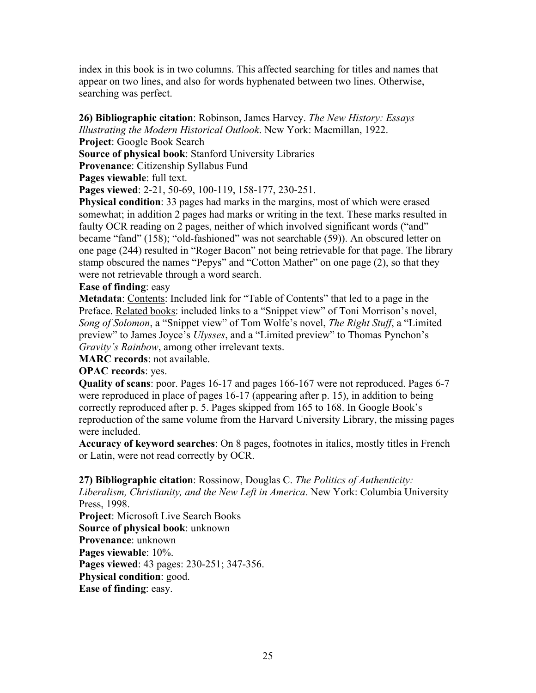index in this book is in two columns. This affected searching for titles and names that appear on two lines, and also for words hyphenated between two lines. Otherwise, searching was perfect.

#### **26) Bibliographic citation**: Robinson, James Harvey. *The New History: Essays Illustrating the Modern Historical Outlook*. New York: Macmillan, 1922.

**Project**: Google Book Search

**Source of physical book**: Stanford University Libraries

**Provenance**: Citizenship Syllabus Fund

**Pages viewable**: full text.

**Pages viewed**: 2-21, 50-69, 100-119, 158-177, 230-251.

**Physical condition**: 33 pages had marks in the margins, most of which were erased somewhat; in addition 2 pages had marks or writing in the text. These marks resulted in faulty OCR reading on 2 pages, neither of which involved significant words ("and" became "fand" (158); "old-fashioned" was not searchable (59)). An obscured letter on one page (244) resulted in "Roger Bacon" not being retrievable for that page. The library stamp obscured the names "Pepys" and "Cotton Mather" on one page (2), so that they were not retrievable through a word search.

#### **Ease of finding**: easy

**Metadata**: Contents: Included link for "Table of Contents" that led to a page in the Preface. Related books: included links to a "Snippet view" of Toni Morrison's novel, *Song of Solomon*, a "Snippet view" of Tom Wolfe's novel, *The Right Stuff*, a "Limited preview" to James Joyce's *Ulysses*, and a "Limited preview" to Thomas Pynchon's *Gravity's Rainbow*, among other irrelevant texts.

**MARC records**: not available.

## **OPAC records**: yes.

**Quality of scans**: poor. Pages 16-17 and pages 166-167 were not reproduced. Pages 6-7 were reproduced in place of pages 16-17 (appearing after p. 15), in addition to being correctly reproduced after p. 5. Pages skipped from 165 to 168. In Google Book's reproduction of the same volume from the Harvard University Library, the missing pages were included.

**Accuracy of keyword searches**: On 8 pages, footnotes in italics, mostly titles in French or Latin, were not read correctly by OCR.

## **27) Bibliographic citation**: Rossinow, Douglas C. *The Politics of Authenticity:*

*Liberalism, Christianity, and the New Left in America*. New York: Columbia University Press, 1998.

**Project**: Microsoft Live Search Books **Source of physical book**: unknown **Provenance**: unknown **Pages viewable**: 10%. **Pages viewed**: 43 pages: 230-251; 347-356. **Physical condition**: good. **Ease of finding**: easy.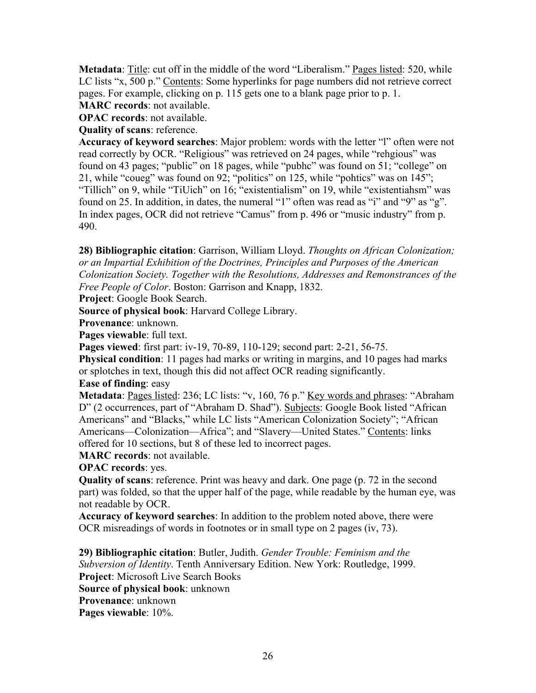**Metadata**: Title: cut off in the middle of the word "Liberalism." Pages listed: 520, while LC lists "x, 500 p." Contents: Some hyperlinks for page numbers did not retrieve correct pages. For example, clicking on p. 115 gets one to a blank page prior to p. 1.

**MARC records**: not available.

**OPAC records**: not available.

**Quality of scans**: reference.

**Accuracy of keyword searches**: Major problem: words with the letter "l" often were not read correctly by OCR. "Religious" was retrieved on 24 pages, while "rehgious" was found on 43 pages; "public" on 18 pages, while "pubhc" was found on 51; "college" on 21, while "coueg" was found on 92; "politics" on 125, while "pohtics" was on 145"; "Tillich" on 9, while "TiUich" on 16; "existentialism" on 19, while "existentiahsm" was found on 25. In addition, in dates, the numeral "1" often was read as "i" and "9" as "g". In index pages, OCR did not retrieve "Camus" from p. 496 or "music industry" from p. 490.

**28) Bibliographic citation**: Garrison, William Lloyd. *Thoughts on African Colonization; or an Impartial Exhibition of the Doctrines, Principles and Purposes of the American Colonization Society. Together with the Resolutions, Addresses and Remonstrances of the Free People of Color*. Boston: Garrison and Knapp, 1832.

**Project**: Google Book Search.

**Source of physical book**: Harvard College Library.

**Provenance**: unknown.

**Pages viewable**: full text.

**Pages viewed**: first part: iv-19, 70-89, 110-129; second part: 2-21, 56-75.

**Physical condition**: 11 pages had marks or writing in margins, and 10 pages had marks or splotches in text, though this did not affect OCR reading significantly.

**Ease of finding**: easy

**Metadata**: Pages listed: 236; LC lists: "v, 160, 76 p." Key words and phrases: "Abraham D" (2 occurrences, part of "Abraham D. Shad"). Subjects: Google Book listed "African Americans" and "Blacks," while LC lists "American Colonization Society"; "African Americans—Colonization—Africa"; and "Slavery—United States." Contents: links offered for 10 sections, but 8 of these led to incorrect pages.

**MARC records**: not available.

**OPAC records**: yes.

**Quality of scans**: reference. Print was heavy and dark. One page (p. 72 in the second part) was folded, so that the upper half of the page, while readable by the human eye, was not readable by OCR.

**Accuracy of keyword searches**: In addition to the problem noted above, there were OCR misreadings of words in footnotes or in small type on 2 pages (iv, 73).

**29) Bibliographic citation**: Butler, Judith. *Gender Trouble: Feminism and the Subversion of Identity*. Tenth Anniversary Edition. New York: Routledge, 1999. **Project**: Microsoft Live Search Books **Source of physical book**: unknown **Provenance**: unknown **Pages viewable**: 10%.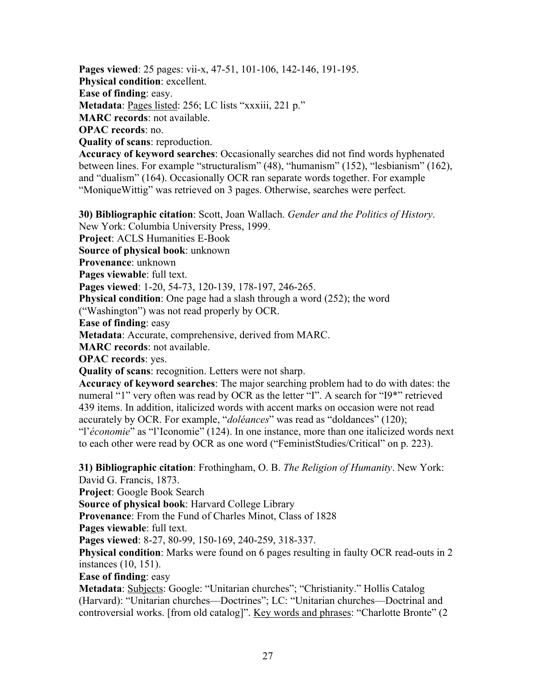**Pages viewed**: 25 pages: vii-x, 47-51, 101-106, 142-146, 191-195.

**Physical condition**: excellent.

**Ease of finding**: easy.

**Metadata**: Pages listed: 256; LC lists "xxxiii, 221 p."

**MARC records**: not available.

**OPAC records**: no.

**Quality of scans**: reproduction.

**Accuracy of keyword searches**: Occasionally searches did not find words hyphenated between lines. For example "structuralism" (48), "humanism" (152), "lesbianism" (162), and "dualism" (164). Occasionally OCR ran separate words together. For example "MoniqueWittig" was retrieved on 3 pages. Otherwise, searches were perfect.

**30) Bibliographic citation**: Scott, Joan Wallach. *Gender and the Politics of History*. New York: Columbia University Press, 1999. **Project**: ACLS Humanities E-Book **Source of physical book**: unknown **Provenance**: unknown **Pages viewable**: full text. **Pages viewed**: 1-20, 54-73, 120-139, 178-197, 246-265. **Physical condition**: One page had a slash through a word (252); the word ("Washington") was not read properly by OCR. **Ease of finding**: easy **Metadata**: Accurate, comprehensive, derived from MARC. **MARC records**: not available. **OPAC records**: yes. **Quality of scans**: recognition. Letters were not sharp. **Accuracy of keyword searches**: The major searching problem had to do with dates: the

numeral "1" very often was read by OCR as the letter "I". A search for "I9\*" retrieved 439 items. In addition, italicized words with accent marks on occasion were not read accurately by OCR. For example, "*doléances*" was read as "doldances" (120); "l'*économie*" as "l'Iconomie" (124). In one instance, more than one italicized words next to each other were read by OCR as one word ("FeministStudies/Critical" on p. 223).

**31) Bibliographic citation**: Frothingham, O. B. *The Religion of Humanity*. New York: David G. Francis, 1873.

**Project**: Google Book Search

**Source of physical book**: Harvard College Library

**Provenance**: From the Fund of Charles Minot, Class of 1828

**Pages viewable**: full text.

**Pages viewed**: 8-27, 80-99, 150-169, 240-259, 318-337.

**Physical condition**: Marks were found on 6 pages resulting in faulty OCR read-outs in 2 instances (10, 151).

## **Ease of finding**: easy

**Metadata**: Subjects: Google: "Unitarian churches"; "Christianity." Hollis Catalog (Harvard): "Unitarian churches—Doctrines"; LC: "Unitarian churches—Doctrinal and controversial works. [from old catalog]". Key words and phrases: "Charlotte Bronte" (2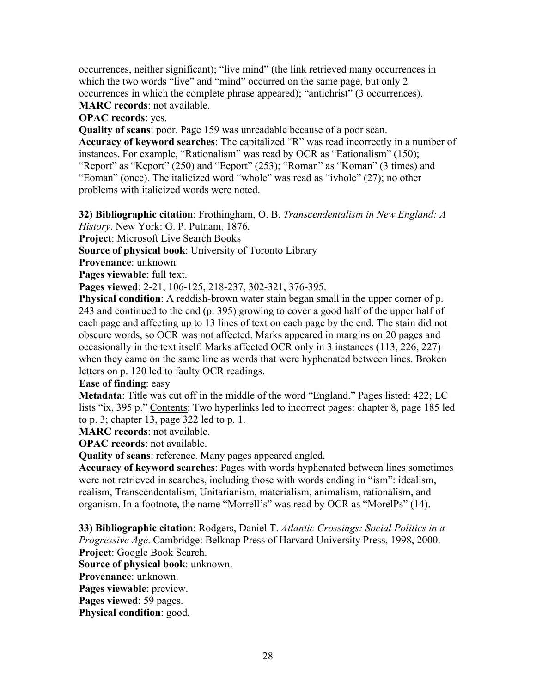occurrences, neither significant); "live mind" (the link retrieved many occurrences in which the two words "live" and "mind" occurred on the same page, but only 2 occurrences in which the complete phrase appeared); "antichrist" (3 occurrences). **MARC records**: not available.

**OPAC records**: yes.

**Quality of scans**: poor. Page 159 was unreadable because of a poor scan.

**Accuracy of keyword searches**: The capitalized "R" was read incorrectly in a number of instances. For example, "Rationalism" was read by OCR as "Eationalism" (150); "Report" as "Keport" (250) and "Eeport" (253); "Roman" as "Koman" (3 times) and "Eoman" (once). The italicized word "whole" was read as "ivhole" (27); no other problems with italicized words were noted.

**32) Bibliographic citation**: Frothingham, O. B. *Transcendentalism in New England: A* 

*History*. New York: G. P. Putnam, 1876.

**Project**: Microsoft Live Search Books

**Source of physical book**: University of Toronto Library

**Provenance**: unknown

**Pages viewable**: full text.

**Pages viewed**: 2-21, 106-125, 218-237, 302-321, 376-395.

**Physical condition**: A reddish-brown water stain began small in the upper corner of p. 243 and continued to the end (p. 395) growing to cover a good half of the upper half of each page and affecting up to 13 lines of text on each page by the end. The stain did not obscure words, so OCR was not affected. Marks appeared in margins on 20 pages and occasionally in the text itself. Marks affected OCR only in 3 instances (113, 226, 227) when they came on the same line as words that were hyphenated between lines. Broken letters on p. 120 led to faulty OCR readings.

**Ease of finding**: easy

**Metadata**: Title was cut off in the middle of the word "England." Pages listed: 422; LC lists "ix, 395 p." Contents: Two hyperlinks led to incorrect pages: chapter 8, page 185 led to p. 3; chapter 13, page 322 led to p. 1.

**MARC records**: not available.

**OPAC records**: not available.

**Quality of scans**: reference. Many pages appeared angled.

**Accuracy of keyword searches**: Pages with words hyphenated between lines sometimes were not retrieved in searches, including those with words ending in "ism": idealism, realism, Transcendentalism, Unitarianism, materialism, animalism, rationalism, and organism. In a footnote, the name "Morrell's" was read by OCR as "MorelPs" (14).

**33) Bibliographic citation**: Rodgers, Daniel T. *Atlantic Crossings: Social Politics in a Progressive Age*. Cambridge: Belknap Press of Harvard University Press, 1998, 2000. **Project**: Google Book Search.

**Source of physical book**: unknown.

**Provenance**: unknown.

**Pages viewable**: preview.

**Pages viewed**: 59 pages.

**Physical condition**: good.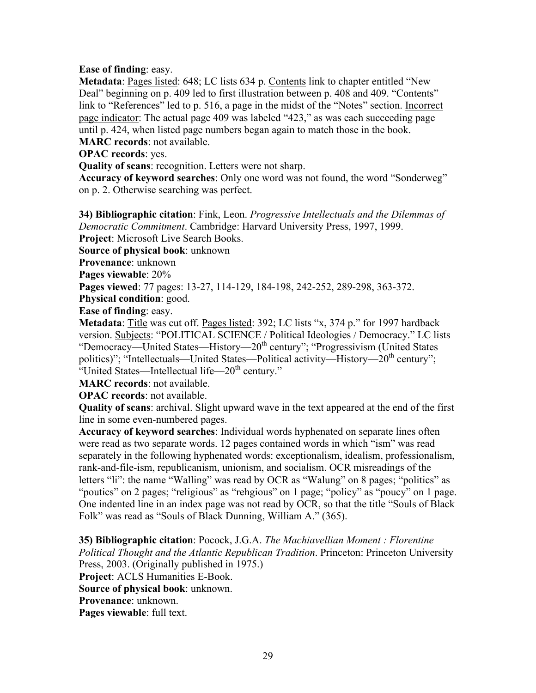#### **Ease of finding**: easy.

**Metadata**: Pages listed: 648; LC lists 634 p. Contents link to chapter entitled "New Deal" beginning on p. 409 led to first illustration between p. 408 and 409. "Contents" link to "References" led to p. 516, a page in the midst of the "Notes" section. Incorrect page indicator: The actual page 409 was labeled "423," as was each succeeding page until p. 424, when listed page numbers began again to match those in the book.

**MARC records**: not available.

**OPAC records**: yes.

**Quality of scans**: recognition. Letters were not sharp.

**Accuracy of keyword searches**: Only one word was not found, the word "Sonderweg" on p. 2. Otherwise searching was perfect.

**34) Bibliographic citation**: Fink, Leon. *Progressive Intellectuals and the Dilemmas of Democratic Commitment*. Cambridge: Harvard University Press, 1997, 1999. **Project**: Microsoft Live Search Books.

**Source of physical book**: unknown

**Provenance**: unknown

**Pages viewable**: 20%

**Pages viewed**: 77 pages: 13-27, 114-129, 184-198, 242-252, 289-298, 363-372.

**Physical condition**: good.

**Ease of finding**: easy.

**Metadata**: Title was cut off. Pages listed: 392; LC lists "x, 374 p." for 1997 hardback version. Subjects: "POLITICAL SCIENCE / Political Ideologies / Democracy." LC lists "Democracy—United States—History—20<sup>th</sup> century"; "Progressivism (United States politics)"; "Intellectuals—United States—Political activity—History—20<sup>th</sup> century"; "United States—Intellectual life—20<sup>th</sup> century."

**MARC records**: not available.

**OPAC records**: not available.

**Quality of scans**: archival. Slight upward wave in the text appeared at the end of the first line in some even-numbered pages.

**Accuracy of keyword searches**: Individual words hyphenated on separate lines often were read as two separate words. 12 pages contained words in which "ism" was read separately in the following hyphenated words: exceptionalism, idealism, professionalism, rank-and-file-ism, republicanism, unionism, and socialism. OCR misreadings of the letters "li": the name "Walling" was read by OCR as "Walung" on 8 pages; "politics" as "poutics" on 2 pages; "religious" as "rehgious" on 1 page; "policy" as "poucy" on 1 page. One indented line in an index page was not read by OCR, so that the title "Souls of Black Folk" was read as "Souls of Black Dunning, William A." (365).

**35) Bibliographic citation**: Pocock, J.G.A. *The Machiavellian Moment : Florentine Political Thought and the Atlantic Republican Tradition*. Princeton: Princeton University Press, 2003. (Originally published in 1975.) **Project**: ACLS Humanities E-Book. **Source of physical book**: unknown. **Provenance**: unknown. **Pages viewable**: full text.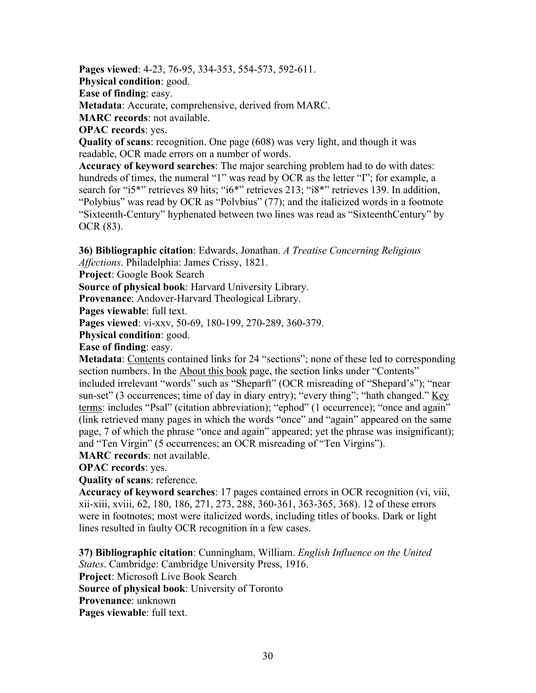**Pages viewed**: 4-23, 76-95, 334-353, 554-573, 592-611.

**Physical condition**: good.

**Ease of finding**: easy.

**Metadata**: Accurate, comprehensive, derived from MARC.

**MARC records**: not available.

**OPAC records**: yes.

**Quality of scans**: recognition. One page (608) was very light, and though it was readable, OCR made errors on a number of words.

**Accuracy of keyword searches**: The major searching problem had to do with dates: hundreds of times, the numeral "1" was read by OCR as the letter "I"; for example, a search for "i5\*" retrieves 89 hits; "i6\*" retrieves 213; "i8\*" retrieves 139. In addition, "Polybius" was read by OCR as "Polvbius" (77); and the italicized words in a footnote "Sixteenth-Century" hyphenated between two lines was read as "SixteenthCentury" by OCR (83).

**36) Bibliographic citation**: Edwards, Jonathan. *A Treatise Concerning Religious Affections*. Philadelphia: James Crissy, 1821.

**Project**: Google Book Search

**Source of physical book**: Harvard University Library.

**Provenance**: Andover-Harvard Theological Library.

**Pages viewable**: full text.

**Pages viewed**: vi-xxv, 50-69, 180-199, 270-289, 360-379.

**Physical condition**: good.

**Ease of finding**: easy.

**Metadata**: Contents contained links for 24 "sections"; none of these led to corresponding section numbers. In the About this book page, the section links under "Contents"

included irrelevant "words" such as "Sheparft" (OCR misreading of "Shepard's"); "near sun-set" (3 occurrences; time of day in diary entry); "every thing"; "hath changed." <u>Key</u> terms: includes "Psal" (citation abbreviation); "ephod" (1 occurrence); "once and again" (link retrieved many pages in which the words "once" and "again" appeared on the same page, 7 of which the phrase "once and again" appeared; yet the phrase was insignificant); and "Ten Virgin" (5 occurrences; an OCR misreading of "Ten Virgins").

**MARC records**: not available.

**OPAC records**: yes.

**Quality of scans**: reference.

**Accuracy of keyword searches**: 17 pages contained errors in OCR recognition (vi, viii, xii-xiii, xviii, 62, 180, 186, 271, 273, 288, 360-361, 363-365, 368). 12 of these errors were in footnotes; most were italicized words, including titles of books. Dark or light lines resulted in faulty OCR recognition in a few cases.

**37) Bibliographic citation**: Cunningham, William. *English Influence on the United States*. Cambridge: Cambridge University Press, 1916. **Project**: Microsoft Live Book Search **Source of physical book**: University of Toronto **Provenance**: unknown **Pages viewable**: full text.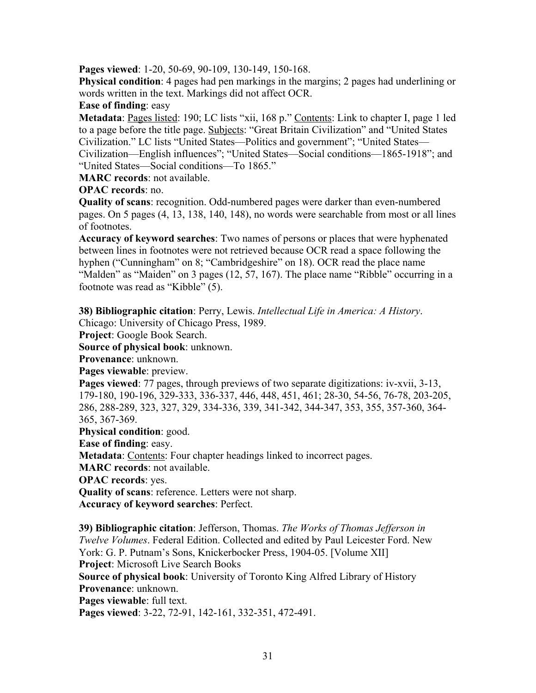**Pages viewed**: 1-20, 50-69, 90-109, 130-149, 150-168.

**Physical condition**: 4 pages had pen markings in the margins; 2 pages had underlining or words written in the text. Markings did not affect OCR.

**Ease of finding**: easy

**Metadata**: Pages listed: 190; LC lists "xii, 168 p." Contents: Link to chapter I, page 1 led to a page before the title page. Subjects: "Great Britain Civilization" and "United States Civilization." LC lists "United States—Politics and government"; "United States— Civilization—English influences"; "United States—Social conditions—1865-1918"; and "United States—Social conditions—To 1865."

**MARC records**: not available.

**OPAC records**: no.

**Quality of scans**: recognition. Odd-numbered pages were darker than even-numbered pages. On 5 pages (4, 13, 138, 140, 148), no words were searchable from most or all lines of footnotes.

**Accuracy of keyword searches**: Two names of persons or places that were hyphenated between lines in footnotes were not retrieved because OCR read a space following the hyphen ("Cunningham" on 8; "Cambridgeshire" on 18). OCR read the place name "Malden" as "Maiden" on 3 pages (12, 57, 167). The place name "Ribble" occurring in a footnote was read as "Kibble" (5).

**38) Bibliographic citation**: Perry, Lewis. *Intellectual Life in America: A History*. Chicago: University of Chicago Press, 1989.

**Project**: Google Book Search.

**Source of physical book**: unknown.

**Provenance**: unknown.

**Pages viewable**: preview.

**Pages viewed**: 77 pages, through previews of two separate digitizations: iv-xvii, 3-13, 179-180, 190-196, 329-333, 336-337, 446, 448, 451, 461; 28-30, 54-56, 76-78, 203-205, 286, 288-289, 323, 327, 329, 334-336, 339, 341-342, 344-347, 353, 355, 357-360, 364- 365, 367-369.

**Physical condition**: good.

**Ease of finding**: easy.

**Metadata**: Contents: Four chapter headings linked to incorrect pages.

**MARC records**: not available.

**OPAC records**: yes.

**Quality of scans**: reference. Letters were not sharp.

**Accuracy of keyword searches**: Perfect.

**39) Bibliographic citation**: Jefferson, Thomas. *The Works of Thomas Jefferson in Twelve Volumes*. Federal Edition. Collected and edited by Paul Leicester Ford. New York: G. P. Putnam's Sons, Knickerbocker Press, 1904-05. [Volume XII] **Project**: Microsoft Live Search Books

**Source of physical book**: University of Toronto King Alfred Library of History **Provenance**: unknown.

**Pages viewable**: full text.

**Pages viewed**: 3-22, 72-91, 142-161, 332-351, 472-491.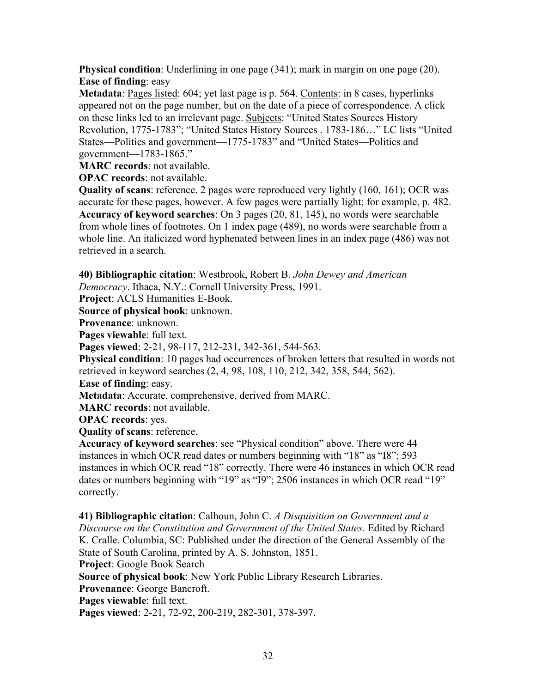**Physical condition**: Underlining in one page (341); mark in margin on one page (20). **Ease of finding**: easy

**Metadata**: Pages listed: 604; yet last page is p. 564. Contents: in 8 cases, hyperlinks appeared not on the page number, but on the date of a piece of correspondence. A click on these links led to an irrelevant page. Subjects: "United States Sources History Revolution, 1775-1783"; "United States History Sources . 1783-186…" LC lists "United States—Politics and government—1775-1783" and "United States—Politics and government—1783-1865."

**MARC records**: not available.

**OPAC records**: not available.

**Quality of scans**: reference. 2 pages were reproduced very lightly (160, 161); OCR was accurate for these pages, however. A few pages were partially light; for example, p. 482. **Accuracy of keyword searches**: On 3 pages (20, 81, 145), no words were searchable from whole lines of footnotes. On 1 index page (489), no words were searchable from a whole line. An italicized word hyphenated between lines in an index page (486) was not retrieved in a search.

**40) Bibliographic citation**: Westbrook, Robert B. *John Dewey and American* 

*Democracy*. Ithaca, N.Y.: Cornell University Press, 1991.

**Project**: ACLS Humanities E-Book.

**Source of physical book**: unknown.

**Provenance**: unknown.

**Pages viewable**: full text.

**Pages viewed**: 2-21, 98-117, 212-231, 342-361, 544-563.

**Physical condition**: 10 pages had occurrences of broken letters that resulted in words not retrieved in keyword searches (2, 4, 98, 108, 110, 212, 342, 358, 544, 562).

**Ease of finding**: easy.

**Metadata**: Accurate, comprehensive, derived from MARC.

**MARC records**: not available.

**OPAC records**: yes.

**Quality of scans**: reference.

**Accuracy of keyword searches**: see "Physical condition" above. There were 44 instances in which OCR read dates or numbers beginning with "18" as "I8"; 593 instances in which OCR read "18" correctly. There were 46 instances in which OCR read dates or numbers beginning with "19" as "I9"; 2506 instances in which OCR read "19" correctly.

**41) Bibliographic citation**: Calhoun, John C. *A Disquisition on Government and a Discourse on the Constitution and Government of the United States*. Edited by Richard K. Cralle. Columbia, SC: Published under the direction of the General Assembly of the State of South Carolina, printed by A. S. Johnston, 1851. **Project**: Google Book Search **Source of physical book**: New York Public Library Research Libraries. **Provenance**: George Bancroft. **Pages viewable**: full text. **Pages viewed**: 2-21, 72-92, 200-219, 282-301, 378-397.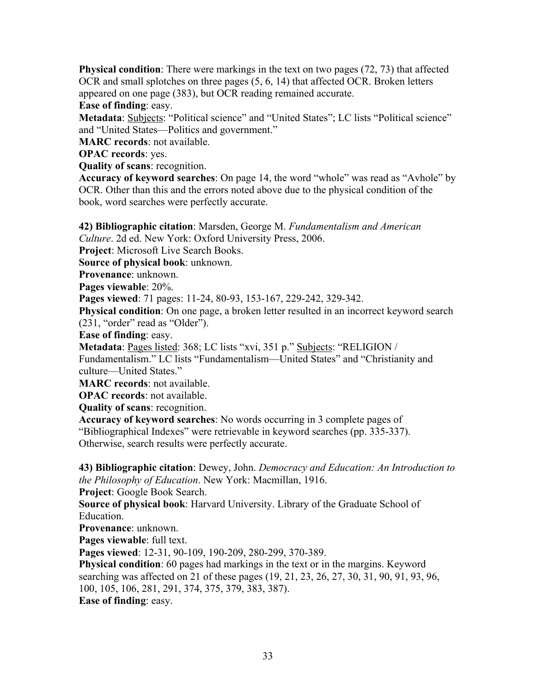**Physical condition**: There were markings in the text on two pages (72, 73) that affected OCR and small splotches on three pages (5, 6, 14) that affected OCR. Broken letters appeared on one page (383), but OCR reading remained accurate.

**Ease of finding**: easy.

**Metadata**: Subjects: "Political science" and "United States"; LC lists "Political science" and "United States—Politics and government."

**MARC records**: not available.

**OPAC records**: yes.

**Quality of scans**: recognition.

**Accuracy of keyword searches**: On page 14, the word "whole" was read as "Avhole" by OCR. Other than this and the errors noted above due to the physical condition of the book, word searches were perfectly accurate.

**42) Bibliographic citation**: Marsden, George M. *Fundamentalism and American Culture*. 2d ed. New York: Oxford University Press, 2006.

**Project**: Microsoft Live Search Books.

**Source of physical book**: unknown.

**Provenance**: unknown.

**Pages viewable**: 20%.

**Pages viewed**: 71 pages: 11-24, 80-93, 153-167, 229-242, 329-342.

**Physical condition**: On one page, a broken letter resulted in an incorrect keyword search (231, "order" read as "Older").

**Ease of finding**: easy.

**Metadata**: Pages listed: 368; LC lists "xvi, 351 p." Subjects: "RELIGION /

Fundamentalism." LC lists "Fundamentalism—United States" and "Christianity and culture—United States."

**MARC records**: not available.

**OPAC records**: not available.

**Quality of scans**: recognition.

**Accuracy of keyword searches**: No words occurring in 3 complete pages of

"Bibliographical Indexes" were retrievable in keyword searches (pp. 335-337). Otherwise, search results were perfectly accurate.

**43) Bibliographic citation**: Dewey, John. *Democracy and Education: An Introduction to the Philosophy of Education*. New York: Macmillan, 1916.

**Project**: Google Book Search.

**Source of physical book**: Harvard University. Library of the Graduate School of Education.

**Provenance**: unknown.

**Pages viewable**: full text.

**Pages viewed**: 12-31, 90-109, 190-209, 280-299, 370-389.

**Physical condition**: 60 pages had markings in the text or in the margins. Keyword searching was affected on 21 of these pages (19, 21, 23, 26, 27, 30, 31, 90, 91, 93, 96, 100, 105, 106, 281, 291, 374, 375, 379, 383, 387).

**Ease of finding**: easy.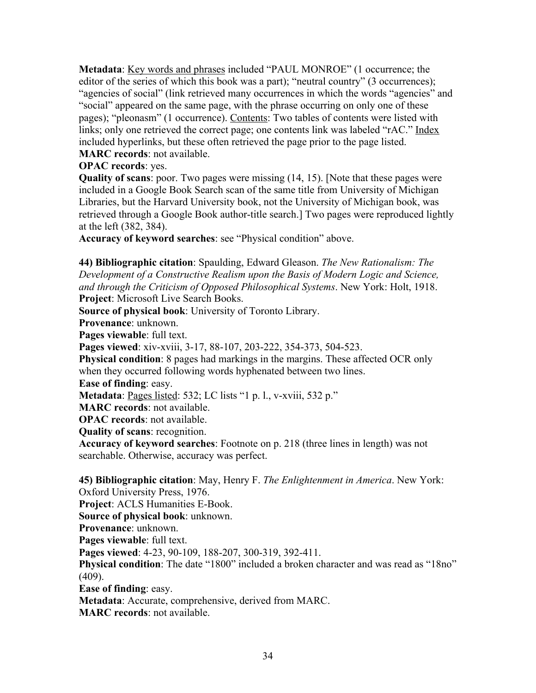**Metadata**: <u>Key words and phrases</u> included "PAUL MONROE" (1 occurrence; the editor of the series of which this book was a part); "neutral country" (3 occurrences); "agencies of social" (link retrieved many occurrences in which the words "agencies" and "social" appeared on the same page, with the phrase occurring on only one of these pages); "pleonasm" (1 occurrence). Contents: Two tables of contents were listed with links; only one retrieved the correct page; one contents link was labeled "rAC." Index included hyperlinks, but these often retrieved the page prior to the page listed. **MARC records**: not available.

**OPAC records**: yes.

**Quality of scans**: poor. Two pages were missing (14, 15). [Note that these pages were included in a Google Book Search scan of the same title from University of Michigan Libraries, but the Harvard University book, not the University of Michigan book, was retrieved through a Google Book author-title search.] Two pages were reproduced lightly at the left (382, 384).

**Accuracy of keyword searches**: see "Physical condition" above.

**44) Bibliographic citation**: Spaulding, Edward Gleason. *The New Rationalism: The Development of a Constructive Realism upon the Basis of Modern Logic and Science, and through the Criticism of Opposed Philosophical Systems*. New York: Holt, 1918. **Project**: Microsoft Live Search Books.

**Source of physical book**: University of Toronto Library.

**Provenance**: unknown.

**Pages viewable**: full text.

**Pages viewed**: xiv-xviii, 3-17, 88-107, 203-222, 354-373, 504-523.

**Physical condition**: 8 pages had markings in the margins. These affected OCR only when they occurred following words hyphenated between two lines.

**Ease of finding**: easy.

**Metadata**: Pages listed: 532; LC lists "1 p. l., v-xviii, 532 p."

**MARC records**: not available.

**OPAC records**: not available.

**Quality of scans**: recognition.

**Accuracy of keyword searches**: Footnote on p. 218 (three lines in length) was not searchable. Otherwise, accuracy was perfect.

**45) Bibliographic citation**: May, Henry F. *The Enlightenment in America*. New York:

Oxford University Press, 1976.

**Project**: ACLS Humanities E-Book.

**Source of physical book**: unknown.

**Provenance**: unknown.

Pages viewable: full text.

**Pages viewed**: 4-23, 90-109, 188-207, 300-319, 392-411.

**Physical condition**: The date "1800" included a broken character and was read as "18no" (409).

**Ease of finding**: easy.

**Metadata**: Accurate, comprehensive, derived from MARC.

**MARC records**: not available.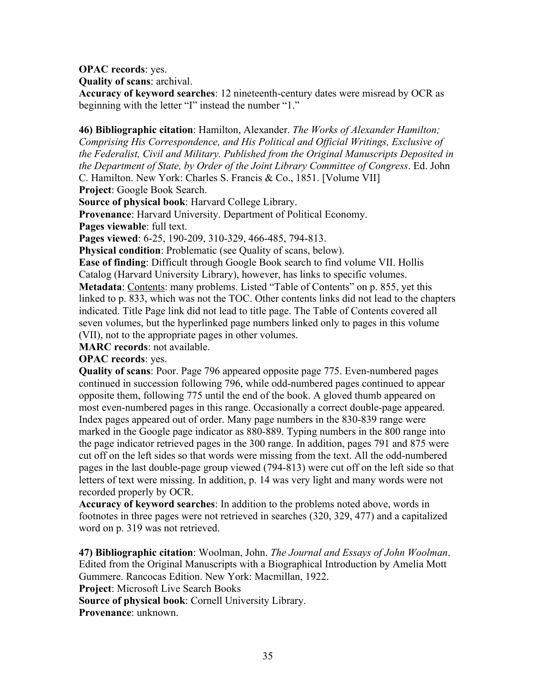**OPAC records**: yes.

**Quality of scans**: archival.

**Accuracy of keyword searches**: 12 nineteenth-century dates were misread by OCR as beginning with the letter "I" instead the number "1."

**46) Bibliographic citation**: Hamilton, Alexander. *The Works of Alexander Hamilton; Comprising His Correspondence, and His Political and Official Writings, Exclusive of the Federalist, Civil and Military. Published from the Original Manuscripts Deposited in the Department of State, by Order of the Joint Library Committee of Congress*. Ed. John C. Hamilton. New York: Charles S. Francis & Co., 1851. [Volume VII]

**Project**: Google Book Search.

**Source of physical book**: Harvard College Library.

**Provenance**: Harvard University. Department of Political Economy.

Pages viewable: full text.

**Pages viewed**: 6-25, 190-209, 310-329, 466-485, 794-813.

**Physical condition**: Problematic (see Quality of scans, below).

**Ease of finding**: Difficult through Google Book search to find volume VII. Hollis Catalog (Harvard University Library), however, has links to specific volumes. **Metadata**: Contents: many problems. Listed "Table of Contents" on p. 855, yet this linked to p. 833, which was not the TOC. Other contents links did not lead to the chapters indicated. Title Page link did not lead to title page. The Table of Contents covered all seven volumes, but the hyperlinked page numbers linked only to pages in this volume (VII), not to the appropriate pages in other volumes.

**MARC records**: not available.

**OPAC records**: yes.

**Quality of scans**: Poor. Page 796 appeared opposite page 775. Even-numbered pages continued in succession following 796, while odd-numbered pages continued to appear opposite them, following 775 until the end of the book. A gloved thumb appeared on most even-numbered pages in this range. Occasionally a correct double-page appeared. Index pages appeared out of order. Many page numbers in the 830-839 range were marked in the Google page indicator as 880-889. Typing numbers in the 800 range into the page indicator retrieved pages in the 300 range. In addition, pages 791 and 875 were cut off on the left sides so that words were missing from the text. All the odd-numbered pages in the last double-page group viewed (794-813) were cut off on the left side so that letters of text were missing. In addition, p. 14 was very light and many words were not recorded properly by OCR.

**Accuracy of keyword searches**: In addition to the problems noted above, words in footnotes in three pages were not retrieved in searches (320, 329, 477) and a capitalized word on p. 319 was not retrieved.

**47) Bibliographic citation**: Woolman, John. *The Journal and Essays of John Woolman*. Edited from the Original Manuscripts with a Biographical Introduction by Amelia Mott Gummere. Rancocas Edition. New York: Macmillan, 1922. **Project**: Microsoft Live Search Books **Source of physical book**: Cornell University Library.

**Provenance**: unknown.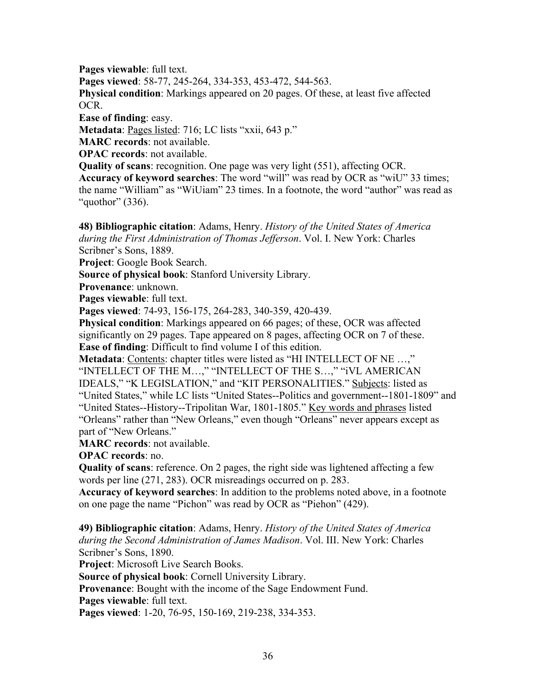**Pages viewable**: full text. **Pages viewed**: 58-77, 245-264, 334-353, 453-472, 544-563. **Physical condition**: Markings appeared on 20 pages. Of these, at least five affected OCR. **Ease of finding**: easy. **Metadata**: Pages listed: 716; LC lists "xxii, 643 p."

**MARC records**: not available.

**OPAC records**: not available.

**Quality of scans**: recognition. One page was very light (551), affecting OCR.

**Accuracy of keyword searches**: The word "will" was read by OCR as "wiU" 33 times; the name "William" as "WiUiam" 23 times. In a footnote, the word "author" was read as "quothor" (336).

**48) Bibliographic citation**: Adams, Henry. *History of the United States of America during the First Administration of Thomas Jefferson*. Vol. I. New York: Charles Scribner's Sons, 1889.

**Project**: Google Book Search.

**Source of physical book**: Stanford University Library.

**Provenance**: unknown.

**Pages viewable**: full text.

**Pages viewed**: 74-93, 156-175, 264-283, 340-359, 420-439.

**Physical condition**: Markings appeared on 66 pages; of these, OCR was affected significantly on 29 pages. Tape appeared on 8 pages, affecting OCR on 7 of these. **Ease of finding**: Difficult to find volume I of this edition.

**Metadata**: Contents: chapter titles were listed as "HI INTELLECT OF NE …," "INTELLECT OF THE M…," "INTELLECT OF THE S…," "iVL AMERICAN IDEALS," "K LEGISLATION," and "KIT PERSONALITIES." Subjects: listed as "United States," while LC lists "United States--Politics and government--1801-1809" and "United States--History--Tripolitan War, 1801-1805." Key words and phrases listed "Orleans" rather than "New Orleans," even though "Orleans" never appears except as part of "New Orleans."

**MARC records**: not available.

**OPAC records**: no.

**Quality of scans**: reference. On 2 pages, the right side was lightened affecting a few words per line (271, 283). OCR misreadings occurred on p. 283.

**Accuracy of keyword searches**: In addition to the problems noted above, in a footnote on one page the name "Pichon" was read by OCR as "Piehon" (429).

**49) Bibliographic citation**: Adams, Henry. *History of the United States of America during the Second Administration of James Madison*. Vol. III. New York: Charles Scribner's Sons, 1890.

**Project**: Microsoft Live Search Books.

**Source of physical book**: Cornell University Library.

**Provenance**: Bought with the income of the Sage Endowment Fund.

**Pages viewable**: full text.

**Pages viewed**: 1-20, 76-95, 150-169, 219-238, 334-353.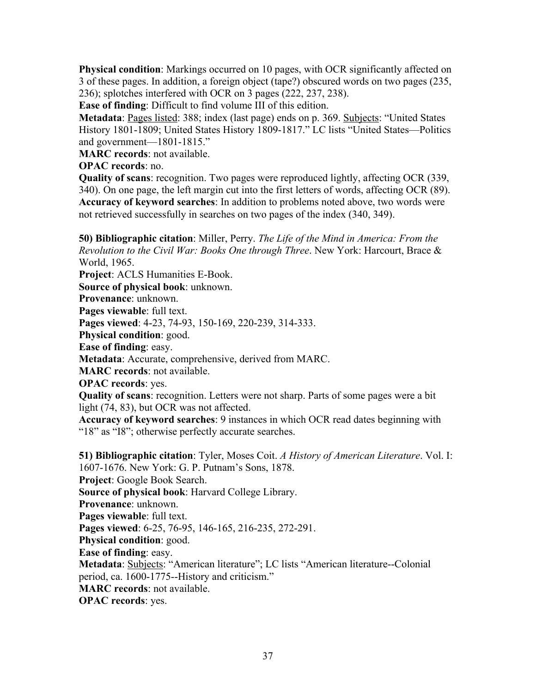**Physical condition**: Markings occurred on 10 pages, with OCR significantly affected on 3 of these pages. In addition, a foreign object (tape?) obscured words on two pages (235, 236); splotches interfered with OCR on 3 pages (222, 237, 238).

**Ease of finding**: Difficult to find volume III of this edition.

**Metadata**: Pages listed: 388; index (last page) ends on p. 369. Subjects: "United States History 1801-1809; United States History 1809-1817." LC lists "United States—Politics and government—1801-1815."

**MARC records**: not available.

**OPAC records**: no.

**Quality of scans**: recognition. Two pages were reproduced lightly, affecting OCR (339, 340). On one page, the left margin cut into the first letters of words, affecting OCR (89). **Accuracy of keyword searches**: In addition to problems noted above, two words were not retrieved successfully in searches on two pages of the index (340, 349).

**50) Bibliographic citation**: Miller, Perry. *The Life of the Mind in America: From the Revolution to the Civil War: Books One through Three*. New York: Harcourt, Brace & World, 1965.

**Project**: ACLS Humanities E-Book.

**Source of physical book**: unknown.

**Provenance**: unknown.

**Pages viewable**: full text.

**Pages viewed**: 4-23, 74-93, 150-169, 220-239, 314-333.

**Physical condition**: good.

**Ease of finding**: easy.

**Metadata**: Accurate, comprehensive, derived from MARC.

**MARC records**: not available.

**OPAC records**: yes.

**Quality of scans**: recognition. Letters were not sharp. Parts of some pages were a bit light (74, 83), but OCR was not affected.

**Accuracy of keyword searches**: 9 instances in which OCR read dates beginning with "18" as "I8"; otherwise perfectly accurate searches.

**51) Bibliographic citation**: Tyler, Moses Coit. *A History of American Literature*. Vol. I: 1607-1676. New York: G. P. Putnam's Sons, 1878. **Project**: Google Book Search. **Source of physical book**: Harvard College Library. **Provenance**: unknown. **Pages viewable**: full text. **Pages viewed**: 6-25, 76-95, 146-165, 216-235, 272-291. **Physical condition**: good. **Ease of finding**: easy. **Metadata**: Subjects: "American literature"; LC lists "American literature--Colonial period, ca. 1600-1775--History and criticism." **MARC records**: not available. **OPAC records**: yes.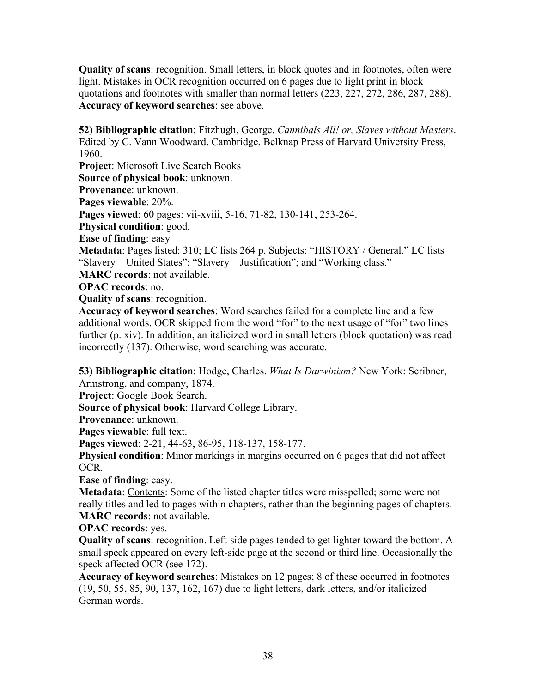**Quality of scans**: recognition. Small letters, in block quotes and in footnotes, often were light. Mistakes in OCR recognition occurred on 6 pages due to light print in block quotations and footnotes with smaller than normal letters (223, 227, 272, 286, 287, 288). **Accuracy of keyword searches**: see above.

**52) Bibliographic citation**: Fitzhugh, George. *Cannibals All! or, Slaves without Masters*. Edited by C. Vann Woodward. Cambridge, Belknap Press of Harvard University Press, 1960. **Project**: Microsoft Live Search Books **Source of physical book**: unknown. **Provenance**: unknown. **Pages viewable**: 20%. **Pages viewed**: 60 pages: vii-xviii, 5-16, 71-82, 130-141, 253-264. **Physical condition**: good. **Ease of finding**: easy **Metadata**: Pages listed: 310; LC lists 264 p. Subjects: "HISTORY / General." LC lists "Slavery—United States"; "Slavery—Justification"; and "Working class." **MARC records**: not available. **OPAC records**: no. **Quality of scans**: recognition.

**Accuracy of keyword searches**: Word searches failed for a complete line and a few additional words. OCR skipped from the word "for" to the next usage of "for" two lines further (p. xiv). In addition, an italicized word in small letters (block quotation) was read incorrectly (137). Otherwise, word searching was accurate.

**53) Bibliographic citation**: Hodge, Charles. *What Is Darwinism?* New York: Scribner, Armstrong, and company, 1874.

**Project**: Google Book Search.

**Source of physical book**: Harvard College Library.

**Provenance**: unknown.

**Pages viewable**: full text.

**Pages viewed**: 2-21, 44-63, 86-95, 118-137, 158-177.

**Physical condition**: Minor markings in margins occurred on 6 pages that did not affect OCR.

**Ease of finding**: easy.

**Metadata**: Contents: Some of the listed chapter titles were misspelled; some were not really titles and led to pages within chapters, rather than the beginning pages of chapters. **MARC records**: not available.

**OPAC records**: yes.

**Quality of scans**: recognition. Left-side pages tended to get lighter toward the bottom. A small speck appeared on every left-side page at the second or third line. Occasionally the speck affected OCR (see 172).

**Accuracy of keyword searches**: Mistakes on 12 pages; 8 of these occurred in footnotes (19, 50, 55, 85, 90, 137, 162, 167) due to light letters, dark letters, and/or italicized German words.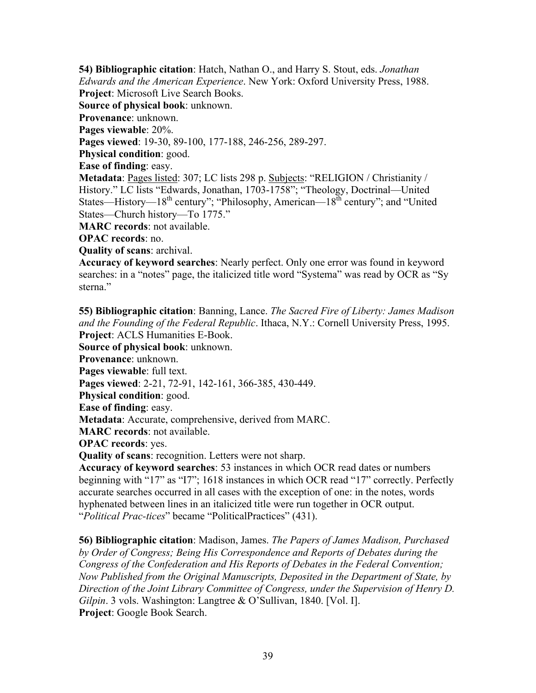**54) Bibliographic citation**: Hatch, Nathan O., and Harry S. Stout, eds. *Jonathan Edwards and the American Experience*. New York: Oxford University Press, 1988. **Project**: Microsoft Live Search Books. **Source of physical book**: unknown. **Provenance**: unknown. **Pages viewable**: 20%. **Pages viewed**: 19-30, 89-100, 177-188, 246-256, 289-297. **Physical condition**: good. **Ease of finding**: easy. **Metadata**: Pages listed: 307; LC lists 298 p. Subjects: "RELIGION / Christianity / History." LC lists "Edwards, Jonathan, 1703-1758"; "Theology, Doctrinal—United States—History— $18<sup>th</sup>$  century"; "Philosophy, American— $18<sup>th</sup>$  century"; and "United States—Church history—To 1775." **MARC records**: not available. **OPAC records**: no.

**Quality of scans**: archival.

**Accuracy of keyword searches**: Nearly perfect. Only one error was found in keyword searches: in a "notes" page, the italicized title word "Systema" was read by OCR as "Sy sterna."

**55) Bibliographic citation**: Banning, Lance. *The Sacred Fire of Liberty: James Madison and the Founding of the Federal Republic*. Ithaca, N.Y.: Cornell University Press, 1995. **Project**: ACLS Humanities E-Book. **Source of physical book**: unknown. **Provenance**: unknown. **Pages viewable**: full text. **Pages viewed**: 2-21, 72-91, 142-161, 366-385, 430-449. **Physical condition**: good. **Ease of finding**: easy. **Metadata**: Accurate, comprehensive, derived from MARC. **MARC records**: not available. **OPAC records**: yes. **Quality of scans**: recognition. Letters were not sharp. **Accuracy of keyword searches**: 53 instances in which OCR read dates or numbers beginning with "17" as "I7"; 1618 instances in which OCR read "17" correctly. Perfectly accurate searches occurred in all cases with the exception of one: in the notes, words

hyphenated between lines in an italicized title were run together in OCR output. "*Political Prac-tices*" became "PoliticalPractices" (431).

**56) Bibliographic citation**: Madison, James. *The Papers of James Madison, Purchased by Order of Congress; Being His Correspondence and Reports of Debates during the Congress of the Confederation and His Reports of Debates in the Federal Convention; Now Published from the Original Manuscripts, Deposited in the Department of State, by Direction of the Joint Library Committee of Congress, under the Supervision of Henry D. Gilpin*. 3 vols. Washington: Langtree & O'Sullivan, 1840. [Vol. I]. **Project**: Google Book Search.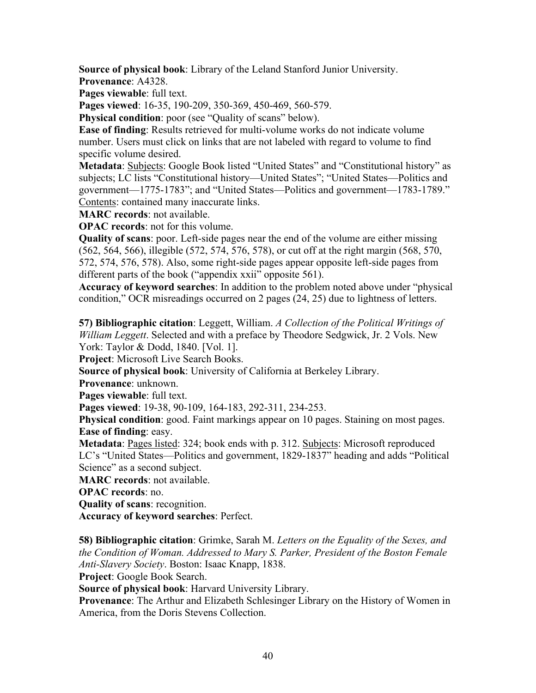**Source of physical book**: Library of the Leland Stanford Junior University. **Provenance**: A4328.

**Pages viewable**: full text.

**Pages viewed**: 16-35, 190-209, 350-369, 450-469, 560-579.

**Physical condition**: poor (see "Quality of scans" below).

**Ease of finding**: Results retrieved for multi-volume works do not indicate volume number. Users must click on links that are not labeled with regard to volume to find specific volume desired.

**Metadata**: Subjects: Google Book listed "United States" and "Constitutional history" as subjects; LC lists "Constitutional history—United States"; "United States—Politics and government—1775-1783"; and "United States—Politics and government—1783-1789." Contents: contained many inaccurate links.

**MARC records**: not available.

**OPAC records**: not for this volume.

**Quality of scans**: poor. Left-side pages near the end of the volume are either missing (562, 564, 566), illegible (572, 574, 576, 578), or cut off at the right margin (568, 570, 572, 574, 576, 578). Also, some right-side pages appear opposite left-side pages from different parts of the book ("appendix xxii" opposite 561).

**Accuracy of keyword searches**: In addition to the problem noted above under "physical condition," OCR misreadings occurred on 2 pages (24, 25) due to lightness of letters.

**57) Bibliographic citation**: Leggett, William. *A Collection of the Political Writings of William Leggett*. Selected and with a preface by Theodore Sedgwick, Jr. 2 Vols. New York: Taylor & Dodd, 1840. [Vol. 1].

**Project**: Microsoft Live Search Books.

**Source of physical book**: University of California at Berkeley Library.

**Provenance**: unknown.

**Pages viewable**: full text.

**Pages viewed**: 19-38, 90-109, 164-183, 292-311, 234-253.

**Physical condition**: good. Faint markings appear on 10 pages. Staining on most pages. **Ease of finding**: easy.

**Metadata**: Pages listed: 324; book ends with p. 312. Subjects: Microsoft reproduced LC's "United States—Politics and government, 1829-1837" heading and adds "Political Science" as a second subject.

**MARC records**: not available.

**OPAC records**: no.

**Quality of scans**: recognition.

**Accuracy of keyword searches**: Perfect.

**58) Bibliographic citation**: Grimke, Sarah M. *Letters on the Equality of the Sexes, and the Condition of Woman. Addressed to Mary S. Parker, President of the Boston Female Anti-Slavery Society*. Boston: Isaac Knapp, 1838.

**Project**: Google Book Search.

**Source of physical book**: Harvard University Library.

**Provenance**: The Arthur and Elizabeth Schlesinger Library on the History of Women in America, from the Doris Stevens Collection.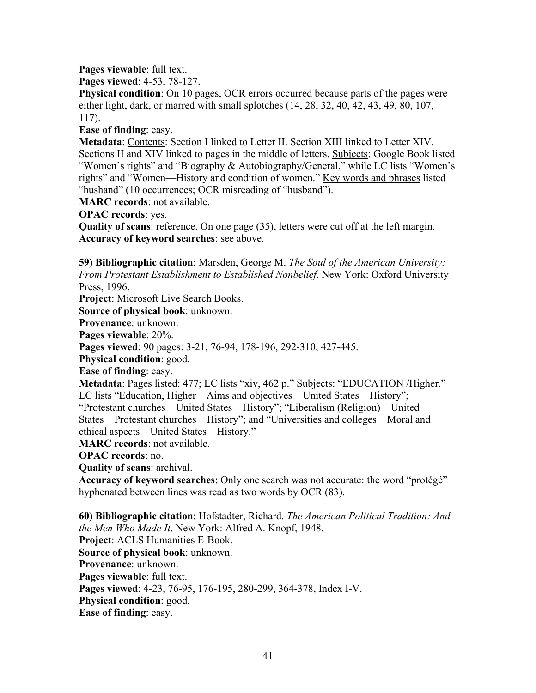**Pages viewable**: full text.

**Pages viewed**: 4-53, 78-127.

**Physical condition**: On 10 pages, OCR errors occurred because parts of the pages were either light, dark, or marred with small splotches (14, 28, 32, 40, 42, 43, 49, 80, 107, 117).

**Ease of finding**: easy.

**Metadata**: Contents: Section I linked to Letter II. Section XIII linked to Letter XIV. Sections II and XIV linked to pages in the middle of letters. Subjects: Google Book listed "Women's rights" and "Biography & Autobiography/General," while LC lists "Women's rights" and "Women—History and condition of women." Key words and phrases listed "hushand" (10 occurrences; OCR misreading of "husband").

**MARC records**: not available.

**OPAC records**: yes.

**Quality of scans**: reference. On one page (35), letters were cut off at the left margin. **Accuracy of keyword searches**: see above.

**59) Bibliographic citation**: Marsden, George M. *The Soul of the American University: From Protestant Establishment to Established Nonbelief*. New York: Oxford University Press, 1996.

**Project**: Microsoft Live Search Books.

**Source of physical book**: unknown.

**Provenance**: unknown.

**Pages viewable**: 20%.

**Pages viewed**: 90 pages: 3-21, 76-94, 178-196, 292-310, 427-445.

**Physical condition**: good.

**Ease of finding**: easy.

**Metadata**: Pages listed: 477; LC lists "xiv, 462 p." Subjects: "EDUCATION /Higher."

LC lists "Education, Higher—Aims and objectives—United States—History";

"Protestant churches—United States—History"; "Liberalism (Religion)—United States—Protestant churches—History"; and "Universities and colleges—Moral and ethical aspects—United States—History."

**MARC records**: not available.

**OPAC records**: no.

**Quality of scans**: archival.

**Accuracy of keyword searches**: Only one search was not accurate: the word "protégé" hyphenated between lines was read as two words by OCR (83).

**60) Bibliographic citation**: Hofstadter, Richard. *The American Political Tradition: And the Men Who Made It*. New York: Alfred A. Knopf, 1948. **Project**: ACLS Humanities E-Book. **Source of physical book**: unknown. **Provenance**: unknown. **Pages viewable**: full text. **Pages viewed**: 4-23, 76-95, 176-195, 280-299, 364-378, Index I-V. **Physical condition**: good. **Ease of finding**: easy.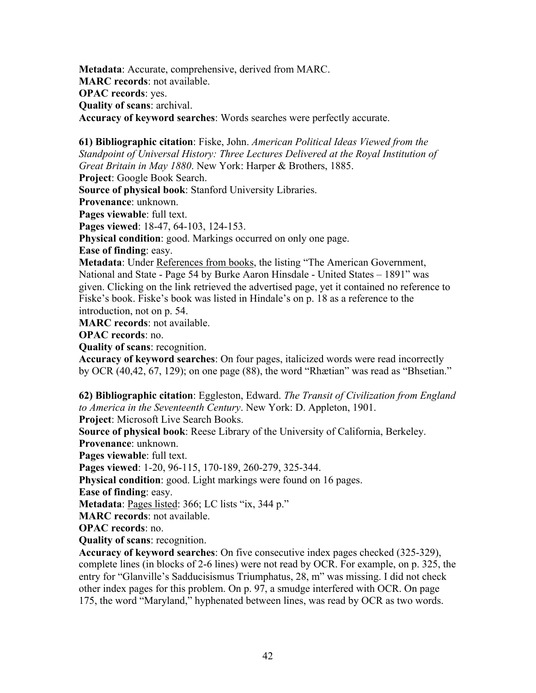**Metadata**: Accurate, comprehensive, derived from MARC. **MARC records**: not available. **OPAC records**: yes. **Quality of scans**: archival. **Accuracy of keyword searches**: Words searches were perfectly accurate.

**61) Bibliographic citation**: Fiske, John. *American Political Ideas Viewed from the Standpoint of Universal History: Three Lectures Delivered at the Royal Institution of Great Britain in May 1880*. New York: Harper & Brothers, 1885.

**Project**: Google Book Search.

**Source of physical book**: Stanford University Libraries.

**Provenance**: unknown.

**Pages viewable**: full text.

**Pages viewed**: 18-47, 64-103, 124-153.

**Physical condition**: good. Markings occurred on only one page.

**Ease of finding**: easy.

**Metadata**: Under References from books, the listing "The American Government, National and State - Page 54 by Burke Aaron Hinsdale - United States – 1891" was given. Clicking on the link retrieved the advertised page, yet it contained no reference to Fiske's book. Fiske's book was listed in Hindale's on p. 18 as a reference to the introduction, not on p. 54.

**MARC records**: not available.

**OPAC records**: no.

**Quality of scans**: recognition.

**Accuracy of keyword searches**: On four pages, italicized words were read incorrectly by OCR (40,42, 67, 129); on one page (88), the word "Rhætian" was read as "Bhsetian."

**62) Bibliographic citation**: Eggleston, Edward. *The Transit of Civilization from England to America in the Seventeenth Century*. New York: D. Appleton, 1901.

**Project**: Microsoft Live Search Books.

**Source of physical book**: Reese Library of the University of California, Berkeley. **Provenance**: unknown.

**Pages viewable**: full text.

**Pages viewed**: 1-20, 96-115, 170-189, 260-279, 325-344.

**Physical condition**: good. Light markings were found on 16 pages.

**Ease of finding**: easy.

**Metadata**: Pages listed: 366; LC lists "ix, 344 p."

**MARC records**: not available.

**OPAC records**: no.

**Quality of scans**: recognition.

**Accuracy of keyword searches**: On five consecutive index pages checked (325-329), complete lines (in blocks of 2-6 lines) were not read by OCR. For example, on p. 325, the entry for "Glanville's Sadducisismus Triumphatus, 28, m" was missing. I did not check other index pages for this problem. On p. 97, a smudge interfered with OCR. On page 175, the word "Maryland," hyphenated between lines, was read by OCR as two words.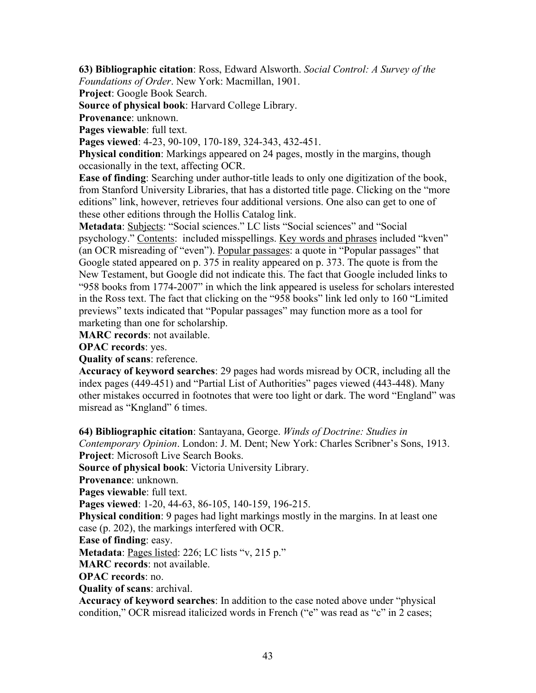**63) Bibliographic citation**: Ross, Edward Alsworth. *Social Control: A Survey of the Foundations of Order*. New York: Macmillan, 1901.

**Project**: Google Book Search.

**Source of physical book**: Harvard College Library.

**Provenance**: unknown.

Pages viewable: full text.

**Pages viewed**: 4-23, 90-109, 170-189, 324-343, 432-451.

**Physical condition**: Markings appeared on 24 pages, mostly in the margins, though occasionally in the text, affecting OCR.

**Ease of finding**: Searching under author-title leads to only one digitization of the book, from Stanford University Libraries, that has a distorted title page. Clicking on the "more editions" link, however, retrieves four additional versions. One also can get to one of these other editions through the Hollis Catalog link.

**Metadata**: Subjects: "Social sciences." LC lists "Social sciences" and "Social psychology." Contents: included misspellings. Key words and phrases included "kven" (an OCR misreading of "even"). Popular passages: a quote in "Popular passages" that Google stated appeared on p. 375 in reality appeared on p. 373. The quote is from the New Testament, but Google did not indicate this. The fact that Google included links to "958 books from 1774-2007" in which the link appeared is useless for scholars interested in the Ross text. The fact that clicking on the "958 books" link led only to 160 "Limited previews" texts indicated that "Popular passages" may function more as a tool for marketing than one for scholarship.

**MARC records**: not available.

**OPAC records**: yes.

**Quality of scans**: reference.

**Accuracy of keyword searches**: 29 pages had words misread by OCR, including all the index pages (449-451) and "Partial List of Authorities" pages viewed (443-448). Many other mistakes occurred in footnotes that were too light or dark. The word "England" was misread as "Kngland" 6 times.

**64) Bibliographic citation**: Santayana, George. *Winds of Doctrine: Studies in* 

*Contemporary Opinion*. London: J. M. Dent; New York: Charles Scribner's Sons, 1913. **Project**: Microsoft Live Search Books.

**Source of physical book**: Victoria University Library.

**Provenance**: unknown.

**Pages viewable**: full text.

**Pages viewed**: 1-20, 44-63, 86-105, 140-159, 196-215.

**Physical condition**: 9 pages had light markings mostly in the margins. In at least one case (p. 202), the markings interfered with OCR.

**Ease of finding**: easy.

**Metadata**: Pages listed: 226; LC lists "v, 215 p."

**MARC records**: not available.

**OPAC records**: no.

**Quality of scans**: archival.

**Accuracy of keyword searches**: In addition to the case noted above under "physical condition," OCR misread italicized words in French ("e" was read as "c" in 2 cases;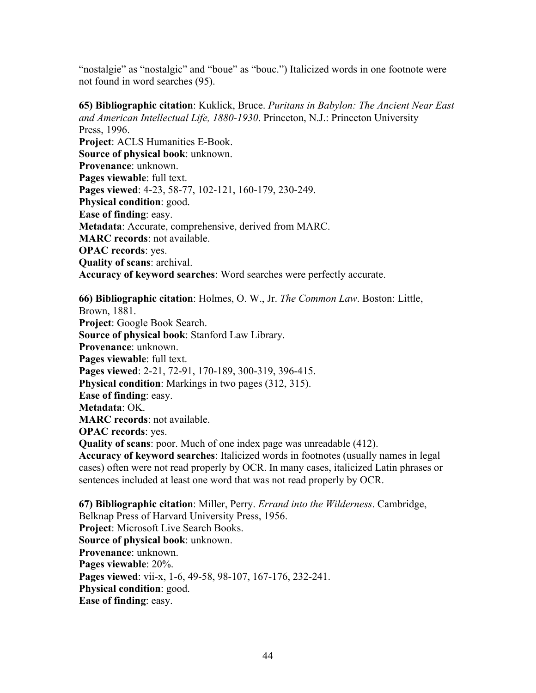"nostalgie" as "nostalgic" and "boue" as "bouc.") Italicized words in one footnote were not found in word searches (95).

**65) Bibliographic citation**: Kuklick, Bruce. *Puritans in Babylon: The Ancient Near East and American Intellectual Life, 1880-1930*. Princeton, N.J.: Princeton University Press, 1996. **Project**: ACLS Humanities E-Book. **Source of physical book**: unknown. **Provenance**: unknown. **Pages viewable**: full text. **Pages viewed**: 4-23, 58-77, 102-121, 160-179, 230-249. **Physical condition**: good. **Ease of finding**: easy. **Metadata**: Accurate, comprehensive, derived from MARC. **MARC records**: not available. **OPAC records**: yes. **Quality of scans**: archival. **Accuracy of keyword searches**: Word searches were perfectly accurate.

**66) Bibliographic citation**: Holmes, O. W., Jr. *The Common Law*. Boston: Little, Brown, 1881. **Project**: Google Book Search. **Source of physical book**: Stanford Law Library. **Provenance**: unknown. **Pages viewable**: full text. **Pages viewed**: 2-21, 72-91, 170-189, 300-319, 396-415. **Physical condition**: Markings in two pages (312, 315). **Ease of finding**: easy. **Metadata**: OK. **MARC records**: not available. **OPAC records**: yes. **Quality of scans**: poor. Much of one index page was unreadable (412). **Accuracy of keyword searches**: Italicized words in footnotes (usually names in legal cases) often were not read properly by OCR. In many cases, italicized Latin phrases or sentences included at least one word that was not read properly by OCR. **67) Bibliographic citation**: Miller, Perry. *Errand into the Wilderness*. Cambridge, Belknap Press of Harvard University Press, 1956.

**Project**: Microsoft Live Search Books. **Source of physical book**: unknown. **Provenance**: unknown. **Pages viewable**: 20%. **Pages viewed**: vii-x, 1-6, 49-58, 98-107, 167-176, 232-241. **Physical condition**: good. **Ease of finding**: easy.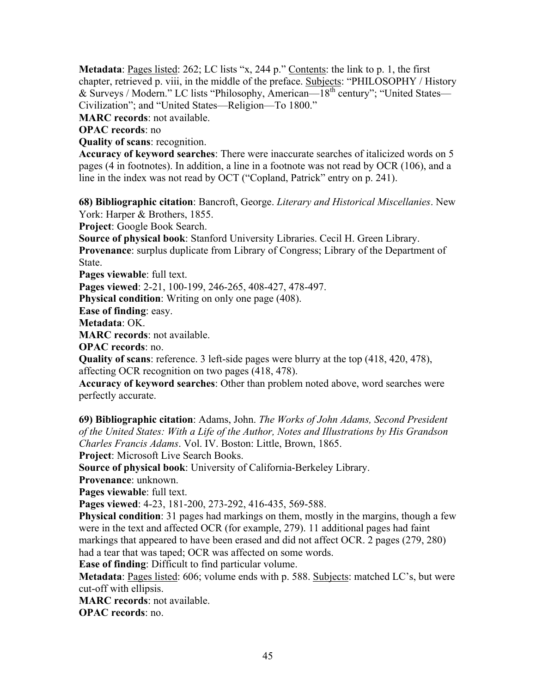Metadata: Pages listed: 262; LC lists "x, 244 p." Contents: the link to p. 1, the first chapter, retrieved p. viii, in the middle of the preface. Subjects: "PHILOSOPHY / History & Surveys / Modern." LC lists "Philosophy, American—18th century"; "United States— Civilization"; and "United States—Religion—To 1800."

**MARC records**: not available.

**OPAC records**: no

**Quality of scans**: recognition.

**Accuracy of keyword searches**: There were inaccurate searches of italicized words on 5 pages (4 in footnotes). In addition, a line in a footnote was not read by OCR (106), and a line in the index was not read by OCT ("Copland, Patrick" entry on p. 241).

**68) Bibliographic citation**: Bancroft, George. *Literary and Historical Miscellanies*. New York: Harper & Brothers, 1855.

**Project**: Google Book Search.

**Source of physical book**: Stanford University Libraries. Cecil H. Green Library. **Provenance**: surplus duplicate from Library of Congress; Library of the Department of State.

**Pages viewable**: full text.

**Pages viewed**: 2-21, 100-199, 246-265, 408-427, 478-497.

**Physical condition**: Writing on only one page (408).

**Ease of finding**: easy.

**Metadata**: OK.

**MARC records**: not available.

**OPAC records**: no.

**Quality of scans**: reference. 3 left-side pages were blurry at the top (418, 420, 478), affecting OCR recognition on two pages (418, 478).

**Accuracy of keyword searches**: Other than problem noted above, word searches were perfectly accurate.

**69) Bibliographic citation**: Adams, John. *The Works of John Adams, Second President of the United States: With a Life of the Author, Notes and Illustrations by His Grandson Charles Francis Adams*. Vol. IV. Boston: Little, Brown, 1865.

**Project**: Microsoft Live Search Books.

**Source of physical book**: University of California-Berkeley Library.

**Provenance**: unknown.

**Pages viewable**: full text.

**Pages viewed**: 4-23, 181-200, 273-292, 416-435, 569-588.

**Physical condition**: 31 pages had markings on them, mostly in the margins, though a few were in the text and affected OCR (for example, 279). 11 additional pages had faint markings that appeared to have been erased and did not affect OCR. 2 pages (279, 280) had a tear that was taped; OCR was affected on some words.

**Ease of finding**: Difficult to find particular volume.

**Metadata**: <u>Pages listed</u>: 606; volume ends with p. 588. Subjects: matched LC's, but were cut-off with ellipsis.

**MARC records**: not available.

**OPAC records**: no.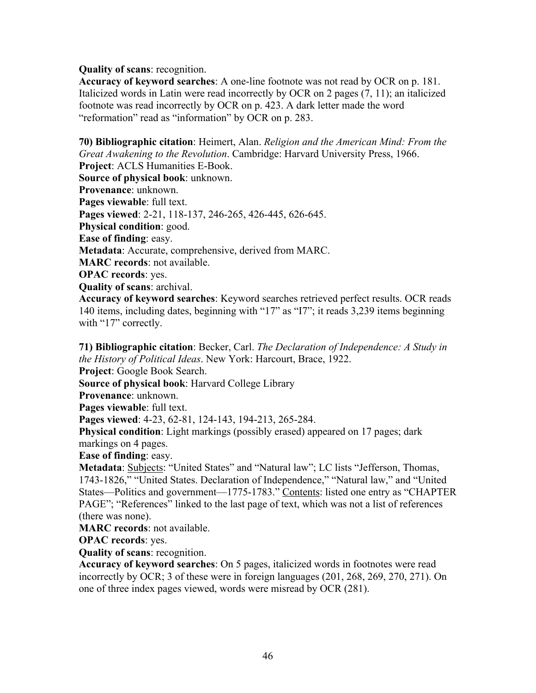## **Quality of scans**: recognition.

**Accuracy of keyword searches**: A one-line footnote was not read by OCR on p. 181. Italicized words in Latin were read incorrectly by OCR on 2 pages (7, 11); an italicized footnote was read incorrectly by OCR on p. 423. A dark letter made the word "reformation" read as "information" by OCR on p. 283.

**70) Bibliographic citation**: Heimert, Alan. *Religion and the American Mind: From the Great Awakening to the Revolution*. Cambridge: Harvard University Press, 1966. **Project**: ACLS Humanities E-Book. **Source of physical book**: unknown. **Provenance**: unknown. **Pages viewable**: full text. **Pages viewed**: 2-21, 118-137, 246-265, 426-445, 626-645. **Physical condition**: good. **Ease of finding**: easy. **Metadata**: Accurate, comprehensive, derived from MARC. **MARC records**: not available. **OPAC records**: yes. **Quality of scans**: archival. **Accuracy of keyword searches**: Keyword searches retrieved perfect results. OCR reads 140 items, including dates, beginning with "17" as "I7"; it reads 3,239 items beginning

with "17" correctly.

**71) Bibliographic citation**: Becker, Carl. *The Declaration of Independence: A Study in the History of Political Ideas*. New York: Harcourt, Brace, 1922.

**Project**: Google Book Search.

**Source of physical book**: Harvard College Library

**Provenance**: unknown.

**Pages viewable**: full text.

**Pages viewed**: 4-23, 62-81, 124-143, 194-213, 265-284.

**Physical condition**: Light markings (possibly erased) appeared on 17 pages; dark markings on 4 pages.

**Ease of finding**: easy.

**Metadata**: Subjects: "United States" and "Natural law"; LC lists "Jefferson, Thomas, 1743-1826," "United States. Declaration of Independence," "Natural law," and "United States—Politics and government—1775-1783." Contents: listed one entry as "CHAPTER PAGE"; "References" linked to the last page of text, which was not a list of references (there was none).

**MARC records**: not available.

**OPAC records**: yes.

**Quality of scans**: recognition.

**Accuracy of keyword searches**: On 5 pages, italicized words in footnotes were read incorrectly by OCR; 3 of these were in foreign languages (201, 268, 269, 270, 271). On one of three index pages viewed, words were misread by OCR (281).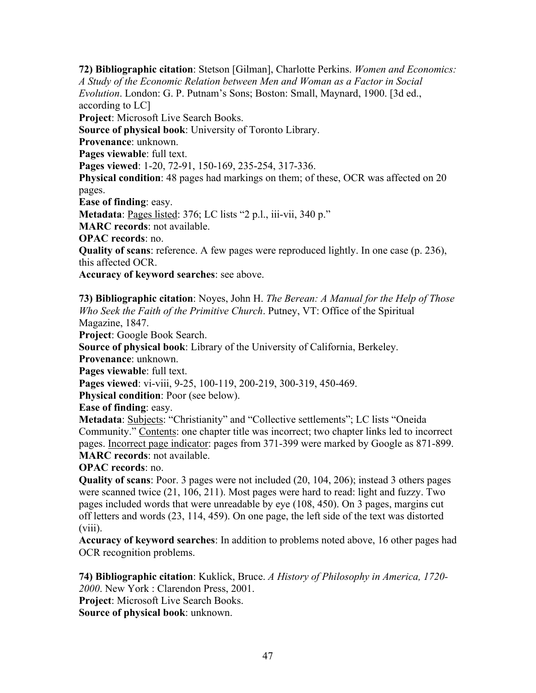**72) Bibliographic citation**: Stetson [Gilman], Charlotte Perkins. *Women and Economics: A Study of the Economic Relation between Men and Woman as a Factor in Social Evolution*. London: G. P. Putnam's Sons; Boston: Small, Maynard, 1900. [3d ed., according to LC] **Project**: Microsoft Live Search Books. **Source of physical book**: University of Toronto Library. **Provenance**: unknown. **Pages viewable**: full text. **Pages viewed**: 1-20, 72-91, 150-169, 235-254, 317-336. **Physical condition**: 48 pages had markings on them; of these, OCR was affected on 20 pages. **Ease of finding**: easy. **Metadata**: Pages listed: 376; LC lists "2 p.l., iii-vii, 340 p." **MARC records**: not available. **OPAC records**: no. **Quality of scans**: reference. A few pages were reproduced lightly. In one case (p. 236), this affected OCR.

**Accuracy of keyword searches**: see above.

**73) Bibliographic citation**: Noyes, John H. *The Berean: A Manual for the Help of Those Who Seek the Faith of the Primitive Church*. Putney, VT: Office of the Spiritual Magazine, 1847.

**Project**: Google Book Search.

**Source of physical book**: Library of the University of California, Berkeley.

**Provenance**: unknown.

**Pages viewable**: full text.

**Pages viewed**: vi-viii, 9-25, 100-119, 200-219, 300-319, 450-469.

**Physical condition**: Poor (see below).

**Ease of finding**: easy.

**Metadata**: Subjects: "Christianity" and "Collective settlements"; LC lists "Oneida Community." Contents: one chapter title was incorrect; two chapter links led to incorrect pages. Incorrect page indicator: pages from 371-399 were marked by Google as 871-899. **MARC records**: not available.

**OPAC records**: no.

**Quality of scans**: Poor. 3 pages were not included (20, 104, 206); instead 3 others pages were scanned twice (21, 106, 211). Most pages were hard to read: light and fuzzy. Two pages included words that were unreadable by eye (108, 450). On 3 pages, margins cut off letters and words (23, 114, 459). On one page, the left side of the text was distorted (viii).

**Accuracy of keyword searches**: In addition to problems noted above, 16 other pages had OCR recognition problems.

**74) Bibliographic citation**: Kuklick, Bruce. *A History of Philosophy in America, 1720- 2000*. New York : Clarendon Press, 2001. **Project**: Microsoft Live Search Books.

**Source of physical book**: unknown.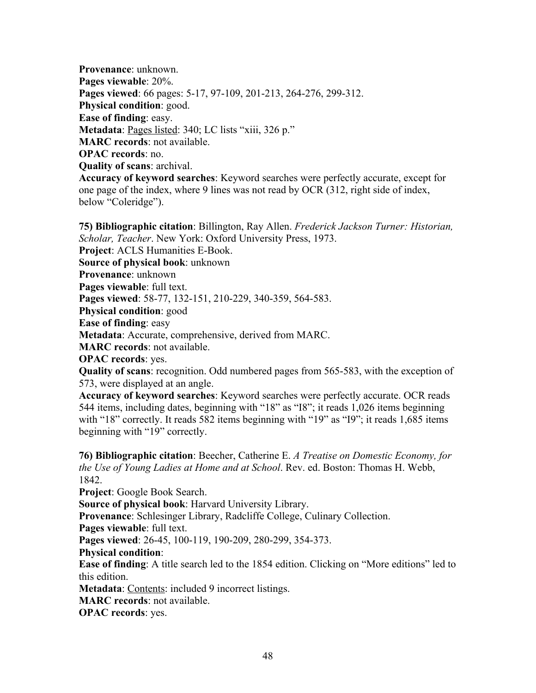**Provenance**: unknown. **Pages viewable**: 20%. **Pages viewed**: 66 pages: 5-17, 97-109, 201-213, 264-276, 299-312. **Physical condition**: good. **Ease of finding**: easy. Metadata: Pages listed: 340; LC lists "xiii, 326 p." **MARC records**: not available. **OPAC records**: no. **Quality of scans**: archival. **Accuracy of keyword searches**: Keyword searches were perfectly accurate, except for one page of the index, where 9 lines was not read by OCR (312, right side of index, below "Coleridge").

**75) Bibliographic citation**: Billington, Ray Allen. *Frederick Jackson Turner: Historian, Scholar, Teacher*. New York: Oxford University Press, 1973.

**Project**: ACLS Humanities E-Book.

**Source of physical book**: unknown

**Provenance**: unknown

**Pages viewable**: full text.

**Pages viewed**: 58-77, 132-151, 210-229, 340-359, 564-583.

**Physical condition**: good

**Ease of finding**: easy

**Metadata**: Accurate, comprehensive, derived from MARC.

**MARC records**: not available.

**OPAC records**: yes.

**Quality of scans**: recognition. Odd numbered pages from 565-583, with the exception of 573, were displayed at an angle.

**Accuracy of keyword searches**: Keyword searches were perfectly accurate. OCR reads 544 items, including dates, beginning with "18" as "I8"; it reads 1,026 items beginning with "18" correctly. It reads 582 items beginning with "19" as "I9"; it reads 1,685 items beginning with "19" correctly.

**76) Bibliographic citation**: Beecher, Catherine E. *A Treatise on Domestic Economy, for the Use of Young Ladies at Home and at School*. Rev. ed. Boston: Thomas H. Webb, 1842.

**Project**: Google Book Search.

**Source of physical book**: Harvard University Library.

**Provenance**: Schlesinger Library, Radcliffe College, Culinary Collection.

**Pages viewable**: full text.

**Pages viewed**: 26-45, 100-119, 190-209, 280-299, 354-373.

**Physical condition**:

**Ease of finding**: A title search led to the 1854 edition. Clicking on "More editions" led to this edition.

Metadata: Contents: included 9 incorrect listings.

**MARC records**: not available.

**OPAC records**: yes.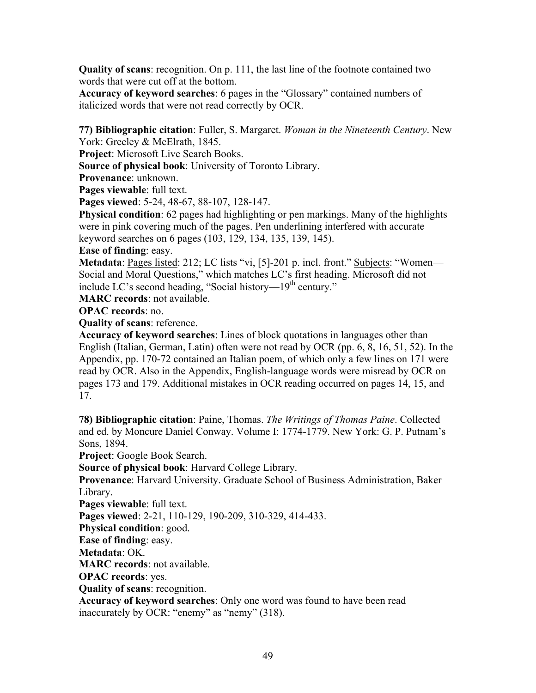**Quality of scans**: recognition. On p. 111, the last line of the footnote contained two words that were cut off at the bottom.

**Accuracy of keyword searches**: 6 pages in the "Glossary" contained numbers of italicized words that were not read correctly by OCR.

**77) Bibliographic citation**: Fuller, S. Margaret. *Woman in the Nineteenth Century*. New York: Greeley & McElrath, 1845.

**Project**: Microsoft Live Search Books.

**Source of physical book**: University of Toronto Library.

**Provenance**: unknown.

**Pages viewable**: full text.

**Pages viewed**: 5-24, 48-67, 88-107, 128-147.

**Physical condition**: 62 pages had highlighting or pen markings. Many of the highlights were in pink covering much of the pages. Pen underlining interfered with accurate keyword searches on 6 pages (103, 129, 134, 135, 139, 145).

**Ease of finding**: easy.

**Metadata**: Pages listed: 212; LC lists "vi, [5]-201 p. incl. front." Subjects: "Women— Social and Moral Questions," which matches LC's first heading. Microsoft did not include LC's second heading, "Social history— $19<sup>th</sup>$  century."

**MARC records**: not available.

**OPAC records**: no.

**Quality of scans**: reference.

**Accuracy of keyword searches**: Lines of block quotations in languages other than English (Italian, German, Latin) often were not read by OCR (pp. 6, 8, 16, 51, 52). In the Appendix, pp. 170-72 contained an Italian poem, of which only a few lines on 171 were read by OCR. Also in the Appendix, English-language words were misread by OCR on pages 173 and 179. Additional mistakes in OCR reading occurred on pages 14, 15, and 17.

**78) Bibliographic citation**: Paine, Thomas. *The Writings of Thomas Paine*. Collected and ed. by Moncure Daniel Conway. Volume I: 1774-1779. New York: G. P. Putnam's Sons, 1894.

**Project**: Google Book Search.

**Source of physical book**: Harvard College Library.

**Provenance**: Harvard University. Graduate School of Business Administration, Baker Library.

**Pages viewable**: full text.

**Pages viewed**: 2-21, 110-129, 190-209, 310-329, 414-433.

**Physical condition**: good.

**Ease of finding**: easy.

**Metadata**: OK.

**MARC records**: not available.

**OPAC records**: yes.

**Quality of scans**: recognition.

**Accuracy of keyword searches**: Only one word was found to have been read inaccurately by OCR: "enemy" as "nemy" (318).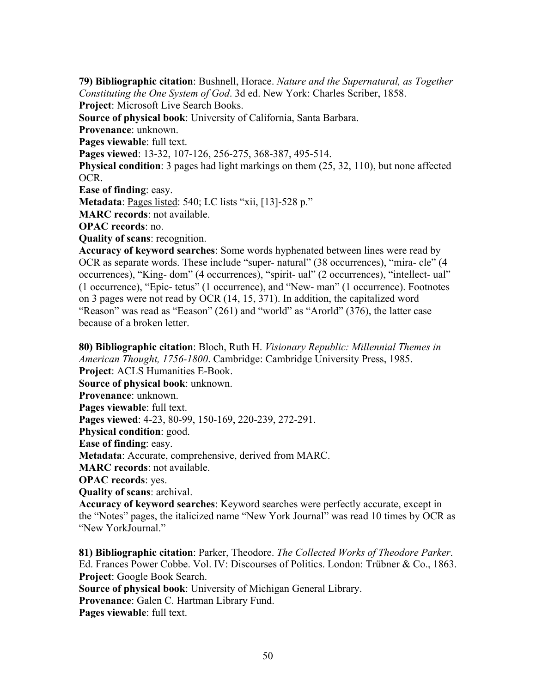**79) Bibliographic citation**: Bushnell, Horace. *Nature and the Supernatural, as Together Constituting the One System of God*. 3d ed. New York: Charles Scriber, 1858. **Project**: Microsoft Live Search Books. **Source of physical book**: University of California, Santa Barbara. **Provenance**: unknown. **Pages viewable**: full text. **Pages viewed**: 13-32, 107-126, 256-275, 368-387, 495-514. **Physical condition**: 3 pages had light markings on them (25, 32, 110), but none affected OCR. **Ease of finding**: easy. **Metadata**: Pages listed: 540; LC lists "xii, [13]-528 p." **MARC records**: not available. **OPAC records**: no.

**Quality of scans**: recognition.

**Accuracy of keyword searches**: Some words hyphenated between lines were read by OCR as separate words. These include "super- natural" (38 occurrences), "mira- cle" (4 occurrences), "King- dom" (4 occurrences), "spirit- ual" (2 occurrences), "intellect- ual" (1 occurrence), "Epic- tetus" (1 occurrence), and "New- man" (1 occurrence). Footnotes on 3 pages were not read by OCR (14, 15, 371). In addition, the capitalized word "Reason" was read as "Eeason" (261) and "world" as "Arorld" (376), the latter case because of a broken letter.

**80) Bibliographic citation**: Bloch, Ruth H. *Visionary Republic: Millennial Themes in American Thought, 1756-1800*. Cambridge: Cambridge University Press, 1985. **Project**: ACLS Humanities E-Book. **Source of physical book**: unknown. **Provenance**: unknown. **Pages viewable**: full text. **Pages viewed**: 4-23, 80-99, 150-169, 220-239, 272-291. **Physical condition**: good. **Ease of finding**: easy. **Metadata**: Accurate, comprehensive, derived from MARC. **MARC records**: not available. **OPAC records**: yes. **Quality of scans**: archival. **Accuracy of keyword searches**: Keyword searches were perfectly accurate, except in the "Notes" pages, the italicized name "New York Journal" was read 10 times by OCR as

"New YorkJournal."

**81) Bibliographic citation**: Parker, Theodore. *The Collected Works of Theodore Parker*. Ed. Frances Power Cobbe. Vol. IV: Discourses of Politics. London: Trübner & Co., 1863. **Project**: Google Book Search.

**Source of physical book**: University of Michigan General Library.

**Provenance**: Galen C. Hartman Library Fund.

**Pages viewable**: full text.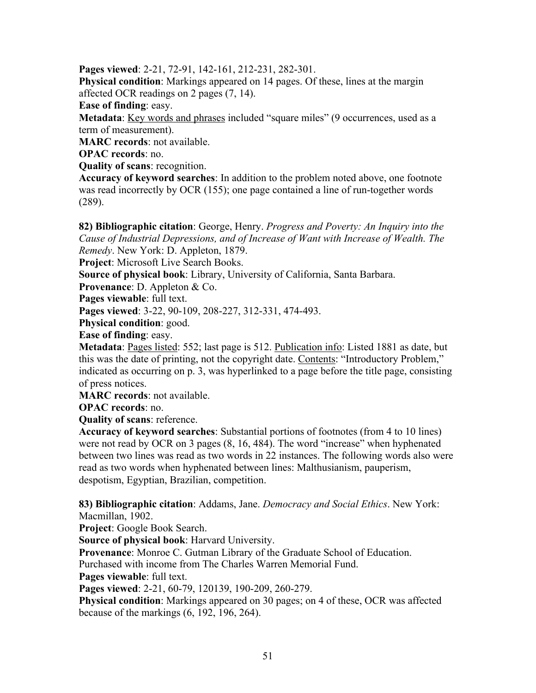**Pages viewed**: 2-21, 72-91, 142-161, 212-231, 282-301.

**Physical condition**: Markings appeared on 14 pages. Of these, lines at the margin affected OCR readings on 2 pages (7, 14).

**Ease of finding**: easy.

**Metadata**: Key words and phrases included "square miles" (9 occurrences, used as a term of measurement).

**MARC records**: not available.

**OPAC records**: no.

**Quality of scans**: recognition.

**Accuracy of keyword searches**: In addition to the problem noted above, one footnote was read incorrectly by OCR (155); one page contained a line of run-together words (289).

**82) Bibliographic citation**: George, Henry. *Progress and Poverty: An Inquiry into the Cause of Industrial Depressions, and of Increase of Want with Increase of Wealth. The Remedy*. New York: D. Appleton, 1879.

**Project**: Microsoft Live Search Books.

**Source of physical book**: Library, University of California, Santa Barbara.

**Provenance**: D. Appleton & Co.

**Pages viewable**: full text.

**Pages viewed**: 3-22, 90-109, 208-227, 312-331, 474-493.

**Physical condition**: good.

**Ease of finding**: easy.

**Metadata**: Pages listed: 552; last page is 512. Publication info: Listed 1881 as date, but this was the date of printing, not the copyright date. Contents: "Introductory Problem," indicated as occurring on p. 3, was hyperlinked to a page before the title page, consisting of press notices.

**MARC records**: not available.

**OPAC records**: no.

**Quality of scans**: reference.

**Accuracy of keyword searches**: Substantial portions of footnotes (from 4 to 10 lines) were not read by OCR on 3 pages (8, 16, 484). The word "increase" when hyphenated between two lines was read as two words in 22 instances. The following words also were read as two words when hyphenated between lines: Malthusianism, pauperism, despotism, Egyptian, Brazilian, competition.

**83) Bibliographic citation**: Addams, Jane. *Democracy and Social Ethics*. New York: Macmillan, 1902.

**Project**: Google Book Search.

**Source of physical book**: Harvard University.

**Provenance**: Monroe C. Gutman Library of the Graduate School of Education.

Purchased with income from The Charles Warren Memorial Fund.

**Pages viewable**: full text.

**Pages viewed**: 2-21, 60-79, 120139, 190-209, 260-279.

**Physical condition**: Markings appeared on 30 pages; on 4 of these, OCR was affected because of the markings (6, 192, 196, 264).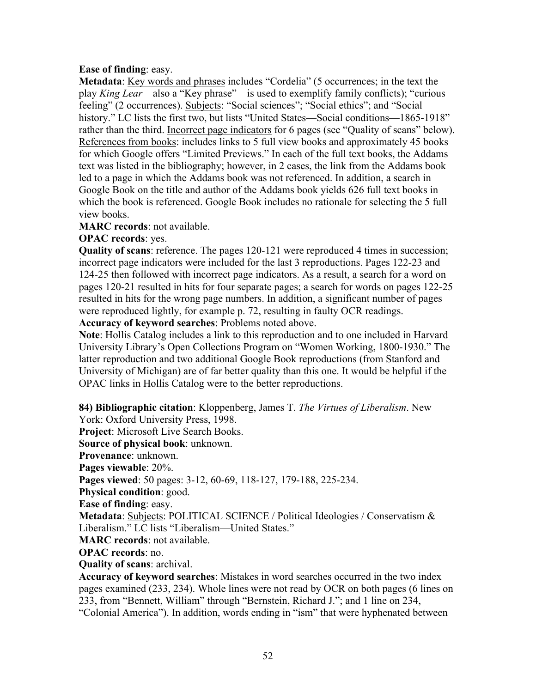## **Ease of finding**: easy.

**Metadata**: <u>Key words and phrases</u> includes "Cordelia" (5 occurrences; in the text the play *King Lear*—also a "Key phrase"—is used to exemplify family conflicts); "curious feeling" (2 occurrences). Subjects: "Social sciences"; "Social ethics"; and "Social history." LC lists the first two, but lists "United States—Social conditions—1865-1918" rather than the third. Incorrect page indicators for 6 pages (see "Quality of scans" below). References from books: includes links to 5 full view books and approximately 45 books for which Google offers "Limited Previews." In each of the full text books, the Addams text was listed in the bibliography; however, in 2 cases, the link from the Addams book led to a page in which the Addams book was not referenced. In addition, a search in Google Book on the title and author of the Addams book yields 626 full text books in which the book is referenced. Google Book includes no rationale for selecting the 5 full view books.

**MARC records**: not available.

**OPAC records**: yes.

**Quality of scans**: reference. The pages 120-121 were reproduced 4 times in succession; incorrect page indicators were included for the last 3 reproductions. Pages 122-23 and 124-25 then followed with incorrect page indicators. As a result, a search for a word on pages 120-21 resulted in hits for four separate pages; a search for words on pages 122-25 resulted in hits for the wrong page numbers. In addition, a significant number of pages were reproduced lightly, for example p. 72, resulting in faulty OCR readings.

**Accuracy of keyword searches**: Problems noted above.

**Note**: Hollis Catalog includes a link to this reproduction and to one included in Harvard University Library's Open Collections Program on "Women Working, 1800-1930." The latter reproduction and two additional Google Book reproductions (from Stanford and University of Michigan) are of far better quality than this one. It would be helpful if the OPAC links in Hollis Catalog were to the better reproductions.

**84) Bibliographic citation**: Kloppenberg, James T. *The Virtues of Liberalism*. New York: Oxford University Press, 1998.

**Project**: Microsoft Live Search Books.

**Source of physical book**: unknown. **Provenance**: unknown.

**Pages viewable**: 20%.

**Pages viewed**: 50 pages: 3-12, 60-69, 118-127, 179-188, 225-234.

**Physical condition**: good.

**Ease of finding**: easy.

**Metadata**: Subjects: POLITICAL SCIENCE / Political Ideologies / Conservatism & Liberalism." LC lists "Liberalism—United States."

**MARC records**: not available.

**OPAC records**: no.

**Quality of scans**: archival.

**Accuracy of keyword searches**: Mistakes in word searches occurred in the two index pages examined (233, 234). Whole lines were not read by OCR on both pages (6 lines on 233, from "Bennett, William" through "Bernstein, Richard J."; and 1 line on 234, "Colonial America"). In addition, words ending in "ism" that were hyphenated between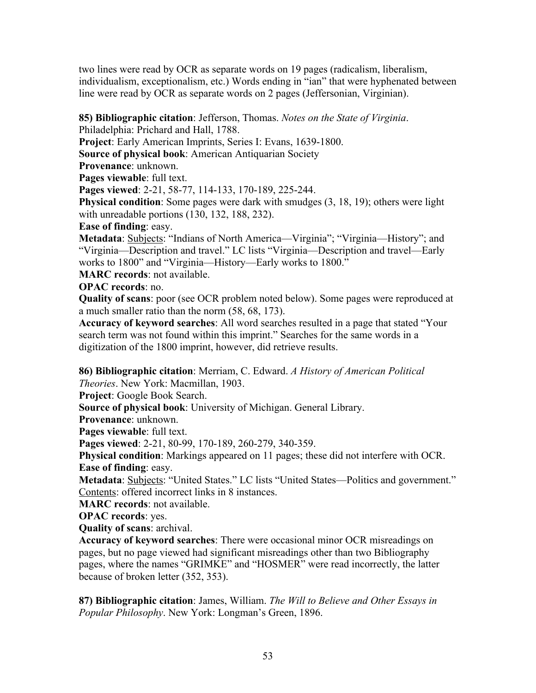two lines were read by OCR as separate words on 19 pages (radicalism, liberalism, individualism, exceptionalism, etc.) Words ending in "ian" that were hyphenated between line were read by OCR as separate words on 2 pages (Jeffersonian, Virginian).

**85) Bibliographic citation**: Jefferson, Thomas. *Notes on the State of Virginia*.

Philadelphia: Prichard and Hall, 1788.

**Project**: Early American Imprints, Series I: Evans, 1639-1800.

**Source of physical book**: American Antiquarian Society

**Provenance**: unknown.

**Pages viewable**: full text.

**Pages viewed**: 2-21, 58-77, 114-133, 170-189, 225-244.

**Physical condition**: Some pages were dark with smudges (3, 18, 19); others were light with unreadable portions (130, 132, 188, 232).

**Ease of finding**: easy.

**Metadata**: **Subjects**: "Indians of North America—Virginia"; "Virginia—History"; and "Virginia—Description and travel." LC lists "Virginia—Description and travel—Early works to 1800" and "Virginia—History—Early works to 1800."

**MARC records**: not available.

**OPAC records**: no.

**Quality of scans**: poor (see OCR problem noted below). Some pages were reproduced at a much smaller ratio than the norm (58, 68, 173).

**Accuracy of keyword searches**: All word searches resulted in a page that stated "Your search term was not found within this imprint." Searches for the same words in a digitization of the 1800 imprint, however, did retrieve results.

**86) Bibliographic citation**: Merriam, C. Edward. *A History of American Political Theories*. New York: Macmillan, 1903.

**Project**: Google Book Search.

**Source of physical book**: University of Michigan. General Library.

**Provenance**: unknown.

**Pages viewable**: full text.

**Pages viewed**: 2-21, 80-99, 170-189, 260-279, 340-359.

**Physical condition**: Markings appeared on 11 pages; these did not interfere with OCR. **Ease of finding**: easy.

Metadata: **Subjects:** "United States." LC lists "United States—Politics and government." Contents: offered incorrect links in 8 instances.

**MARC records**: not available.

**OPAC records**: yes.

**Quality of scans**: archival.

**Accuracy of keyword searches**: There were occasional minor OCR misreadings on pages, but no page viewed had significant misreadings other than two Bibliography pages, where the names "GRIMKE" and "HOSMER" were read incorrectly, the latter because of broken letter (352, 353).

**87) Bibliographic citation**: James, William. *The Will to Believe and Other Essays in Popular Philosophy*. New York: Longman's Green, 1896.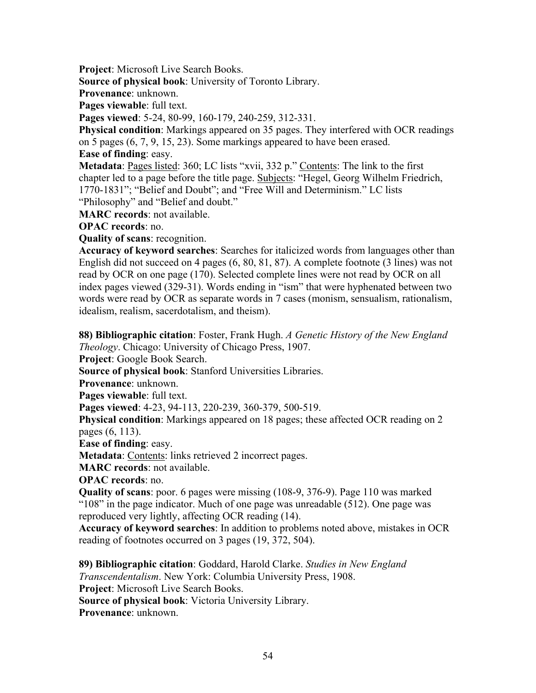**Project**: Microsoft Live Search Books.

**Source of physical book**: University of Toronto Library.

**Provenance**: unknown.

**Pages viewable**: full text.

**Pages viewed**: 5-24, 80-99, 160-179, 240-259, 312-331.

**Physical condition**: Markings appeared on 35 pages. They interfered with OCR readings on 5 pages (6, 7, 9, 15, 23). Some markings appeared to have been erased.

**Ease of finding**: easy.

Metadata: Pages listed: 360; LC lists "xvii, 332 p." Contents: The link to the first chapter led to a page before the title page. Subjects: "Hegel, Georg Wilhelm Friedrich, 1770-1831"; "Belief and Doubt"; and "Free Will and Determinism." LC lists "Philosophy" and "Belief and doubt."

**MARC records**: not available.

**OPAC records**: no.

**Quality of scans**: recognition.

**Accuracy of keyword searches**: Searches for italicized words from languages other than English did not succeed on 4 pages (6, 80, 81, 87). A complete footnote (3 lines) was not read by OCR on one page (170). Selected complete lines were not read by OCR on all index pages viewed (329-31). Words ending in "ism" that were hyphenated between two words were read by OCR as separate words in 7 cases (monism, sensualism, rationalism, idealism, realism, sacerdotalism, and theism).

**88) Bibliographic citation**: Foster, Frank Hugh. *A Genetic History of the New England Theology*. Chicago: University of Chicago Press, 1907.

**Project**: Google Book Search.

**Source of physical book**: Stanford Universities Libraries.

**Provenance**: unknown.

**Pages viewable**: full text.

**Pages viewed**: 4-23, 94-113, 220-239, 360-379, 500-519.

**Physical condition**: Markings appeared on 18 pages; these affected OCR reading on 2 pages (6, 113).

**Ease of finding**: easy.

**Metadata**: **Contents**: links retrieved 2 incorrect pages.

**MARC records**: not available.

**OPAC records**: no.

**Quality of scans**: poor. 6 pages were missing (108-9, 376-9). Page 110 was marked "108" in the page indicator. Much of one page was unreadable (512). One page was reproduced very lightly, affecting OCR reading (14).

**Accuracy of keyword searches**: In addition to problems noted above, mistakes in OCR reading of footnotes occurred on 3 pages (19, 372, 504).

**89) Bibliographic citation**: Goddard, Harold Clarke. *Studies in New England Transcendentalism*. New York: Columbia University Press, 1908. **Project**: Microsoft Live Search Books. **Source of physical book**: Victoria University Library. **Provenance**: unknown.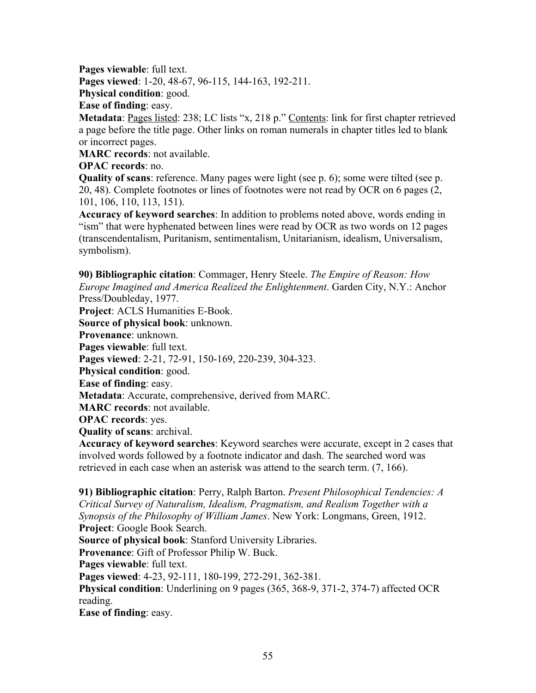**Pages viewable**: full text.

**Pages viewed**: 1-20, 48-67, 96-115, 144-163, 192-211.

**Physical condition**: good.

**Ease of finding**: easy.

**Metadata**: <u>Pages listed</u>: 238; LC lists "x, 218 p." Contents: link for first chapter retrieved a page before the title page. Other links on roman numerals in chapter titles led to blank or incorrect pages.

**MARC records**: not available.

# **OPAC records**: no.

**Quality of scans**: reference. Many pages were light (see p. 6); some were tilted (see p. 20, 48). Complete footnotes or lines of footnotes were not read by OCR on 6 pages (2, 101, 106, 110, 113, 151).

**Accuracy of keyword searches**: In addition to problems noted above, words ending in "ism" that were hyphenated between lines were read by OCR as two words on 12 pages (transcendentalism, Puritanism, sentimentalism, Unitarianism, idealism, Universalism, symbolism).

**90) Bibliographic citation**: Commager, Henry Steele. *The Empire of Reason: How Europe Imagined and America Realized the Enlightenment*. Garden City, N.Y.: Anchor Press/Doubleday, 1977.

**Project**: ACLS Humanities E-Book.

**Source of physical book**: unknown.

**Provenance**: unknown.

**Pages viewable**: full text.

**Pages viewed**: 2-21, 72-91, 150-169, 220-239, 304-323.

**Physical condition**: good.

**Ease of finding**: easy.

**Metadata**: Accurate, comprehensive, derived from MARC.

**MARC records**: not available.

**OPAC records**: yes.

**Quality of scans**: archival.

**Accuracy of keyword searches**: Keyword searches were accurate, except in 2 cases that involved words followed by a footnote indicator and dash. The searched word was retrieved in each case when an asterisk was attend to the search term. (7, 166).

**91) Bibliographic citation**: Perry, Ralph Barton. *Present Philosophical Tendencies: A Critical Survey of Naturalism, Idealism, Pragmatism, and Realism Together with a Synopsis of the Philosophy of William James*. New York: Longmans, Green, 1912. **Project**: Google Book Search. **Source of physical book**: Stanford University Libraries. **Provenance**: Gift of Professor Philip W. Buck. **Pages viewable**: full text. **Pages viewed**: 4-23, 92-111, 180-199, 272-291, 362-381. **Physical condition**: Underlining on 9 pages (365, 368-9, 371-2, 374-7) affected OCR reading.

**Ease of finding**: easy.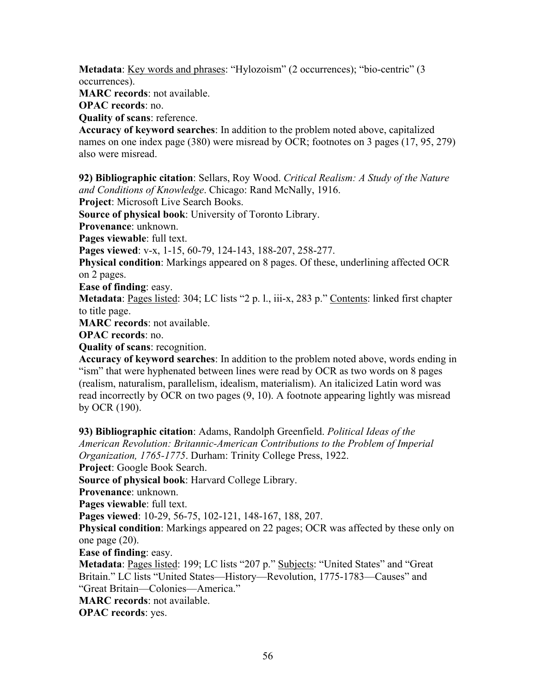**Metadata**: <u>Key words and phrases</u>: "Hylozoism" (2 occurrences); "bio-centric" (3 occurrences).

**MARC records**: not available.

**OPAC records**: no.

**Quality of scans**: reference.

**Accuracy of keyword searches**: In addition to the problem noted above, capitalized names on one index page (380) were misread by OCR; footnotes on 3 pages (17, 95, 279) also were misread.

**92) Bibliographic citation**: Sellars, Roy Wood. *Critical Realism: A Study of the Nature and Conditions of Knowledge*. Chicago: Rand McNally, 1916.

**Project**: Microsoft Live Search Books.

**Source of physical book**: University of Toronto Library.

**Provenance**: unknown.

**Pages viewable**: full text.

**Pages viewed**: v-x, 1-15, 60-79, 124-143, 188-207, 258-277.

**Physical condition**: Markings appeared on 8 pages. Of these, underlining affected OCR on 2 pages.

**Ease of finding**: easy.

**Metadata**: Pages listed: 304; LC lists "2 p. l., iii-x, 283 p." Contents: linked first chapter to title page.

**MARC records**: not available.

**OPAC records**: no.

**Quality of scans**: recognition.

**Accuracy of keyword searches**: In addition to the problem noted above, words ending in "ism" that were hyphenated between lines were read by OCR as two words on 8 pages (realism, naturalism, parallelism, idealism, materialism). An italicized Latin word was read incorrectly by OCR on two pages (9, 10). A footnote appearing lightly was misread by OCR (190).

**93) Bibliographic citation**: Adams, Randolph Greenfield. *Political Ideas of the American Revolution: Britannic-American Contributions to the Problem of Imperial Organization, 1765-1775*. Durham: Trinity College Press, 1922.

**Project**: Google Book Search.

**Source of physical book**: Harvard College Library.

**Provenance**: unknown.

**Pages viewable**: full text.

**Pages viewed**: 10-29, 56-75, 102-121, 148-167, 188, 207.

**Physical condition**: Markings appeared on 22 pages; OCR was affected by these only on one page (20).

**Ease of finding**: easy.

**Metadata**: Pages listed: 199; LC lists "207 p." Subjects: "United States" and "Great Britain." LC lists "United States—History—Revolution, 1775-1783—Causes" and "Great Britain—Colonies—America."

**MARC records**: not available.

**OPAC records**: yes.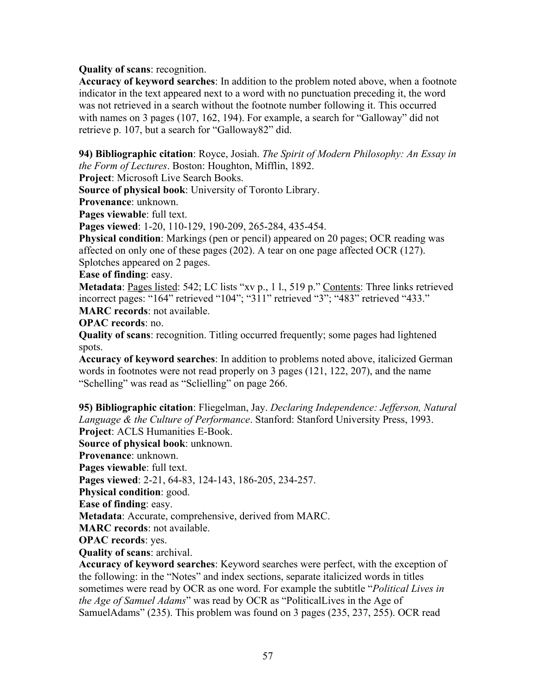## **Quality of scans**: recognition.

**Accuracy of keyword searches**: In addition to the problem noted above, when a footnote indicator in the text appeared next to a word with no punctuation preceding it, the word was not retrieved in a search without the footnote number following it. This occurred with names on 3 pages (107, 162, 194). For example, a search for "Galloway" did not retrieve p. 107, but a search for "Galloway82" did.

**94) Bibliographic citation**: Royce, Josiah. *The Spirit of Modern Philosophy: An Essay in the Form of Lectures*. Boston: Houghton, Mifflin, 1892.

**Project**: Microsoft Live Search Books.

**Source of physical book**: University of Toronto Library.

**Provenance**: unknown.

**Pages viewable**: full text.

**Pages viewed**: 1-20, 110-129, 190-209, 265-284, 435-454.

**Physical condition**: Markings (pen or pencil) appeared on 20 pages; OCR reading was affected on only one of these pages (202). A tear on one page affected OCR (127). Splotches appeared on 2 pages.

**Ease of finding**: easy.

**Metadata**: Pages listed: 542; LC lists "xv p., 1 l., 519 p." Contents: Three links retrieved incorrect pages: "164" retrieved "104"; "311" retrieved "3"; "483" retrieved "433." **MARC records**: not available.

**OPAC records**: no.

**Quality of scans**: recognition. Titling occurred frequently; some pages had lightened spots.

**Accuracy of keyword searches**: In addition to problems noted above, italicized German words in footnotes were not read properly on 3 pages (121, 122, 207), and the name "Schelling" was read as "Sclielling" on page 266.

**95) Bibliographic citation**: Fliegelman, Jay. *Declaring Independence: Jefferson, Natural Language & the Culture of Performance*. Stanford: Stanford University Press, 1993. **Project**: ACLS Humanities E-Book.

**Source of physical book**: unknown.

**Provenance**: unknown.

**Pages viewable**: full text.

**Pages viewed**: 2-21, 64-83, 124-143, 186-205, 234-257.

**Physical condition**: good.

**Ease of finding**: easy.

**Metadata**: Accurate, comprehensive, derived from MARC.

**MARC records**: not available.

**OPAC records**: yes.

**Quality of scans**: archival.

**Accuracy of keyword searches**: Keyword searches were perfect, with the exception of the following: in the "Notes" and index sections, separate italicized words in titles sometimes were read by OCR as one word. For example the subtitle "*Political Lives in the Age of Samuel Adams*" was read by OCR as "PoliticalLives in the Age of SamuelAdams" (235). This problem was found on 3 pages (235, 237, 255). OCR read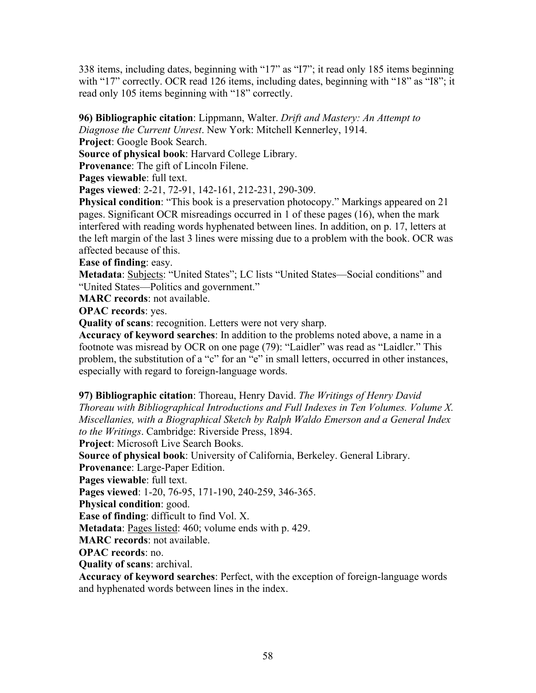338 items, including dates, beginning with "17" as "I7"; it read only 185 items beginning with "17" correctly. OCR read 126 items, including dates, beginning with "18" as "I8"; it read only 105 items beginning with "18" correctly.

**96) Bibliographic citation**: Lippmann, Walter. *Drift and Mastery: An Attempt to Diagnose the Current Unrest*. New York: Mitchell Kennerley, 1914.

**Project**: Google Book Search.

**Source of physical book**: Harvard College Library.

**Provenance**: The gift of Lincoln Filene.

**Pages viewable**: full text.

**Pages viewed**: 2-21, 72-91, 142-161, 212-231, 290-309.

**Physical condition**: "This book is a preservation photocopy." Markings appeared on 21 pages. Significant OCR misreadings occurred in 1 of these pages (16), when the mark interfered with reading words hyphenated between lines. In addition, on p. 17, letters at the left margin of the last 3 lines were missing due to a problem with the book. OCR was affected because of this.

**Ease of finding**: easy.

**Metadata**: Subjects: "United States"; LC lists "United States—Social conditions" and "United States—Politics and government."

**MARC records**: not available.

**OPAC records**: yes.

**Quality of scans**: recognition. Letters were not very sharp.

**Accuracy of keyword searches**: In addition to the problems noted above, a name in a footnote was misread by OCR on one page (79): "Laidler" was read as "Laidlcr." This problem, the substitution of a "c" for an "e" in small letters, occurred in other instances, especially with regard to foreign-language words.

**97) Bibliographic citation**: Thoreau, Henry David. *The Writings of Henry David Thoreau with Bibliographical Introductions and Full Indexes in Ten Volumes. Volume X. Miscellanies, with a Biographical Sketch by Ralph Waldo Emerson and a General Index to the Writings*. Cambridge: Riverside Press, 1894.

**Project**: Microsoft Live Search Books.

**Source of physical book**: University of California, Berkeley. General Library.

**Provenance**: Large-Paper Edition.

**Pages viewable**: full text.

**Pages viewed**: 1-20, 76-95, 171-190, 240-259, 346-365.

**Physical condition**: good.

**Ease of finding**: difficult to find Vol. X.

**Metadata**: <u>Pages listed</u>: 460; volume ends with p. 429.

**MARC records**: not available.

**OPAC records**: no.

**Quality of scans**: archival.

**Accuracy of keyword searches**: Perfect, with the exception of foreign-language words and hyphenated words between lines in the index.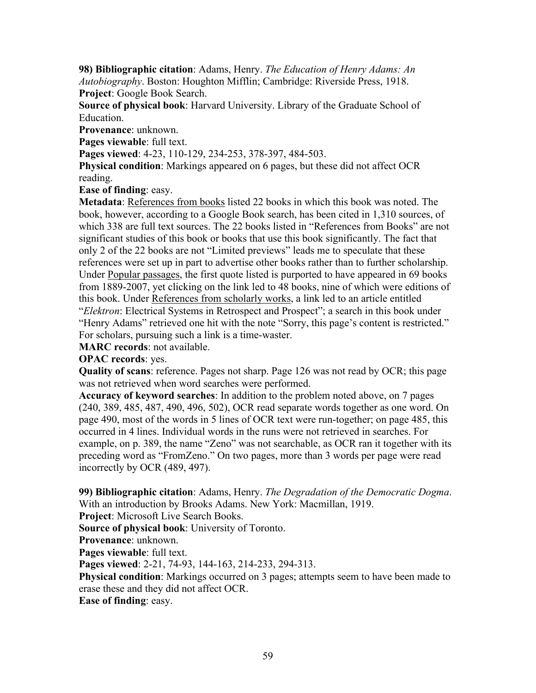**98) Bibliographic citation**: Adams, Henry. *The Education of Henry Adams: An Autobiography*. Boston: Houghton Mifflin; Cambridge: Riverside Press, 1918. **Project**: Google Book Search.

**Source of physical book**: Harvard University. Library of the Graduate School of Education.

**Provenance**: unknown.

**Pages viewable**: full text.

**Pages viewed**: 4-23, 110-129, 234-253, 378-397, 484-503.

**Physical condition**: Markings appeared on 6 pages, but these did not affect OCR reading.

**Ease of finding**: easy.

**Metadata**: References from books listed 22 books in which this book was noted. The book, however, according to a Google Book search, has been cited in 1,310 sources, of which 338 are full text sources. The 22 books listed in "References from Books" are not significant studies of this book or books that use this book significantly. The fact that only 2 of the 22 books are not "Limited previews" leads me to speculate that these references were set up in part to advertise other books rather than to further scholarship. Under Popular passages, the first quote listed is purported to have appeared in 69 books from 1889-2007, yet clicking on the link led to 48 books, nine of which were editions of this book. Under References from scholarly works, a link led to an article entitled "*Elektron*: Electrical Systems in Retrospect and Prospect"; a search in this book under "Henry Adams" retrieved one hit with the note "Sorry, this page's content is restricted." For scholars, pursuing such a link is a time-waster.

**MARC records**: not available.

**OPAC records**: yes.

**Quality of scans**: reference. Pages not sharp. Page 126 was not read by OCR; this page was not retrieved when word searches were performed.

**Accuracy of keyword searches**: In addition to the problem noted above, on 7 pages (240, 389, 485, 487, 490, 496, 502), OCR read separate words together as one word. On page 490, most of the words in 5 lines of OCR text were run-together; on page 485, this occurred in 4 lines. Individual words in the runs were not retrieved in searches. For example, on p. 389, the name "Zeno" was not searchable, as OCR ran it together with its preceding word as "FromZeno." On two pages, more than 3 words per page were read incorrectly by OCR (489, 497).

**99) Bibliographic citation**: Adams, Henry. *The Degradation of the Democratic Dogma*. With an introduction by Brooks Adams. New York: Macmillan, 1919.

**Project**: Microsoft Live Search Books.

**Source of physical book**: University of Toronto.

**Provenance**: unknown.

**Pages viewable**: full text.

**Pages viewed**: 2-21, 74-93, 144-163, 214-233, 294-313.

**Physical condition**: Markings occurred on 3 pages; attempts seem to have been made to erase these and they did not affect OCR.

**Ease of finding**: easy.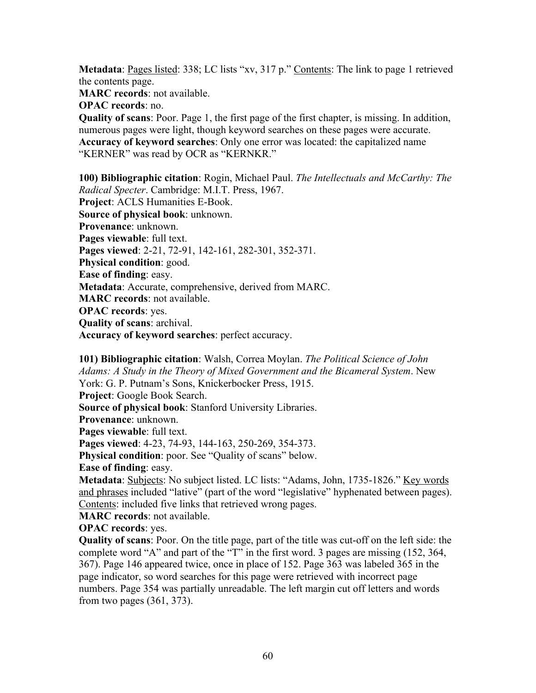**Metadata**: Pages listed: 338; LC lists "xv, 317 p." Contents: The link to page 1 retrieved the contents page.

**MARC records**: not available.

**OPAC records**: no.

**Quality of scans**: Poor. Page 1, the first page of the first chapter, is missing. In addition, numerous pages were light, though keyword searches on these pages were accurate. **Accuracy of keyword searches**: Only one error was located: the capitalized name "KERNER" was read by OCR as "KERNKR."

**100) Bibliographic citation**: Rogin, Michael Paul. *The Intellectuals and McCarthy: The Radical Specter*. Cambridge: M.I.T. Press, 1967. **Project**: ACLS Humanities E-Book. **Source of physical book**: unknown. **Provenance**: unknown. **Pages viewable**: full text. **Pages viewed**: 2-21, 72-91, 142-161, 282-301, 352-371. **Physical condition**: good. **Ease of finding**: easy. **Metadata**: Accurate, comprehensive, derived from MARC. **MARC records**: not available. **OPAC records**: yes. **Quality of scans**: archival. **Accuracy of keyword searches**: perfect accuracy.

**101) Bibliographic citation**: Walsh, Correa Moylan. *The Political Science of John Adams: A Study in the Theory of Mixed Government and the Bicameral System*. New York: G. P. Putnam's Sons, Knickerbocker Press, 1915. **Project**: Google Book Search. **Source of physical book**: Stanford University Libraries. **Provenance**: unknown. **Pages viewable**: full text. **Pages viewed**: 4-23, 74-93, 144-163, 250-269, 354-373. **Physical condition**: poor. See "Quality of scans" below. **Ease of finding**: easy. Metadata: Subjects: No subject listed. LC lists: "Adams, John, 1735-1826." Key words and phrases included "lative" (part of the word "legislative" hyphenated between pages). Contents: included five links that retrieved wrong pages. **MARC records**: not available.

**OPAC records**: yes.

**Quality of scans**: Poor. On the title page, part of the title was cut-off on the left side: the complete word "A" and part of the "T" in the first word. 3 pages are missing (152, 364, 367). Page 146 appeared twice, once in place of 152. Page 363 was labeled 365 in the page indicator, so word searches for this page were retrieved with incorrect page numbers. Page 354 was partially unreadable. The left margin cut off letters and words from two pages (361, 373).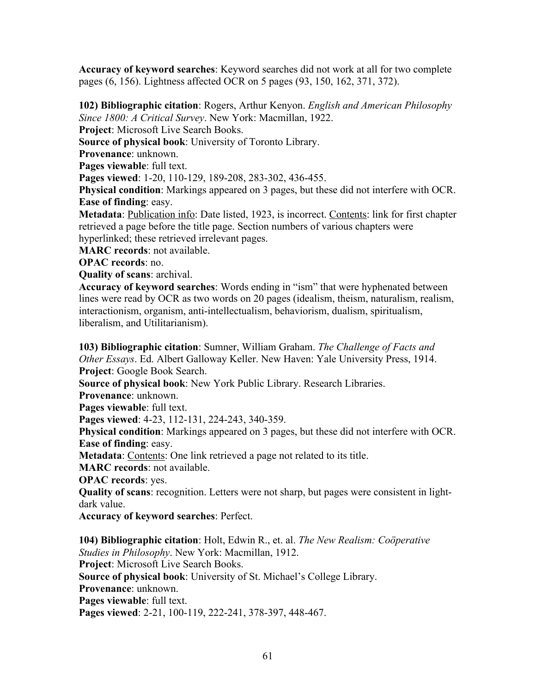**Accuracy of keyword searches**: Keyword searches did not work at all for two complete pages (6, 156). Lightness affected OCR on 5 pages (93, 150, 162, 371, 372).

**102) Bibliographic citation**: Rogers, Arthur Kenyon. *English and American Philosophy Since 1800: A Critical Survey*. New York: Macmillan, 1922.

**Project**: Microsoft Live Search Books.

**Source of physical book**: University of Toronto Library.

**Provenance**: unknown.

**Pages viewable**: full text.

**Pages viewed**: 1-20, 110-129, 189-208, 283-302, 436-455.

**Physical condition**: Markings appeared on 3 pages, but these did not interfere with OCR. **Ease of finding**: easy.

**Metadata**: Publication info: Date listed, 1923, is incorrect. Contents: link for first chapter retrieved a page before the title page. Section numbers of various chapters were hyperlinked; these retrieved irrelevant pages.

**MARC records**: not available.

**OPAC records**: no.

**Quality of scans**: archival.

**Accuracy of keyword searches**: Words ending in "ism" that were hyphenated between lines were read by OCR as two words on 20 pages (idealism, theism, naturalism, realism, interactionism, organism, anti-intellectualism, behaviorism, dualism, spiritualism, liberalism, and Utilitarianism).

**103) Bibliographic citation**: Sumner, William Graham. *The Challenge of Facts and Other Essays*. Ed. Albert Galloway Keller. New Haven: Yale University Press, 1914. **Project**: Google Book Search.

**Source of physical book**: New York Public Library. Research Libraries.

**Provenance**: unknown.

**Pages viewable**: full text.

**Pages viewed**: 4-23, 112-131, 224-243, 340-359.

**Physical condition**: Markings appeared on 3 pages, but these did not interfere with OCR. **Ease of finding**: easy.

**Metadata:** Contents: One link retrieved a page not related to its title.

**MARC records**: not available.

**OPAC records**: yes.

**Quality of scans**: recognition. Letters were not sharp, but pages were consistent in lightdark value.

**Accuracy of keyword searches**: Perfect.

**104) Bibliographic citation**: Holt, Edwin R., et. al. *The New Realism: Coöperative Studies in Philosophy*. New York: Macmillan, 1912.

**Project**: Microsoft Live Search Books.

**Source of physical book**: University of St. Michael's College Library.

**Provenance**: unknown.

**Pages viewable**: full text.

**Pages viewed**: 2-21, 100-119, 222-241, 378-397, 448-467.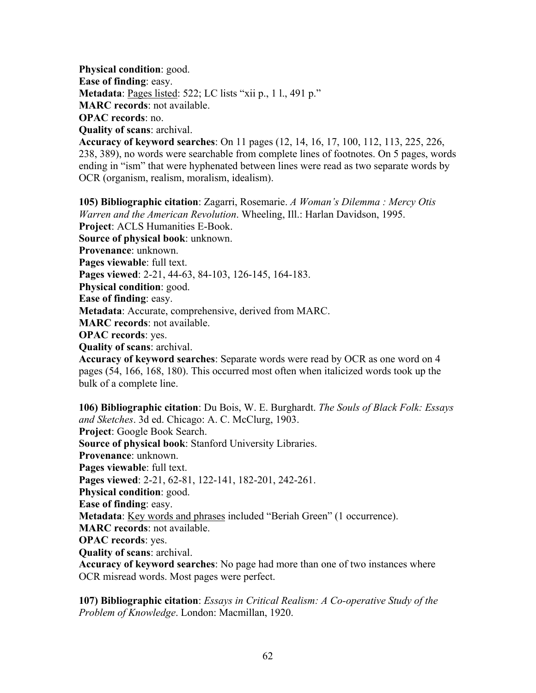**Physical condition**: good. **Ease of finding**: easy. **Metadata**: Pages listed: 522; LC lists "xii p., 1 l., 491 p." **MARC records**: not available. **OPAC records**: no. **Quality of scans**: archival.

**Accuracy of keyword searches**: On 11 pages (12, 14, 16, 17, 100, 112, 113, 225, 226, 238, 389), no words were searchable from complete lines of footnotes. On 5 pages, words ending in "ism" that were hyphenated between lines were read as two separate words by OCR (organism, realism, moralism, idealism).

**105) Bibliographic citation**: Zagarri, Rosemarie. *A Woman's Dilemma : Mercy Otis Warren and the American Revolution*. Wheeling, Ill.: Harlan Davidson, 1995. **Project**: ACLS Humanities E-Book. **Source of physical book**: unknown. **Provenance**: unknown. **Pages viewable**: full text. **Pages viewed**: 2-21, 44-63, 84-103, 126-145, 164-183. **Physical condition**: good. **Ease of finding**: easy. **Metadata**: Accurate, comprehensive, derived from MARC. **MARC records**: not available. **OPAC records**: yes. **Quality of scans**: archival. **Accuracy of keyword searches**: Separate words were read by OCR as one word on 4 pages (54, 166, 168, 180). This occurred most often when italicized words took up the

bulk of a complete line.

**106) Bibliographic citation**: Du Bois, W. E. Burghardt. *The Souls of Black Folk: Essays and Sketches*. 3d ed. Chicago: A. C. McClurg, 1903. **Project**: Google Book Search. **Source of physical book**: Stanford University Libraries. **Provenance**: unknown. **Pages viewable**: full text. **Pages viewed**: 2-21, 62-81, 122-141, 182-201, 242-261. **Physical condition**: good. **Ease of finding**: easy. **Metadata**: Key words and phrases included "Beriah Green" (1 occurrence). **MARC records**: not available. **OPAC records**: yes. **Quality of scans**: archival. **Accuracy of keyword searches**: No page had more than one of two instances where OCR misread words. Most pages were perfect.

**107) Bibliographic citation**: *Essays in Critical Realism: A Co-operative Study of the Problem of Knowledge*. London: Macmillan, 1920.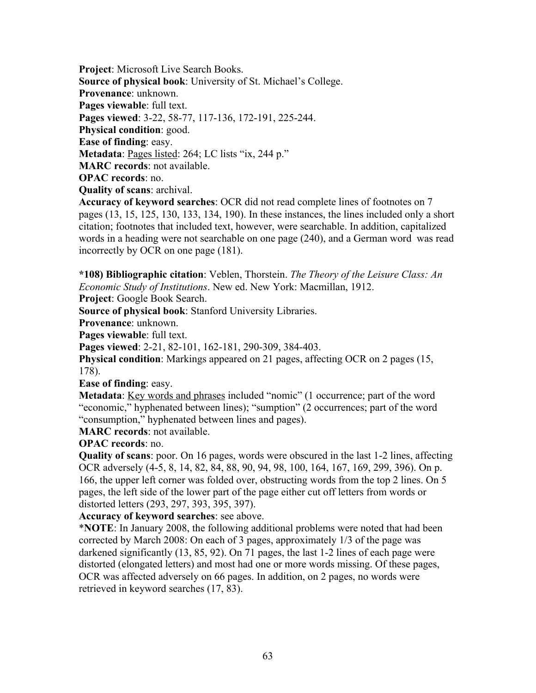**Project**: Microsoft Live Search Books. **Source of physical book**: University of St. Michael's College. **Provenance**: unknown. **Pages viewable**: full text. **Pages viewed**: 3-22, 58-77, 117-136, 172-191, 225-244. **Physical condition**: good. **Ease of finding**: easy. **Metadata**: Pages listed: 264; LC lists "ix, 244 p." **MARC records**: not available. **OPAC records**: no. **Quality of scans**: archival.

**Accuracy of keyword searches**: OCR did not read complete lines of footnotes on 7 pages (13, 15, 125, 130, 133, 134, 190). In these instances, the lines included only a short citation; footnotes that included text, however, were searchable. In addition, capitalized words in a heading were not searchable on one page (240), and a German word was read incorrectly by OCR on one page (181).

**\*108) Bibliographic citation**: Veblen, Thorstein. *The Theory of the Leisure Class: An Economic Study of Institutions*. New ed. New York: Macmillan, 1912.

**Project**: Google Book Search.

**Source of physical book**: Stanford University Libraries.

**Provenance**: unknown.

**Pages viewable**: full text.

**Pages viewed**: 2-21, 82-101, 162-181, 290-309, 384-403.

**Physical condition**: Markings appeared on 21 pages, affecting OCR on 2 pages (15, 178).

**Ease of finding**: easy.

**Metadata**: Key words and phrases included "nomic" (1 occurrence; part of the word "economic," hyphenated between lines); "sumption" (2 occurrences; part of the word "consumption," hyphenated between lines and pages).

**MARC records**: not available.

**OPAC records**: no.

**Quality of scans**: poor. On 16 pages, words were obscured in the last 1-2 lines, affecting OCR adversely (4-5, 8, 14, 82, 84, 88, 90, 94, 98, 100, 164, 167, 169, 299, 396). On p. 166, the upper left corner was folded over, obstructing words from the top 2 lines. On 5 pages, the left side of the lower part of the page either cut off letters from words or distorted letters (293, 297, 393, 395, 397).

**Accuracy of keyword searches**: see above.

\***NOTE**: In January 2008, the following additional problems were noted that had been corrected by March 2008: On each of 3 pages, approximately 1/3 of the page was darkened significantly (13, 85, 92). On 71 pages, the last 1-2 lines of each page were distorted (elongated letters) and most had one or more words missing. Of these pages, OCR was affected adversely on 66 pages. In addition, on 2 pages, no words were retrieved in keyword searches (17, 83).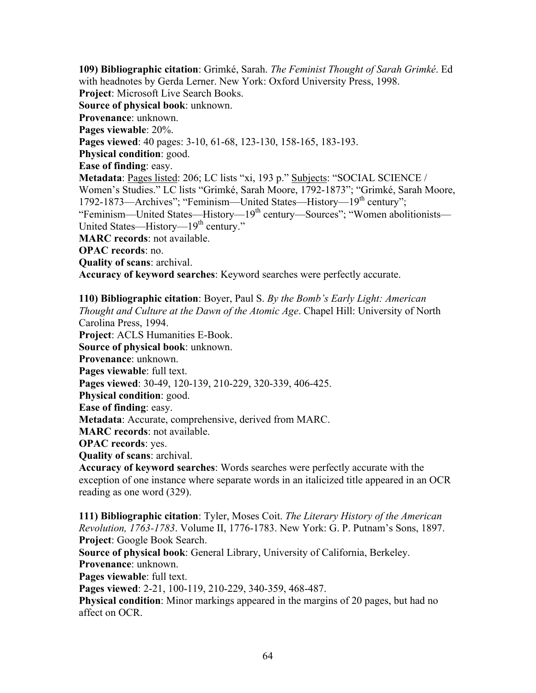**109) Bibliographic citation**: Grimké, Sarah. *The Feminist Thought of Sarah Grimké*. Ed with headnotes by Gerda Lerner. New York: Oxford University Press, 1998. **Project**: Microsoft Live Search Books. **Source of physical book**: unknown. **Provenance**: unknown. **Pages viewable**: 20%. **Pages viewed**: 40 pages: 3-10, 61-68, 123-130, 158-165, 183-193. **Physical condition**: good. **Ease of finding**: easy. **Metadata**: Pages listed: 206; LC lists "xi, 193 p." Subjects: "SOCIAL SCIENCE / Women's Studies." LC lists "Grimké, Sarah Moore, 1792-1873"; "Grimké, Sarah Moore, 1792-1873—Archives"; "Feminism—United States—History—19<sup>th</sup> century"; "Feminism—United States—History—19th century—Sources"; "Women abolitionists— United States—History— $19<sup>th</sup>$  century." **MARC records**: not available. **OPAC records**: no. **Quality of scans**: archival. **Accuracy of keyword searches**: Keyword searches were perfectly accurate.

**110) Bibliographic citation**: Boyer, Paul S. *By the Bomb's Early Light: American Thought and Culture at the Dawn of the Atomic Age*. Chapel Hill: University of North Carolina Press, 1994. **Project**: ACLS Humanities E-Book. **Source of physical book**: unknown. **Provenance**: unknown. **Pages viewable**: full text. **Pages viewed**: 30-49, 120-139, 210-229, 320-339, 406-425. **Physical condition**: good. **Ease of finding**: easy. **Metadata**: Accurate, comprehensive, derived from MARC. **MARC records**: not available. **OPAC records**: yes. **Quality of scans**: archival.

**Accuracy of keyword searches**: Words searches were perfectly accurate with the exception of one instance where separate words in an italicized title appeared in an OCR reading as one word (329).

**111) Bibliographic citation**: Tyler, Moses Coit. *The Literary History of the American Revolution, 1763-1783*. Volume II, 1776-1783. New York: G. P. Putnam's Sons, 1897. **Project**: Google Book Search.

**Source of physical book**: General Library, University of California, Berkeley. **Provenance**: unknown.

**Pages viewable**: full text.

**Pages viewed**: 2-21, 100-119, 210-229, 340-359, 468-487.

**Physical condition**: Minor markings appeared in the margins of 20 pages, but had no affect on OCR.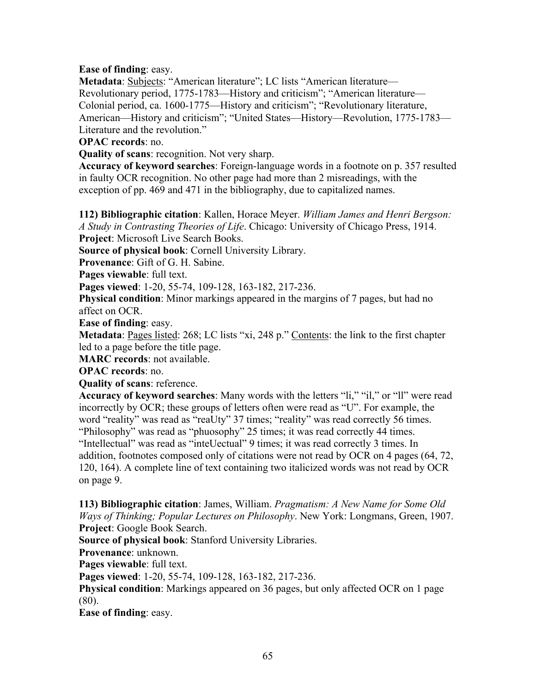# **Ease of finding**: easy.

**Metadata**: Subjects: "American literature"; LC lists "American literature— Revolutionary period, 1775-1783—History and criticism"; "American literature— Colonial period, ca. 1600-1775—History and criticism"; "Revolutionary literature, American—History and criticism"; "United States—History—Revolution, 1775-1783— Literature and the revolution."

# **OPAC records**: no.

**Quality of scans**: recognition. Not very sharp.

**Accuracy of keyword searches**: Foreign-language words in a footnote on p. 357 resulted in faulty OCR recognition. No other page had more than 2 misreadings, with the exception of pp. 469 and 471 in the bibliography, due to capitalized names.

**112) Bibliographic citation**: Kallen, Horace Meyer. *William James and Henri Bergson: A Study in Contrasting Theories of Life*. Chicago: University of Chicago Press, 1914. **Project**: Microsoft Live Search Books.

**Source of physical book**: Cornell University Library.

**Provenance**: Gift of G. H. Sabine.

**Pages viewable**: full text.

**Pages viewed**: 1-20, 55-74, 109-128, 163-182, 217-236.

**Physical condition**: Minor markings appeared in the margins of 7 pages, but had no affect on OCR.

**Ease of finding**: easy.

**Metadata**: <u>Pages listed</u>: 268; LC lists "xi, 248 p." Contents: the link to the first chapter led to a page before the title page.

**MARC records**: not available.

**OPAC records**: no.

**Quality of scans**: reference.

**Accuracy of keyword searches**: Many words with the letters "li," "il," or "ll" were read incorrectly by OCR; these groups of letters often were read as "U". For example, the word "reality" was read as "reaUty" 37 times; "reality" was read correctly 56 times. "Philosophy" was read as "phuosophy" 25 times; it was read correctly 44 times. "Intellectual" was read as "inteUectual" 9 times; it was read correctly 3 times. In addition, footnotes composed only of citations were not read by OCR on 4 pages (64, 72, 120, 164). A complete line of text containing two italicized words was not read by OCR on page 9.

**113) Bibliographic citation**: James, William. *Pragmatism: A New Name for Some Old Ways of Thinking; Popular Lectures on Philosophy*. New York: Longmans, Green, 1907. **Project**: Google Book Search.

**Source of physical book**: Stanford University Libraries.

**Provenance**: unknown.

**Pages viewable**: full text.

**Pages viewed**: 1-20, 55-74, 109-128, 163-182, 217-236.

**Physical condition**: Markings appeared on 36 pages, but only affected OCR on 1 page (80).

**Ease of finding**: easy.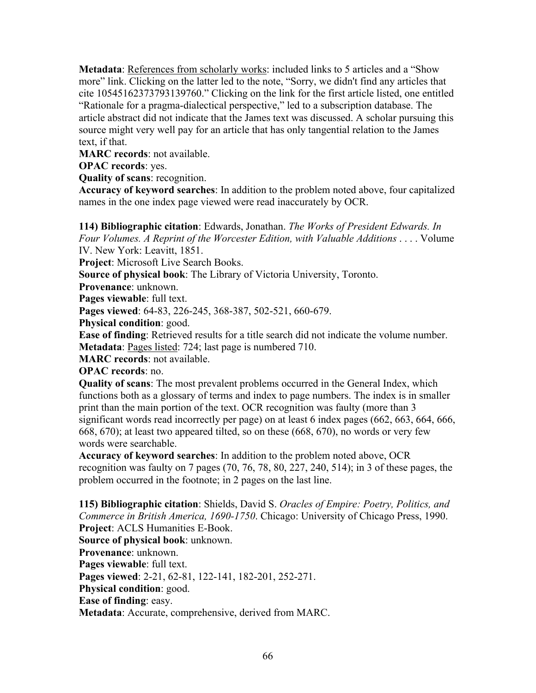**Metadata**: References from scholarly works: included links to 5 articles and a "Show more" link. Clicking on the latter led to the note, "Sorry, we didn't find any articles that cite 10545162373793139760." Clicking on the link for the first article listed, one entitled "Rationale for a pragma-dialectical perspective," led to a subscription database. The article abstract did not indicate that the James text was discussed. A scholar pursuing this source might very well pay for an article that has only tangential relation to the James text, if that.

**MARC records**: not available.

**OPAC records**: yes.

**Quality of scans**: recognition.

**Accuracy of keyword searches**: In addition to the problem noted above, four capitalized names in the one index page viewed were read inaccurately by OCR.

**114) Bibliographic citation**: Edwards, Jonathan. *The Works of President Edwards. In Four Volumes. A Reprint of the Worcester Edition, with Valuable Additions* . . . . Volume IV. New York: Leavitt, 1851.

**Project**: Microsoft Live Search Books.

**Source of physical book**: The Library of Victoria University, Toronto.

**Provenance**: unknown.

**Pages viewable**: full text.

**Pages viewed**: 64-83, 226-245, 368-387, 502-521, 660-679.

**Physical condition**: good.

**Ease of finding**: Retrieved results for a title search did not indicate the volume number. **Metadata**: Pages listed: 724; last page is numbered 710.

**MARC records**: not available.

**OPAC records**: no.

**Quality of scans**: The most prevalent problems occurred in the General Index, which functions both as a glossary of terms and index to page numbers. The index is in smaller print than the main portion of the text. OCR recognition was faulty (more than 3 significant words read incorrectly per page) on at least 6 index pages (662, 663, 664, 666, 668, 670); at least two appeared tilted, so on these (668, 670), no words or very few words were searchable.

**Accuracy of keyword searches**: In addition to the problem noted above, OCR recognition was faulty on 7 pages (70, 76, 78, 80, 227, 240, 514); in 3 of these pages, the problem occurred in the footnote; in 2 pages on the last line.

**115) Bibliographic citation**: Shields, David S. *Oracles of Empire: Poetry, Politics, and Commerce in British America, 1690-1750*. Chicago: University of Chicago Press, 1990. **Project**: ACLS Humanities E-Book. **Source of physical book**: unknown. **Provenance**: unknown. **Pages viewable**: full text. **Pages viewed**: 2-21, 62-81, 122-141, 182-201, 252-271. **Physical condition**: good. **Ease of finding**: easy. **Metadata**: Accurate, comprehensive, derived from MARC.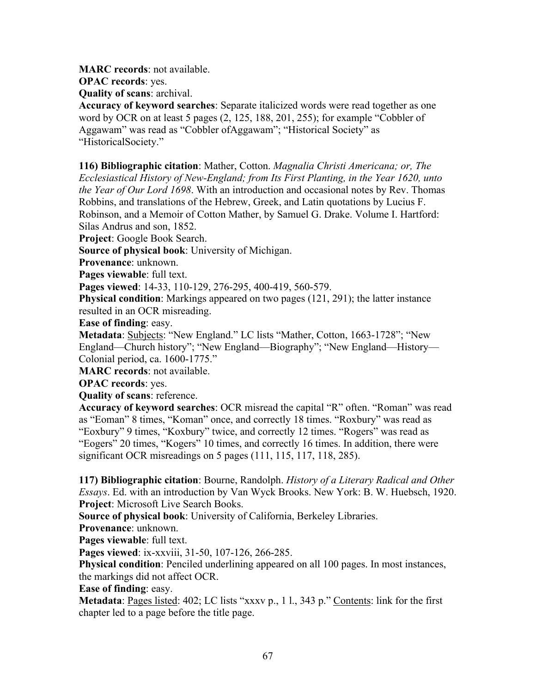**MARC records**: not available.

**OPAC records**: yes.

**Quality of scans**: archival.

**Accuracy of keyword searches**: Separate italicized words were read together as one word by OCR on at least 5 pages (2, 125, 188, 201, 255); for example "Cobbler of Aggawam" was read as "Cobbler ofAggawam"; "Historical Society" as "HistoricalSociety."

**116) Bibliographic citation**: Mather, Cotton. *Magnalia Christi Americana; or, The Ecclesiastical History of New-England; from Its First Planting, in the Year 1620, unto the Year of Our Lord 1698*. With an introduction and occasional notes by Rev. Thomas Robbins, and translations of the Hebrew, Greek, and Latin quotations by Lucius F. Robinson, and a Memoir of Cotton Mather, by Samuel G. Drake. Volume I. Hartford: Silas Andrus and son, 1852.

**Project**: Google Book Search.

**Source of physical book**: University of Michigan.

**Provenance**: unknown.

**Pages viewable**: full text.

**Pages viewed**: 14-33, 110-129, 276-295, 400-419, 560-579.

**Physical condition**: Markings appeared on two pages (121, 291); the latter instance resulted in an OCR misreading.

**Ease of finding**: easy.

**Metadata**: Subjects: "New England." LC lists "Mather, Cotton, 1663-1728"; "New England—Church history"; "New England—Biography"; "New England—History— Colonial period, ca. 1600-1775."

**MARC records**: not available.

**OPAC records**: yes.

**Quality of scans**: reference.

**Accuracy of keyword searches**: OCR misread the capital "R" often. "Roman" was read as "Eoman" 8 times, "Koman" once, and correctly 18 times. "Roxbury" was read as "Eoxbury" 9 times, "Koxbury" twice, and correctly 12 times. "Rogers" was read as "Eogers" 20 times, "Kogers" 10 times, and correctly 16 times. In addition, there were significant OCR misreadings on 5 pages (111, 115, 117, 118, 285).

**117) Bibliographic citation**: Bourne, Randolph. *History of a Literary Radical and Other Essays*. Ed. with an introduction by Van Wyck Brooks. New York: B. W. Huebsch, 1920. **Project**: Microsoft Live Search Books.

**Source of physical book**: University of California, Berkeley Libraries.

**Provenance**: unknown.

**Pages viewable**: full text.

**Pages viewed**: ix-xxviii, 31-50, 107-126, 266-285.

**Physical condition**: Penciled underlining appeared on all 100 pages. In most instances, the markings did not affect OCR.

**Ease of finding**: easy.

**Metadata**: Pages listed: 402; LC lists "xxxv p., 1 l., 343 p." Contents: link for the first chapter led to a page before the title page.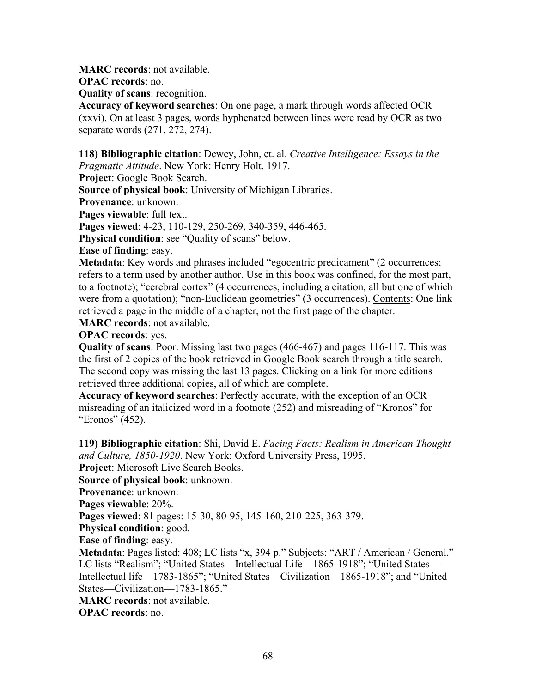**MARC records**: not available.

**OPAC records**: no.

**Quality of scans**: recognition.

**Accuracy of keyword searches**: On one page, a mark through words affected OCR (xxvi). On at least 3 pages, words hyphenated between lines were read by OCR as two separate words (271, 272, 274).

**118) Bibliographic citation**: Dewey, John, et. al. *Creative Intelligence: Essays in the Pragmatic Attitude*. New York: Henry Holt, 1917.

**Project**: Google Book Search.

**Source of physical book**: University of Michigan Libraries.

**Provenance**: unknown.

**Pages viewable**: full text.

**Pages viewed**: 4-23, 110-129, 250-269, 340-359, 446-465.

**Physical condition**: see "Quality of scans" below.

**Ease of finding**: easy.

**Metadata**: Key words and phrases included "egocentric predicament" (2 occurrences; refers to a term used by another author. Use in this book was confined, for the most part, to a footnote); "cerebral cortex" (4 occurrences, including a citation, all but one of which were from a quotation); "non-Euclidean geometries" (3 occurrences). Contents: One link retrieved a page in the middle of a chapter, not the first page of the chapter.

**MARC records**: not available.

**OPAC records**: yes.

**Quality of scans**: Poor. Missing last two pages (466-467) and pages 116-117. This was the first of 2 copies of the book retrieved in Google Book search through a title search. The second copy was missing the last 13 pages. Clicking on a link for more editions retrieved three additional copies, all of which are complete.

**Accuracy of keyword searches**: Perfectly accurate, with the exception of an OCR misreading of an italicized word in a footnote (252) and misreading of "Kronos" for "Eronos" (452).

**119) Bibliographic citation**: Shi, David E. *Facing Facts: Realism in American Thought and Culture, 1850-1920*. New York: Oxford University Press, 1995.

**Project**: Microsoft Live Search Books.

**Source of physical book**: unknown.

**Provenance**: unknown.

**Pages viewable**: 20%.

**Pages viewed**: 81 pages: 15-30, 80-95, 145-160, 210-225, 363-379.

**Physical condition**: good.

**Ease of finding**: easy.

**Metadata**: Pages listed: 408; LC lists "x, 394 p." Subjects: "ART / American / General." LC lists "Realism"; "United States—Intellectual Life—1865-1918"; "United States— Intellectual life—1783-1865"; "United States—Civilization—1865-1918"; and "United States—Civilization—1783-1865."

**MARC records**: not available.

**OPAC records**: no.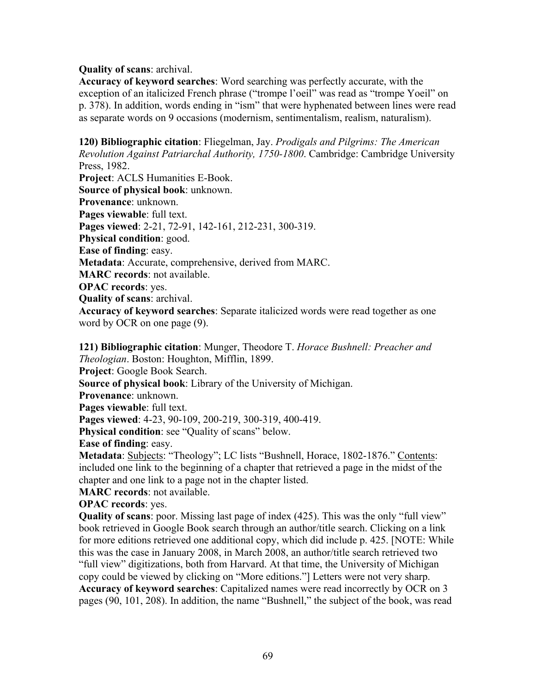#### **Quality of scans**: archival.

**Accuracy of keyword searches**: Word searching was perfectly accurate, with the exception of an italicized French phrase ("trompe l'oeil" was read as "trompe Yoeil" on p. 378). In addition, words ending in "ism" that were hyphenated between lines were read as separate words on 9 occasions (modernism, sentimentalism, realism, naturalism).

**120) Bibliographic citation**: Fliegelman, Jay. *Prodigals and Pilgrims: The American Revolution Against Patriarchal Authority, 1750-1800*. Cambridge: Cambridge University Press, 1982. **Project**: ACLS Humanities E-Book. **Source of physical book**: unknown. **Provenance**: unknown. **Pages viewable**: full text. **Pages viewed**: 2-21, 72-91, 142-161, 212-231, 300-319. **Physical condition**: good. **Ease of finding**: easy. **Metadata**: Accurate, comprehensive, derived from MARC. **MARC records**: not available. **OPAC records**: yes. **Quality of scans**: archival. **Accuracy of keyword searches**: Separate italicized words were read together as one word by OCR on one page (9).

**121) Bibliographic citation**: Munger, Theodore T. *Horace Bushnell: Preacher and Theologian*. Boston: Houghton, Mifflin, 1899.

**Project**: Google Book Search.

**Source of physical book**: Library of the University of Michigan.

**Provenance**: unknown.

**Pages viewable**: full text.

**Pages viewed**: 4-23, 90-109, 200-219, 300-319, 400-419.

**Physical condition**: see "Quality of scans" below.

**Ease of finding**: easy.

**Metadata**: Subjects: "Theology"; LC lists "Bushnell, Horace, 1802-1876." Contents: included one link to the beginning of a chapter that retrieved a page in the midst of the chapter and one link to a page not in the chapter listed.

**MARC records**: not available.

**OPAC records**: yes.

**Quality of scans**: poor. Missing last page of index (425). This was the only "full view" book retrieved in Google Book search through an author/title search. Clicking on a link for more editions retrieved one additional copy, which did include p. 425. [NOTE: While this was the case in January 2008, in March 2008, an author/title search retrieved two "full view" digitizations, both from Harvard. At that time, the University of Michigan copy could be viewed by clicking on "More editions."] Letters were not very sharp. **Accuracy of keyword searches**: Capitalized names were read incorrectly by OCR on 3 pages (90, 101, 208). In addition, the name "Bushnell," the subject of the book, was read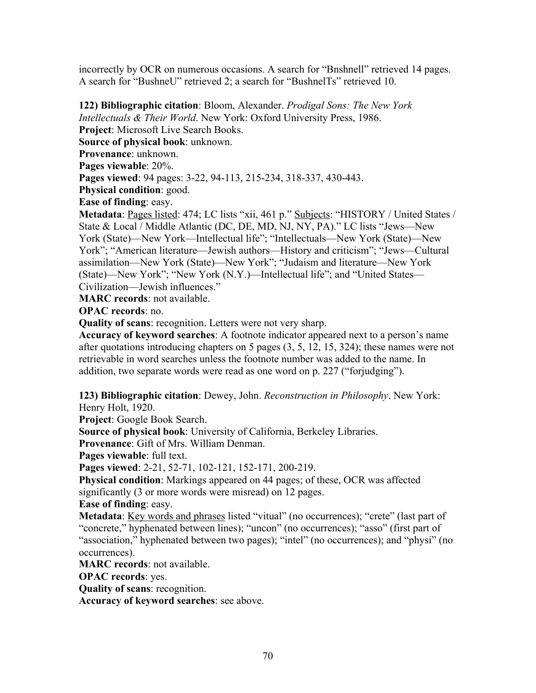incorrectly by OCR on numerous occasions. A search for "Bnshnell" retrieved 14 pages. A search for "BushneU" retrieved 2; a search for "BushnelTs" retrieved 10.

**122) Bibliographic citation**: Bloom, Alexander. *Prodigal Sons: The New York* 

*Intellectuals & Their World*. New York: Oxford University Press, 1986.

**Project**: Microsoft Live Search Books.

**Source of physical book**: unknown.

**Provenance**: unknown.

**Pages viewable**: 20%.

**Pages viewed**: 94 pages: 3-22, 94-113, 215-234, 318-337, 430-443.

**Physical condition**: good.

**Ease of finding**: easy.

**Metadata**: Pages listed: 474; LC lists "xii, 461 p." Subjects: "HISTORY / United States / State & Local / Middle Atlantic (DC, DE, MD, NJ, NY, PA)." LC lists "Jews—New York (State)—New York—Intellectual life"; "Intellectuals—New York (State)—New York"; "American literature—Jewish authors—History and criticism"; "Jews—Cultural assimilation—New York (State)—New York"; "Judaism and literature—New York (State)—New York"; "New York (N.Y.)—Intellectual life"; and "United States— Civilization—Jewish influences."

**MARC records**: not available.

**OPAC records**: no.

**Quality of scans**: recognition. Letters were not very sharp.

**Accuracy of keyword searches**: A footnote indicator appeared next to a person's name after quotations introducing chapters on 5 pages (3, 5, 12, 15, 324); these names were not retrievable in word searches unless the footnote number was added to the name. In addition, two separate words were read as one word on p. 227 ("forjudging").

**123) Bibliographic citation**: Dewey, John. *Reconstruction in Philosophy*. New York: Henry Holt, 1920.

**Project**: Google Book Search.

**Source of physical book**: University of California, Berkeley Libraries.

**Provenance**: Gift of Mrs. William Denman.

**Pages viewable**: full text.

**Pages viewed**: 2-21, 52-71, 102-121, 152-171, 200-219.

**Physical condition**: Markings appeared on 44 pages; of these, OCR was affected significantly (3 or more words were misread) on 12 pages.

**Ease of finding**: easy.

**Metadata**: Key words and phrases listed "vitual" (no occurrences); "crete" (last part of "concrete," hyphenated between lines); "uncon" (no occurrences); "asso" (first part of "association," hyphenated between two pages); "intel" (no occurrences); and "physi" (no occurrences).

**MARC records**: not available.

**OPAC records**: yes.

**Quality of scans**: recognition.

**Accuracy of keyword searches**: see above.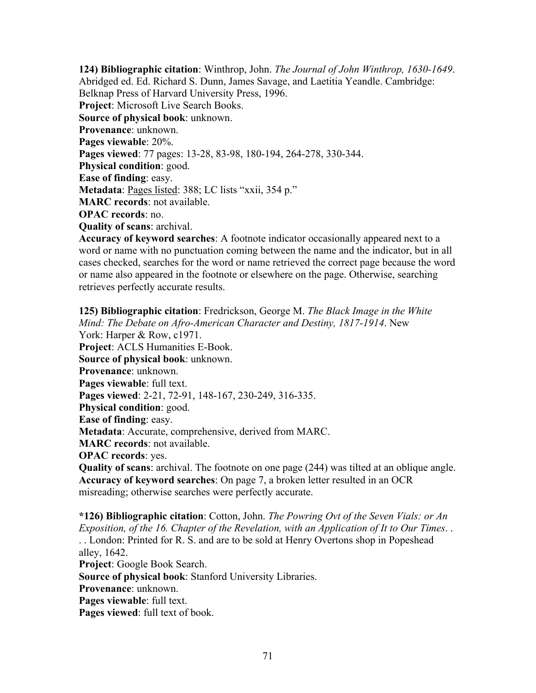**124) Bibliographic citation**: Winthrop, John. *The Journal of John Winthrop, 1630-1649*. Abridged ed. Ed. Richard S. Dunn, James Savage, and Laetitia Yeandle. Cambridge: Belknap Press of Harvard University Press, 1996. **Project**: Microsoft Live Search Books. **Source of physical book**: unknown. **Provenance**: unknown. **Pages viewable**: 20%. **Pages viewed**: 77 pages: 13-28, 83-98, 180-194, 264-278, 330-344. **Physical condition**: good. **Ease of finding**: easy. **Metadata**: Pages listed: 388; LC lists "xxii, 354 p." **MARC records**: not available. **OPAC records**: no. **Quality of scans**: archival. **Accuracy of keyword searches**: A footnote indicator occasionally appeared next to a

word or name with no punctuation coming between the name and the indicator, but in all cases checked, searches for the word or name retrieved the correct page because the word or name also appeared in the footnote or elsewhere on the page. Otherwise, searching retrieves perfectly accurate results.

**125) Bibliographic citation**: Fredrickson, George M. *The Black Image in the White Mind: The Debate on Afro-American Character and Destiny, 1817-1914*. New York: Harper & Row, c1971. **Project**: ACLS Humanities E-Book. **Source of physical book**: unknown. **Provenance**: unknown. **Pages viewable**: full text. **Pages viewed**: 2-21, 72-91, 148-167, 230-249, 316-335. **Physical condition**: good. **Ease of finding**: easy. **Metadata**: Accurate, comprehensive, derived from MARC. **MARC records**: not available. **OPAC records**: yes. **Quality of scans**: archival. The footnote on one page (244) was tilted at an oblique angle. **Accuracy of keyword searches**: On page 7, a broken letter resulted in an OCR misreading; otherwise searches were perfectly accurate.

**\*126) Bibliographic citation**: Cotton, John. *The Powring Ovt of the Seven Vials: or An Exposition, of the 16. Chapter of the Revelation, with an Application of It to Our Times*. . . . London: Printed for R. S. and are to be sold at Henry Overtons shop in Popeshead alley, 1642. **Project**: Google Book Search. **Source of physical book**: Stanford University Libraries. **Provenance**: unknown. **Pages viewable**: full text. **Pages viewed**: full text of book.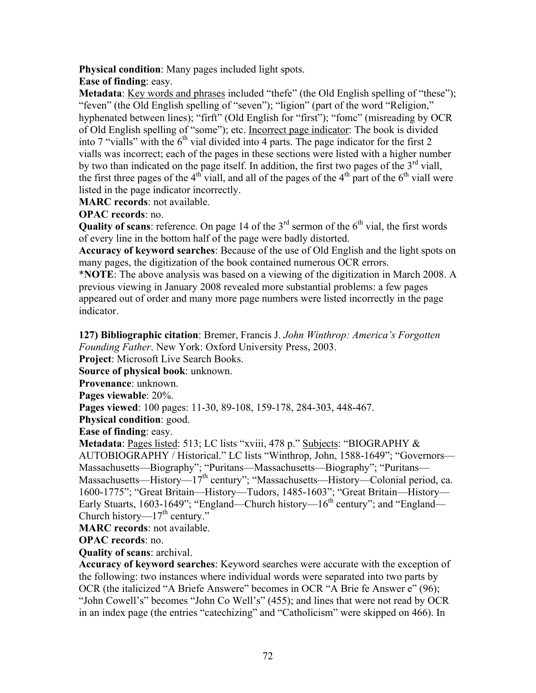**Physical condition**: Many pages included light spots.

**Ease of finding**: easy.

**Metadata**: Key words and phrases included "thefe" (the Old English spelling of "these"); "feven" (the Old English spelling of "seven"); "ligion" (part of the word "Religion," hyphenated between lines); "firft" (Old English for "first"); "fomc" (misreading by OCR of Old English spelling of "some"); etc. Incorrect page indicator: The book is divided into 7 "vialls" with the  $6<sup>th</sup>$  vial divided into 4 parts. The page indicator for the first 2 vialls was incorrect; each of the pages in these sections were listed with a higher number by two than indicated on the page itself. In addition, the first two pages of the  $3<sup>rd</sup>$  viall, the first three pages of the  $4<sup>th</sup>$  viall, and all of the pages of the  $4<sup>th</sup>$  part of the  $6<sup>th</sup>$  viall were listed in the page indicator incorrectly.

**MARC records**: not available.

**OPAC records**: no.

**Quality of scans**: reference. On page 14 of the  $3<sup>rd</sup>$  sermon of the  $6<sup>th</sup>$  vial, the first words of every line in the bottom half of the page were badly distorted.

**Accuracy of keyword searches**: Because of the use of Old English and the light spots on many pages, the digitization of the book contained numerous OCR errors.

\***NOTE**: The above analysis was based on a viewing of the digitization in March 2008. A previous viewing in January 2008 revealed more substantial problems: a few pages appeared out of order and many more page numbers were listed incorrectly in the page indicator.

**127) Bibliographic citation**: Bremer, Francis J. *John Winthrop: America's Forgotten Founding Father*. New York: Oxford University Press, 2003.

**Project**: Microsoft Live Search Books.

**Source of physical book**: unknown.

**Provenance**: unknown.

**Pages viewable**: 20%.

**Pages viewed**: 100 pages: 11-30, 89-108, 159-178, 284-303, 448-467.

**Physical condition**: good.

**Ease of finding**: easy.

Metadata: Pages listed: 513; LC lists "xviii, 478 p." Subjects: "BIOGRAPHY & AUTOBIOGRAPHY / Historical." LC lists "Winthrop, John, 1588-1649"; "Governors— Massachusetts—Biography"; "Puritans—Massachusetts—Biography"; "Puritans— Massachusetts—History—17<sup>th</sup> century"; "Massachusetts—History—Colonial period, ca. 1600-1775"; "Great Britain—History—Tudors, 1485-1603"; "Great Britain—History— Early Stuarts, 1603-1649"; "England—Church history— $16^{th}$  century"; and "England— Church history— $17<sup>th</sup>$  century."

**MARC records**: not available.

**OPAC records**: no.

**Quality of scans**: archival.

**Accuracy of keyword searches**: Keyword searches were accurate with the exception of the following: two instances where individual words were separated into two parts by OCR (the italicized "A Briefe Answere" becomes in OCR "A Brie fe Answer e" (96); "John Cowell's" becomes "John Co Well's" (455); and lines that were not read by OCR in an index page (the entries "catechizing" and "Catholicism" were skipped on 466). In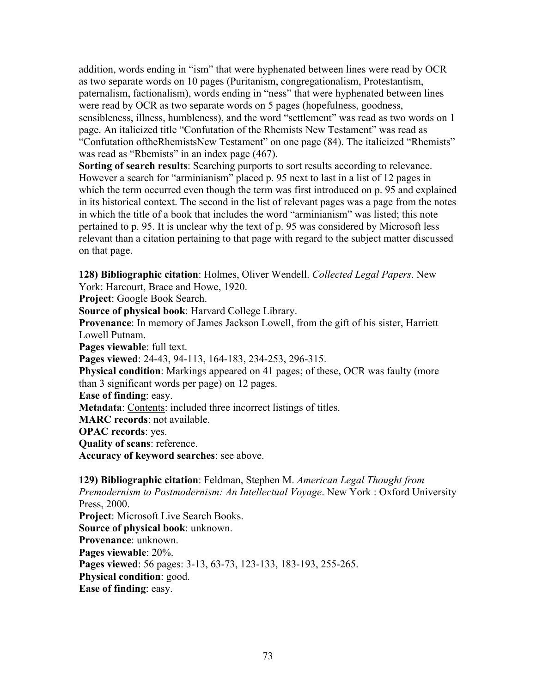addition, words ending in "ism" that were hyphenated between lines were read by OCR as two separate words on 10 pages (Puritanism, congregationalism, Protestantism, paternalism, factionalism), words ending in "ness" that were hyphenated between lines were read by OCR as two separate words on 5 pages (hopefulness, goodness, sensibleness, illness, humbleness), and the word "settlement" was read as two words on 1 page. An italicized title "Confutation of the Rhemists New Testament" was read as "Confutation oftheRhemistsNew Testament" on one page (84). The italicized "Rhemists" was read as "Rbemists" in an index page  $(467)$ .

**Sorting of search results**: Searching purports to sort results according to relevance. However a search for "arminianism" placed p. 95 next to last in a list of 12 pages in which the term occurred even though the term was first introduced on p. 95 and explained in its historical context. The second in the list of relevant pages was a page from the notes in which the title of a book that includes the word "arminianism" was listed; this note pertained to p. 95. It is unclear why the text of p. 95 was considered by Microsoft less relevant than a citation pertaining to that page with regard to the subject matter discussed on that page.

**128) Bibliographic citation**: Holmes, Oliver Wendell. *Collected Legal Papers*. New

York: Harcourt, Brace and Howe, 1920.

**Project**: Google Book Search.

**Source of physical book**: Harvard College Library.

**Provenance**: In memory of James Jackson Lowell, from the gift of his sister, Harriett Lowell Putnam.

**Pages viewable**: full text.

**Pages viewed**: 24-43, 94-113, 164-183, 234-253, 296-315.

**Physical condition**: Markings appeared on 41 pages; of these, OCR was faulty (more than 3 significant words per page) on 12 pages.

**Ease of finding**: easy.

**Metadata**: Contents: included three incorrect listings of titles.

**MARC records**: not available.

**OPAC records**: yes.

**Quality of scans**: reference.

**Accuracy of keyword searches**: see above.

**129) Bibliographic citation**: Feldman, Stephen M. *American Legal Thought from Premodernism to Postmodernism: An Intellectual Voyage*. New York : Oxford University Press, 2000. **Project**: Microsoft Live Search Books. **Source of physical book**: unknown. **Provenance**: unknown. **Pages viewable**: 20%. **Pages viewed**: 56 pages: 3-13, 63-73, 123-133, 183-193, 255-265.

**Physical condition**: good.

**Ease of finding**: easy.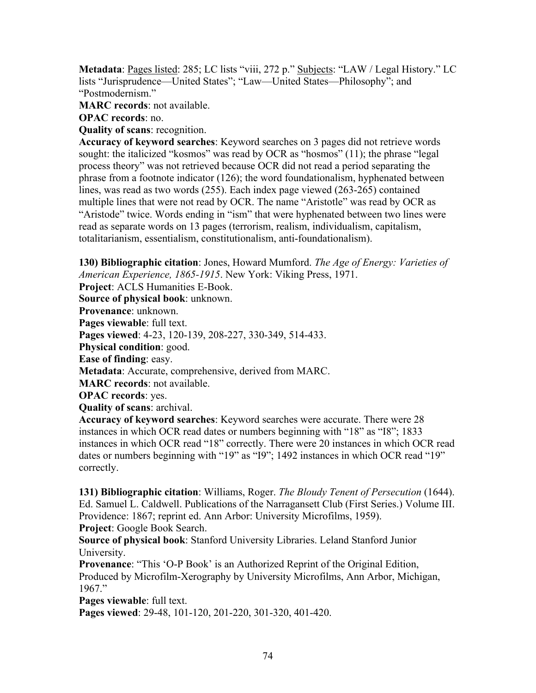**Metadata**: Pages listed: 285; LC lists "viii, 272 p." Subjects: "LAW / Legal History." LC lists "Jurisprudence—United States"; "Law—United States—Philosophy"; and "Postmodernism."

**MARC records**: not available.

**OPAC records**: no.

**Quality of scans**: recognition.

**Accuracy of keyword searches**: Keyword searches on 3 pages did not retrieve words sought: the italicized "kosmos" was read by OCR as "hosmos" (11); the phrase "legal process theory" was not retrieved because OCR did not read a period separating the phrase from a footnote indicator (126); the word foundationalism, hyphenated between lines, was read as two words (255). Each index page viewed (263-265) contained multiple lines that were not read by OCR. The name "Aristotle" was read by OCR as "Aristode" twice. Words ending in "ism" that were hyphenated between two lines were read as separate words on 13 pages (terrorism, realism, individualism, capitalism, totalitarianism, essentialism, constitutionalism, anti-foundationalism).

**130) Bibliographic citation**: Jones, Howard Mumford. *The Age of Energy: Varieties of American Experience, 1865-1915*. New York: Viking Press, 1971.

**Project**: ACLS Humanities E-Book.

**Source of physical book**: unknown.

**Provenance**: unknown.

**Pages viewable**: full text.

**Pages viewed**: 4-23, 120-139, 208-227, 330-349, 514-433.

**Physical condition**: good.

**Ease of finding**: easy.

**Metadata**: Accurate, comprehensive, derived from MARC.

**MARC records**: not available.

**OPAC records**: yes.

**Quality of scans**: archival.

**Accuracy of keyword searches**: Keyword searches were accurate. There were 28 instances in which OCR read dates or numbers beginning with "18" as "I8"; 1833 instances in which OCR read "18" correctly. There were 20 instances in which OCR read dates or numbers beginning with "19" as "I9"; 1492 instances in which OCR read "19" correctly.

**131) Bibliographic citation**: Williams, Roger. *The Bloudy Tenent of Persecution* (1644). Ed. Samuel L. Caldwell. Publications of the Narragansett Club (First Series.) Volume III. Providence: 1867; reprint ed. Ann Arbor: University Microfilms, 1959). **Project**: Google Book Search.

**Source of physical book**: Stanford University Libraries. Leland Stanford Junior University.

**Provenance**: "This 'O-P Book' is an Authorized Reprint of the Original Edition, Produced by Microfilm-Xerography by University Microfilms, Ann Arbor, Michigan, 1967."

**Pages viewable**: full text.

**Pages viewed**: 29-48, 101-120, 201-220, 301-320, 401-420.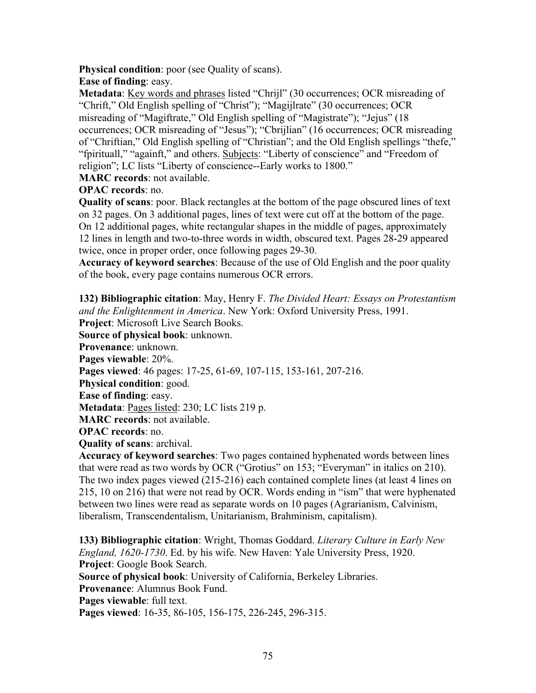**Physical condition**: poor (see Quality of scans).

**Ease of finding**: easy.

**Metadata**: Key words and phrases listed "Chrijl" (30 occurrences; OCR misreading of "Chrift," Old English spelling of "Christ"); "Magijlrate" (30 occurrences; OCR misreading of "Magiftrate," Old English spelling of "Magistrate"); "Jejus" (18 occurrences; OCR misreading of "Jesus"); "Cbrijlian" (16 occurrences; OCR misreading of "Chriftian," Old English spelling of "Christian"; and the Old English spellings "thefe," "fpirituall," "againft," and others. Subjects: "Liberty of conscience" and "Freedom of religion"; LC lists "Liberty of conscience--Early works to 1800."

**MARC records**: not available.

**OPAC records**: no.

**Quality of scans**: poor. Black rectangles at the bottom of the page obscured lines of text on 32 pages. On 3 additional pages, lines of text were cut off at the bottom of the page. On 12 additional pages, white rectangular shapes in the middle of pages, approximately 12 lines in length and two-to-three words in width, obscured text. Pages 28-29 appeared twice, once in proper order, once following pages 29-30.

**Accuracy of keyword searches**: Because of the use of Old English and the poor quality of the book, every page contains numerous OCR errors.

**132) Bibliographic citation**: May, Henry F. *The Divided Heart: Essays on Protestantism and the Enlightenment in America*. New York: Oxford University Press, 1991.

**Project**: Microsoft Live Search Books.

**Source of physical book**: unknown.

**Provenance**: unknown.

**Pages viewable**: 20%.

**Pages viewed**: 46 pages: 17-25, 61-69, 107-115, 153-161, 207-216.

**Physical condition**: good.

**Ease of finding**: easy.

**Metadata**: Pages listed: 230; LC lists 219 p.

**MARC records**: not available.

**OPAC records**: no.

**Quality of scans**: archival.

**Accuracy of keyword searches**: Two pages contained hyphenated words between lines that were read as two words by OCR ("Grotius" on 153; "Everyman" in italics on 210). The two index pages viewed (215-216) each contained complete lines (at least 4 lines on 215, 10 on 216) that were not read by OCR. Words ending in "ism" that were hyphenated between two lines were read as separate words on 10 pages (Agrarianism, Calvinism, liberalism, Transcendentalism, Unitarianism, Brahminism, capitalism).

**133) Bibliographic citation**: Wright, Thomas Goddard. *Literary Culture in Early New England, 1620-1730*. Ed. by his wife. New Haven: Yale University Press, 1920. **Project**: Google Book Search.

**Source of physical book**: University of California, Berkeley Libraries.

**Provenance**: Alumnus Book Fund.

**Pages viewable**: full text.

**Pages viewed**: 16-35, 86-105, 156-175, 226-245, 296-315.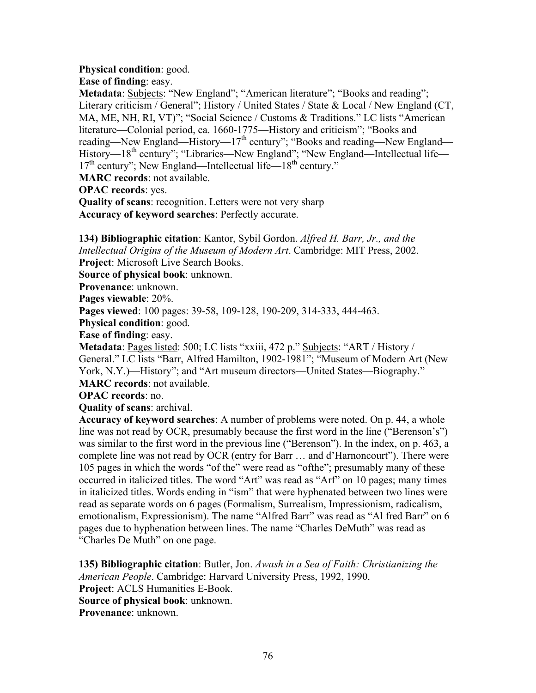#### **Physical condition**: good.

**Ease of finding**: easy.

**Metadata**: Subjects: "New England"; "American literature"; "Books and reading"; Literary criticism / General"; History / United States / State & Local / New England (CT, MA, ME, NH, RI, VT)"; "Social Science / Customs & Traditions." LC lists "American literature—Colonial period, ca. 1660-1775—History and criticism"; "Books and reading—New England—History—17<sup>th</sup> century"; "Books and reading—New England— History—18<sup>th</sup> century"; "Libraries—New England"; "New England—Intellectual life—  $17<sup>th</sup>$  century"; New England—Intellectual life— $18<sup>th</sup>$  century."

**MARC records**: not available.

**OPAC records**: yes.

**Quality of scans**: recognition. Letters were not very sharp **Accuracy of keyword searches**: Perfectly accurate.

**134) Bibliographic citation**: Kantor, Sybil Gordon. *Alfred H. Barr, Jr., and the Intellectual Origins of the Museum of Modern Art*. Cambridge: MIT Press, 2002. **Project**: Microsoft Live Search Books.

**Source of physical book**: unknown.

**Provenance**: unknown.

**Pages viewable**: 20%.

**Pages viewed**: 100 pages: 39-58, 109-128, 190-209, 314-333, 444-463.

**Physical condition**: good.

**Ease of finding**: easy.

**Metadata**: Pages listed: 500; LC lists "xxiii, 472 p." Subjects: "ART / History / General." LC lists "Barr, Alfred Hamilton, 1902-1981"; "Museum of Modern Art (New York, N.Y.)—History"; and "Art museum directors—United States—Biography." **MARC records**: not available.

**OPAC records**: no.

**Quality of scans**: archival.

**Accuracy of keyword searches**: A number of problems were noted. On p. 44, a whole line was not read by OCR, presumably because the first word in the line ("Berenson's") was similar to the first word in the previous line ("Berenson"). In the index, on p. 463, a complete line was not read by OCR (entry for Barr … and d'Harnoncourt"). There were 105 pages in which the words "of the" were read as "ofthe"; presumably many of these occurred in italicized titles. The word "Art" was read as "Arf" on 10 pages; many times in italicized titles. Words ending in "ism" that were hyphenated between two lines were read as separate words on 6 pages (Formalism, Surrealism, Impressionism, radicalism, emotionalism, Expressionism). The name "Alfred Barr" was read as "Al fred Barr" on 6 pages due to hyphenation between lines. The name "Charles DeMuth" was read as "Charles De Muth" on one page.

**135) Bibliographic citation**: Butler, Jon. *Awash in a Sea of Faith: Christianizing the American People*. Cambridge: Harvard University Press, 1992, 1990. **Project**: ACLS Humanities E-Book. **Source of physical book**: unknown. **Provenance**: unknown.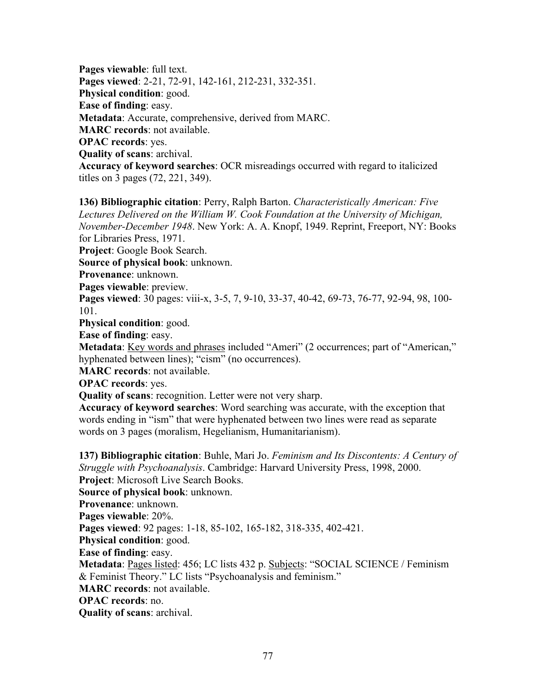**Pages viewable**: full text. **Pages viewed**: 2-21, 72-91, 142-161, 212-231, 332-351. **Physical condition**: good. **Ease of finding**: easy. **Metadata**: Accurate, comprehensive, derived from MARC. **MARC records**: not available. **OPAC records**: yes. **Quality of scans**: archival. **Accuracy of keyword searches**: OCR misreadings occurred with regard to italicized titles on 3 pages (72, 221, 349).

**136) Bibliographic citation**: Perry, Ralph Barton. *Characteristically American: Five Lectures Delivered on the William W. Cook Foundation at the University of Michigan, November-December 1948*. New York: A. A. Knopf, 1949. Reprint, Freeport, NY: Books for Libraries Press, 1971.

**Project**: Google Book Search.

**Source of physical book**: unknown.

**Provenance**: unknown.

**Pages viewable**: preview.

**Pages viewed**: 30 pages: viii-x, 3-5, 7, 9-10, 33-37, 40-42, 69-73, 76-77, 92-94, 98, 100- 101.

**Physical condition**: good.

**Ease of finding**: easy.

**Metadata**: Key words and phrases included "Ameri" (2 occurrences; part of "American," hyphenated between lines); "cism" (no occurrences).

**MARC records**: not available.

**OPAC records**: yes.

**Quality of scans**: recognition. Letter were not very sharp.

**Accuracy of keyword searches**: Word searching was accurate, with the exception that words ending in "ism" that were hyphenated between two lines were read as separate words on 3 pages (moralism, Hegelianism, Humanitarianism).

**137) Bibliographic citation**: Buhle, Mari Jo. *Feminism and Its Discontents: A Century of Struggle with Psychoanalysis*. Cambridge: Harvard University Press, 1998, 2000. **Project**: Microsoft Live Search Books. **Source of physical book**: unknown.

**Provenance**: unknown.

**Pages viewable**: 20%.

**Pages viewed**: 92 pages: 1-18, 85-102, 165-182, 318-335, 402-421.

**Physical condition**: good.

**Ease of finding**: easy.

**Metadata**: Pages listed: 456; LC lists 432 p. Subjects: "SOCIAL SCIENCE / Feminism & Feminist Theory." LC lists "Psychoanalysis and feminism."

**MARC records**: not available.

**OPAC records**: no.

**Quality of scans**: archival.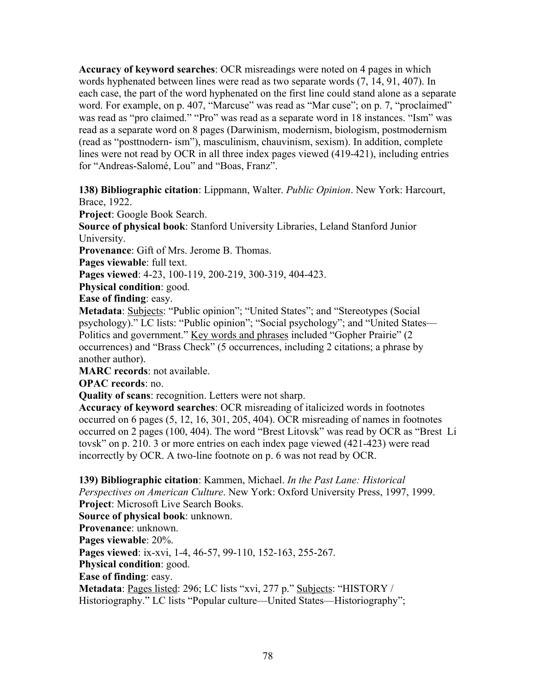**Accuracy of keyword searches**: OCR misreadings were noted on 4 pages in which words hyphenated between lines were read as two separate words (7, 14, 91, 407). In each case, the part of the word hyphenated on the first line could stand alone as a separate word. For example, on p. 407, "Marcuse" was read as "Mar cuse"; on p. 7, "proclaimed" was read as "pro claimed." "Pro" was read as a separate word in 18 instances. "Ism" was read as a separate word on 8 pages (Darwinism, modernism, biologism, postmodernism (read as "posttnodern- ism"), masculinism, chauvinism, sexism). In addition, complete lines were not read by OCR in all three index pages viewed (419-421), including entries for "Andreas-Salomé, Lou" and "Boas, Franz".

**138) Bibliographic citation**: Lippmann, Walter. *Public Opinion*. New York: Harcourt, Brace, 1922.

**Project**: Google Book Search.

**Source of physical book**: Stanford University Libraries, Leland Stanford Junior University.

**Provenance**: Gift of Mrs. Jerome B. Thomas.

Pages viewable: full text.

**Pages viewed**: 4-23, 100-119, 200-219, 300-319, 404-423.

**Physical condition**: good.

**Ease of finding**: easy.

**Metadata**: **Subjects**: "Public opinion"; "United States"; and "Stereotypes (Social psychology)." LC lists: "Public opinion"; "Social psychology"; and "United States— Politics and government." Key words and phrases included "Gopher Prairie" (2 occurrences) and "Brass Check" (5 occurrences, including 2 citations; a phrase by another author).

**MARC records**: not available.

**OPAC records**: no.

**Quality of scans**: recognition. Letters were not sharp.

**Accuracy of keyword searches**: OCR misreading of italicized words in footnotes occurred on 6 pages (5, 12, 16, 301, 205, 404). OCR misreading of names in footnotes occurred on 2 pages (100, 404). The word "Brest Litovsk" was read by OCR as "Brest Li tovsk" on p. 210. 3 or more entries on each index page viewed (421-423) were read incorrectly by OCR. A two-line footnote on p. 6 was not read by OCR.

**139) Bibliographic citation**: Kammen, Michael. *In the Past Lane: Historical Perspectives on American Culture*. New York: Oxford University Press, 1997, 1999. **Project**: Microsoft Live Search Books.

**Source of physical book**: unknown.

**Provenance**: unknown.

**Pages viewable**: 20%.

**Pages viewed**: ix-xvi, 1-4, 46-57, 99-110, 152-163, 255-267.

**Physical condition**: good.

**Ease of finding**: easy.

**Metadata**: Pages listed: 296; LC lists "xvi, 277 p." Subjects: "HISTORY / Historiography." LC lists "Popular culture—United States—Historiography";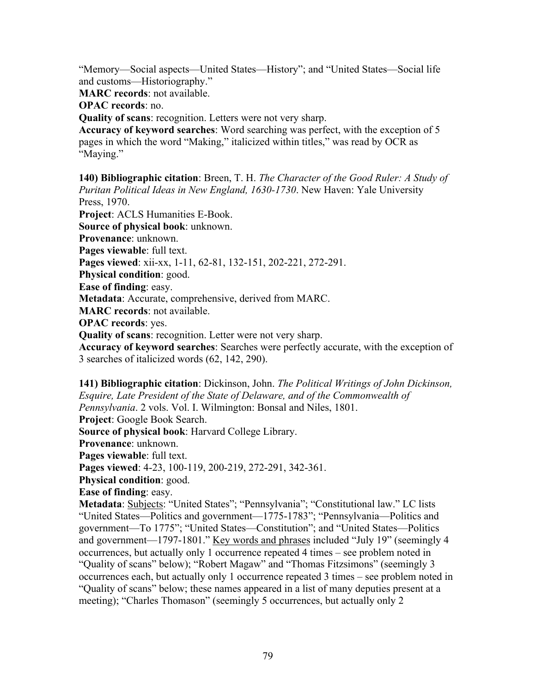"Memory—Social aspects—United States—History"; and "United States—Social life and customs—Historiography."

**MARC records**: not available.

**OPAC records**: no.

**Quality of scans**: recognition. Letters were not very sharp.

**Accuracy of keyword searches**: Word searching was perfect, with the exception of 5 pages in which the word "Making," italicized within titles," was read by OCR as "Maying."

**140) Bibliographic citation**: Breen, T. H. *The Character of the Good Ruler: A Study of Puritan Political Ideas in New England, 1630-1730*. New Haven: Yale University Press, 1970.

**Project**: ACLS Humanities E-Book.

**Source of physical book**: unknown.

**Provenance**: unknown.

**Pages viewable**: full text.

**Pages viewed**: xii-xx, 1-11, 62-81, 132-151, 202-221, 272-291.

**Physical condition**: good.

**Ease of finding**: easy.

**Metadata**: Accurate, comprehensive, derived from MARC.

**MARC records**: not available.

**OPAC records**: yes.

**Quality of scans**: recognition. Letter were not very sharp.

**Accuracy of keyword searches**: Searches were perfectly accurate, with the exception of 3 searches of italicized words (62, 142, 290).

**141) Bibliographic citation**: Dickinson, John. *The Political Writings of John Dickinson, Esquire, Late President of the State of Delaware, and of the Commonwealth of Pennsylvania*. 2 vols. Vol. I. Wilmington: Bonsal and Niles, 1801. **Project**: Google Book Search. **Source of physical book**: Harvard College Library. **Provenance**: unknown. **Pages viewable**: full text. **Pages viewed**: 4-23, 100-119, 200-219, 272-291, 342-361. **Physical condition**: good. **Ease of finding**: easy. **Metadata**: Subjects: "United States"; "Pennsylvania"; "Constitutional law." LC lists "United States—Politics and government—1775-1783"; "Pennsylvania—Politics and government—To 1775"; "United States—Constitution"; and "United States—Politics

and government—1797-1801." Key words and phrases included "July 19" (seemingly 4 occurrences, but actually only 1 occurrence repeated 4 times – see problem noted in "Quality of scans" below); "Robert Magaw" and "Thomas Fitzsimons" (seemingly 3 occurrences each, but actually only 1 occurrence repeated 3 times – see problem noted in "Quality of scans" below; these names appeared in a list of many deputies present at a meeting); "Charles Thomason" (seemingly 5 occurrences, but actually only 2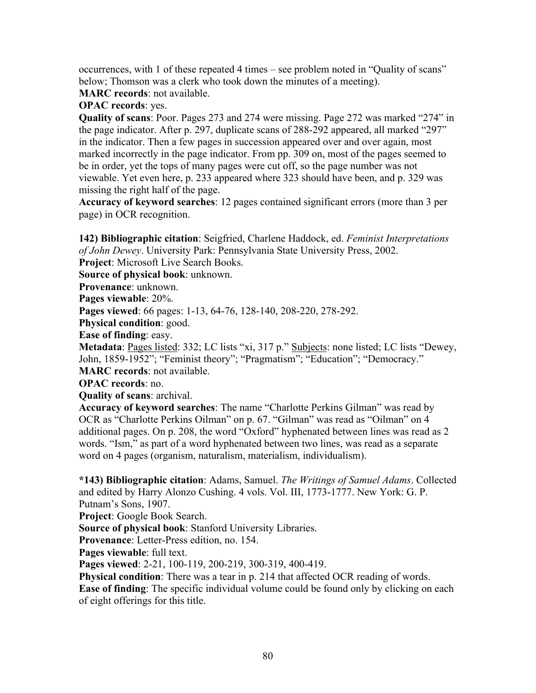occurrences, with 1 of these repeated 4 times – see problem noted in "Quality of scans" below; Thomson was a clerk who took down the minutes of a meeting).

**MARC records**: not available.

**OPAC records**: yes.

**Quality of scans**: Poor. Pages 273 and 274 were missing. Page 272 was marked "274" in the page indicator. After p. 297, duplicate scans of 288-292 appeared, all marked "297" in the indicator. Then a few pages in succession appeared over and over again, most marked incorrectly in the page indicator. From pp. 309 on, most of the pages seemed to be in order, yet the tops of many pages were cut off, so the page number was not viewable. Yet even here, p. 233 appeared where 323 should have been, and p. 329 was missing the right half of the page.

**Accuracy of keyword searches**: 12 pages contained significant errors (more than 3 per page) in OCR recognition.

**142) Bibliographic citation**: Seigfried, Charlene Haddock, ed. *Feminist Interpretations of John Dewey*. University Park: Pennsylvania State University Press, 2002.

**Project**: Microsoft Live Search Books.

**Source of physical book**: unknown.

**Provenance**: unknown.

**Pages viewable**: 20%.

**Pages viewed**: 66 pages: 1-13, 64-76, 128-140, 208-220, 278-292.

**Physical condition**: good.

**Ease of finding**: easy.

**Metadata**: Pages listed: 332; LC lists "xi, 317 p." Subjects: none listed; LC lists "Dewey, John, 1859-1952"; "Feminist theory"; "Pragmatism"; "Education"; "Democracy."

**MARC records**: not available.

**OPAC records**: no.

**Quality of scans**: archival.

**Accuracy of keyword searches**: The name "Charlotte Perkins Gilman" was read by OCR as "Charlotte Perkins Oilman" on p. 67. "Gilman" was read as "Oilman" on 4 additional pages. On p. 208, the word "Oxford" hyphenated between lines was read as 2 words. "Ism," as part of a word hyphenated between two lines, was read as a separate word on 4 pages (organism, naturalism, materialism, individualism).

**\*143) Bibliographic citation**: Adams, Samuel. *The Writings of Samuel Adams*. Collected and edited by Harry Alonzo Cushing. 4 vols. Vol. III, 1773-1777. New York: G. P. Putnam's Sons, 1907.

**Project**: Google Book Search.

**Source of physical book**: Stanford University Libraries.

**Provenance**: Letter-Press edition, no. 154.

**Pages viewable**: full text.

**Pages viewed**: 2-21, 100-119, 200-219, 300-319, 400-419.

**Physical condition**: There was a tear in p. 214 that affected OCR reading of words. **Ease of finding**: The specific individual volume could be found only by clicking on each of eight offerings for this title.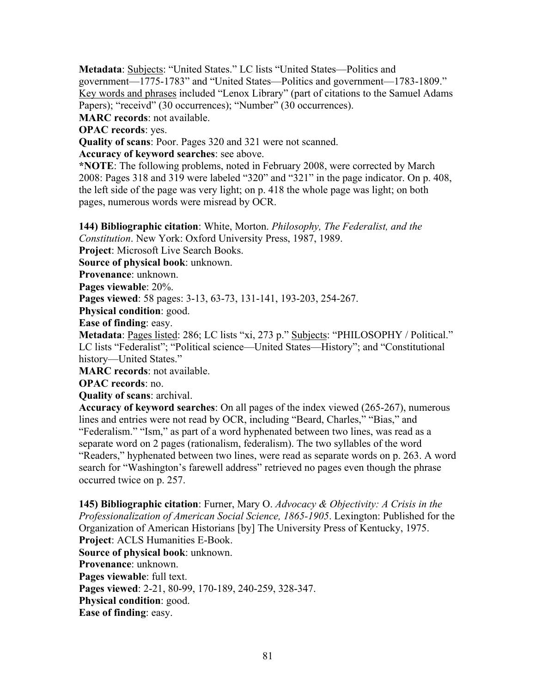**Metadata**: Subjects: "United States." LC lists "United States—Politics and government—1775-1783" and "United States—Politics and government—1783-1809." Key words and phrases included "Lenox Library" (part of citations to the Samuel Adams Papers); "receivd" (30 occurrences); "Number" (30 occurrences).

**MARC records**: not available.

**OPAC records**: yes.

**Quality of scans**: Poor. Pages 320 and 321 were not scanned.

**Accuracy of keyword searches**: see above.

**\*NOTE**: The following problems, noted in February 2008, were corrected by March 2008: Pages 318 and 319 were labeled "320" and "321" in the page indicator. On p. 408, the left side of the page was very light; on p. 418 the whole page was light; on both pages, numerous words were misread by OCR.

**144) Bibliographic citation**: White, Morton. *Philosophy, The Federalist, and the Constitution*. New York: Oxford University Press, 1987, 1989.

**Project**: Microsoft Live Search Books.

**Source of physical book**: unknown.

**Provenance**: unknown.

**Pages viewable**: 20%.

**Pages viewed**: 58 pages: 3-13, 63-73, 131-141, 193-203, 254-267.

**Physical condition**: good.

**Ease of finding**: easy.

**Metadata**: Pages listed: 286; LC lists "xi, 273 p." Subjects: "PHILOSOPHY / Political." LC lists "Federalist"; "Political science—United States—History"; and "Constitutional history—United States."

**MARC records**: not available.

**OPAC records**: no.

**Quality of scans**: archival.

**Accuracy of keyword searches**: On all pages of the index viewed (265-267), numerous lines and entries were not read by OCR, including "Beard, Charles," "Bias," and "Federalism." "Ism," as part of a word hyphenated between two lines, was read as a separate word on 2 pages (rationalism, federalism). The two syllables of the word "Readers," hyphenated between two lines, were read as separate words on p. 263. A word search for "Washington's farewell address" retrieved no pages even though the phrase occurred twice on p. 257.

**145) Bibliographic citation**: Furner, Mary O. *Advocacy & Objectivity: A Crisis in the Professionalization of American Social Science, 1865-1905*. Lexington: Published for the Organization of American Historians [by] The University Press of Kentucky, 1975. **Project**: ACLS Humanities E-Book. **Source of physical book**: unknown. **Provenance**: unknown. **Pages viewable**: full text. **Pages viewed**: 2-21, 80-99, 170-189, 240-259, 328-347. **Physical condition**: good. **Ease of finding**: easy.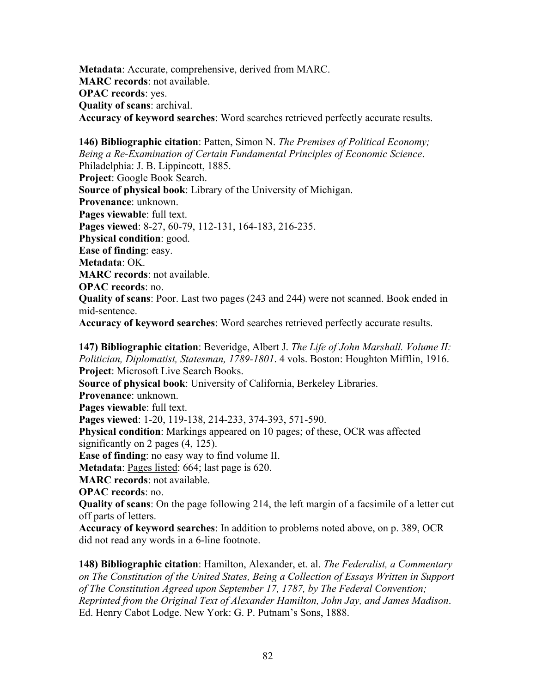**Metadata**: Accurate, comprehensive, derived from MARC. **MARC records**: not available. **OPAC records**: yes. **Quality of scans**: archival. **Accuracy of keyword searches**: Word searches retrieved perfectly accurate results.

**146) Bibliographic citation**: Patten, Simon N. *The Premises of Political Economy; Being a Re-Examination of Certain Fundamental Principles of Economic Science*. Philadelphia: J. B. Lippincott, 1885. **Project**: Google Book Search. **Source of physical book**: Library of the University of Michigan. **Provenance**: unknown. **Pages viewable**: full text. **Pages viewed**: 8-27, 60-79, 112-131, 164-183, 216-235. **Physical condition**: good. **Ease of finding**: easy. **Metadata**: OK. **MARC records**: not available. **OPAC records**: no. **Quality of scans**: Poor. Last two pages (243 and 244) were not scanned. Book ended in mid-sentence. **Accuracy of keyword searches**: Word searches retrieved perfectly accurate results.

**147) Bibliographic citation**: Beveridge, Albert J. *The Life of John Marshall. Volume II: Politician, Diplomatist, Statesman, 1789-1801*. 4 vols. Boston: Houghton Mifflin, 1916. **Project**: Microsoft Live Search Books. **Source of physical book**: University of California, Berkeley Libraries. **Provenance**: unknown. **Pages viewable**: full text. **Pages viewed**: 1-20, 119-138, 214-233, 374-393, 571-590. **Physical condition**: Markings appeared on 10 pages; of these, OCR was affected significantly on 2 pages (4, 125). **Ease of finding**: no easy way to find volume II. **Metadata**: Pages listed: 664; last page is 620. **MARC records**: not available. **OPAC records**: no. **Quality of scans**: On the page following 214, the left margin of a facsimile of a letter cut off parts of letters. **Accuracy of keyword searches**: In addition to problems noted above, on p. 389, OCR

**148) Bibliographic citation**: Hamilton, Alexander, et. al. *The Federalist, a Commentary on The Constitution of the United States, Being a Collection of Essays Written in Support of The Constitution Agreed upon September 17, 1787, by The Federal Convention; Reprinted from the Original Text of Alexander Hamilton, John Jay, and James Madison*. Ed. Henry Cabot Lodge. New York: G. P. Putnam's Sons, 1888.

did not read any words in a 6-line footnote.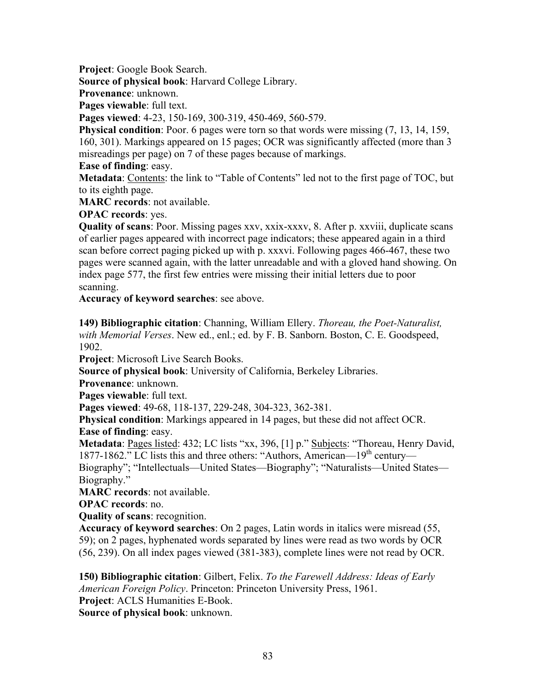**Project**: Google Book Search.

**Source of physical book**: Harvard College Library.

**Provenance**: unknown.

**Pages viewable**: full text.

**Pages viewed**: 4-23, 150-169, 300-319, 450-469, 560-579.

**Physical condition**: Poor. 6 pages were torn so that words were missing  $(7, 13, 14, 159, 14, 159)$ 160, 301). Markings appeared on 15 pages; OCR was significantly affected (more than 3 misreadings per page) on 7 of these pages because of markings.

**Ease of finding**: easy.

**Metadata**: Contents: the link to "Table of Contents" led not to the first page of TOC, but to its eighth page.

**MARC records**: not available.

**OPAC records**: yes.

**Quality of scans**: Poor. Missing pages xxv, xxix-xxxv, 8. After p. xxviii, duplicate scans of earlier pages appeared with incorrect page indicators; these appeared again in a third scan before correct paging picked up with p. xxxvi. Following pages 466-467, these two pages were scanned again, with the latter unreadable and with a gloved hand showing. On index page 577, the first few entries were missing their initial letters due to poor scanning.

**Accuracy of keyword searches**: see above.

**149) Bibliographic citation**: Channing, William Ellery. *Thoreau, the Poet-Naturalist, with Memorial Verses*. New ed., enl.; ed. by F. B. Sanborn. Boston, C. E. Goodspeed, 1902.

**Project**: Microsoft Live Search Books.

**Source of physical book**: University of California, Berkeley Libraries.

**Provenance**: unknown.

**Pages viewable**: full text.

**Pages viewed**: 49-68, 118-137, 229-248, 304-323, 362-381.

**Physical condition**: Markings appeared in 14 pages, but these did not affect OCR. **Ease of finding**: easy.

Metadata: Pages listed: 432; LC lists "xx, 396, [1] p." Subjects: "Thoreau, Henry David, 1877-1862." LC lists this and three others: "Authors, American—19<sup>th</sup> century—

Biography"; "Intellectuals—United States—Biography"; "Naturalists—United States— Biography."

**MARC records**: not available.

**OPAC records**: no.

**Quality of scans**: recognition.

**Accuracy of keyword searches**: On 2 pages, Latin words in italics were misread (55, 59); on 2 pages, hyphenated words separated by lines were read as two words by OCR (56, 239). On all index pages viewed (381-383), complete lines were not read by OCR.

**150) Bibliographic citation**: Gilbert, Felix. *To the Farewell Address: Ideas of Early American Foreign Policy*. Princeton: Princeton University Press, 1961. **Project**: ACLS Humanities E-Book.

**Source of physical book**: unknown.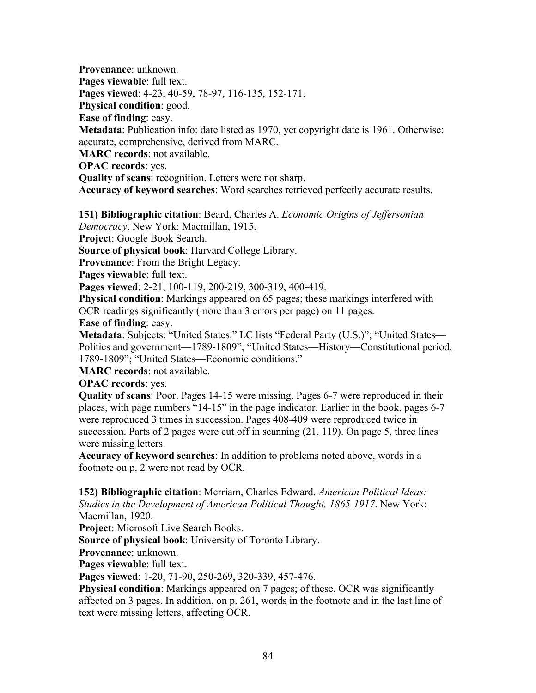**Provenance**: unknown. **Pages viewable**: full text. **Pages viewed**: 4-23, 40-59, 78-97, 116-135, 152-171. **Physical condition**: good. **Ease of finding**: easy. **Metadata**: Publication info: date listed as 1970, yet copyright date is 1961. Otherwise: accurate, comprehensive, derived from MARC. **MARC records**: not available. **OPAC records**: yes. **Quality of scans**: recognition. Letters were not sharp. **Accuracy of keyword searches**: Word searches retrieved perfectly accurate results.

**151) Bibliographic citation**: Beard, Charles A. *Economic Origins of Jeffersonian Democracy*. New York: Macmillan, 1915.

**Project**: Google Book Search.

**Source of physical book**: Harvard College Library.

**Provenance**: From the Bright Legacy.

**Pages viewable**: full text.

**Pages viewed**: 2-21, 100-119, 200-219, 300-319, 400-419.

**Physical condition**: Markings appeared on 65 pages; these markings interfered with OCR readings significantly (more than 3 errors per page) on 11 pages.

**Ease of finding**: easy.

Metadata: Subjects: "United States." LC lists "Federal Party (U.S.)"; "United States— Politics and government—1789-1809"; "United States—History—Constitutional period, 1789-1809"; "United States—Economic conditions."

**MARC records**: not available.

**OPAC records**: yes.

**Quality of scans**: Poor. Pages 14-15 were missing. Pages 6-7 were reproduced in their places, with page numbers "14-15" in the page indicator. Earlier in the book, pages 6-7 were reproduced 3 times in succession. Pages 408-409 were reproduced twice in succession. Parts of 2 pages were cut off in scanning (21, 119). On page 5, three lines were missing letters.

**Accuracy of keyword searches**: In addition to problems noted above, words in a footnote on p. 2 were not read by OCR.

**152) Bibliographic citation**: Merriam, Charles Edward. *American Political Ideas: Studies in the Development of American Political Thought, 1865-1917*. New York: Macmillan, 1920.

**Project**: Microsoft Live Search Books.

**Source of physical book**: University of Toronto Library.

**Provenance**: unknown.

**Pages viewable**: full text.

**Pages viewed**: 1-20, 71-90, 250-269, 320-339, 457-476.

**Physical condition**: Markings appeared on 7 pages; of these, OCR was significantly affected on 3 pages. In addition, on p. 261, words in the footnote and in the last line of text were missing letters, affecting OCR.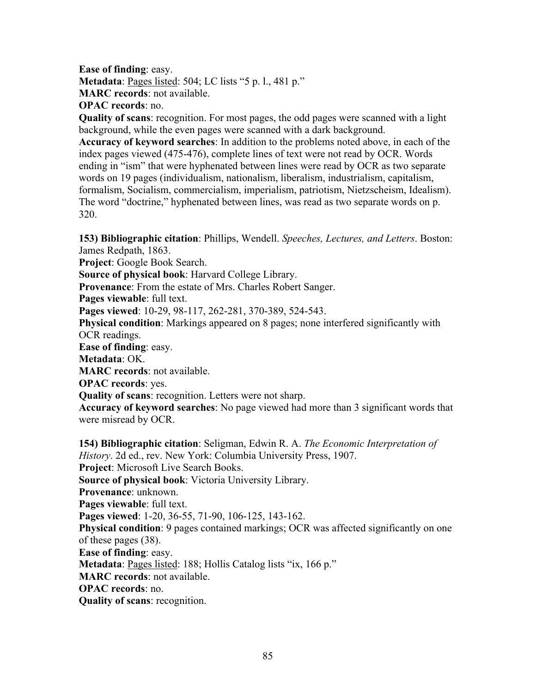**Ease of finding**: easy. **Metadata**: Pages listed: 504; LC lists "5 p. l., 481 p." **MARC records**: not available.

**OPAC records**: no.

**Quality of scans**: recognition. For most pages, the odd pages were scanned with a light background, while the even pages were scanned with a dark background.

**Accuracy of keyword searches**: In addition to the problems noted above, in each of the index pages viewed (475-476), complete lines of text were not read by OCR. Words ending in "ism" that were hyphenated between lines were read by OCR as two separate words on 19 pages (individualism, nationalism, liberalism, industrialism, capitalism, formalism, Socialism, commercialism, imperialism, patriotism, Nietzscheism, Idealism). The word "doctrine," hyphenated between lines, was read as two separate words on p. 320.

**153) Bibliographic citation**: Phillips, Wendell. *Speeches, Lectures, and Letters*. Boston: James Redpath, 1863.

**Project**: Google Book Search.

**Source of physical book**: Harvard College Library.

**Provenance**: From the estate of Mrs. Charles Robert Sanger.

**Pages viewable**: full text.

**Pages viewed**: 10-29, 98-117, 262-281, 370-389, 524-543.

**Physical condition**: Markings appeared on 8 pages; none interfered significantly with OCR readings.

**Ease of finding**: easy.

**Metadata**: OK.

**MARC records**: not available.

**OPAC records**: yes.

**Quality of scans**: recognition. Letters were not sharp.

**Accuracy of keyword searches**: No page viewed had more than 3 significant words that were misread by OCR.

**154) Bibliographic citation**: Seligman, Edwin R. A. *The Economic Interpretation of History*. 2d ed., rev. New York: Columbia University Press, 1907. **Project**: Microsoft Live Search Books. **Source of physical book**: Victoria University Library. **Provenance**: unknown. **Pages viewable**: full text. **Pages viewed**: 1-20, 36-55, 71-90, 106-125, 143-162. **Physical condition**: 9 pages contained markings; OCR was affected significantly on one of these pages (38). **Ease of finding**: easy. **Metadata**: Pages listed: 188; Hollis Catalog lists "ix, 166 p." **MARC records**: not available. **OPAC records**: no. **Quality of scans**: recognition.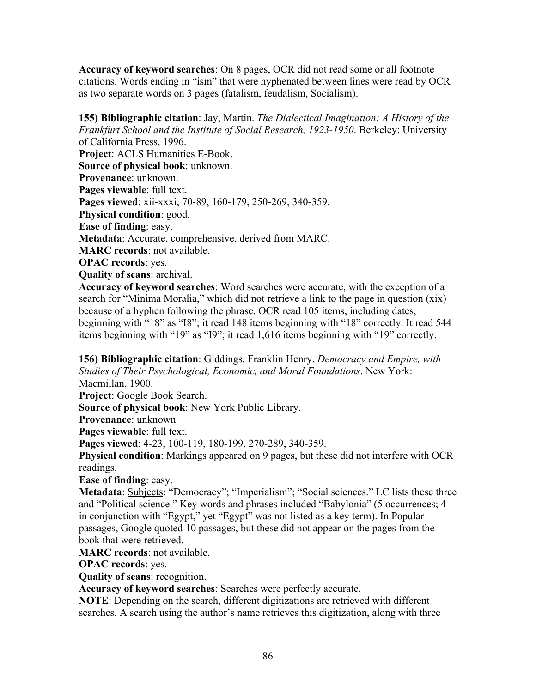**Accuracy of keyword searches**: On 8 pages, OCR did not read some or all footnote citations. Words ending in "ism" that were hyphenated between lines were read by OCR as two separate words on 3 pages (fatalism, feudalism, Socialism).

**155) Bibliographic citation**: Jay, Martin. *The Dialectical Imagination: A History of the Frankfurt School and the Institute of Social Research, 1923-1950*. Berkeley: University of California Press, 1996. **Project**: ACLS Humanities E-Book. **Source of physical book**: unknown. **Provenance**: unknown. **Pages viewable**: full text. **Pages viewed**: xii-xxxi, 70-89, 160-179, 250-269, 340-359. **Physical condition**: good. **Ease of finding**: easy. **Metadata**: Accurate, comprehensive, derived from MARC. **MARC records**: not available. **OPAC records**: yes. **Quality of scans**: archival. **Accuracy of keyword searches**: Word searches were accurate, with the exception of a

search for "Minima Moralia," which did not retrieve a link to the page in question (xix) because of a hyphen following the phrase. OCR read 105 items, including dates, beginning with "18" as "I8"; it read 148 items beginning with "18" correctly. It read 544 items beginning with "19" as "I9"; it read 1,616 items beginning with "19" correctly.

**156) Bibliographic citation**: Giddings, Franklin Henry. *Democracy and Empire, with Studies of Their Psychological, Economic, and Moral Foundations*. New York: Macmillan, 1900.

**Project**: Google Book Search.

**Source of physical book**: New York Public Library.

**Provenance**: unknown

**Pages viewable**: full text.

**Pages viewed**: 4-23, 100-119, 180-199, 270-289, 340-359.

**Physical condition**: Markings appeared on 9 pages, but these did not interfere with OCR readings.

**Ease of finding**: easy.

**Metadata**: Subjects: "Democracy"; "Imperialism"; "Social sciences." LC lists these three and "Political science." Key words and phrases included "Babylonia" (5 occurrences; 4 in conjunction with "Egypt," yet "Egypt" was not listed as a key term). In Popular passages, Google quoted 10 passages, but these did not appear on the pages from the book that were retrieved.

**MARC records**: not available.

**OPAC records**: yes.

**Quality of scans**: recognition.

**Accuracy of keyword searches**: Searches were perfectly accurate.

**NOTE**: Depending on the search, different digitizations are retrieved with different searches. A search using the author's name retrieves this digitization, along with three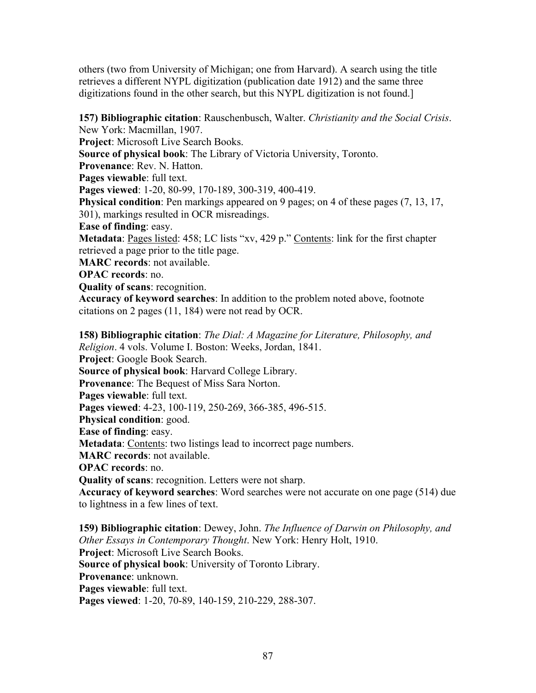others (two from University of Michigan; one from Harvard). A search using the title retrieves a different NYPL digitization (publication date 1912) and the same three digitizations found in the other search, but this NYPL digitization is not found.]

**157) Bibliographic citation**: Rauschenbusch, Walter. *Christianity and the Social Crisis*. New York: Macmillan, 1907. **Project**: Microsoft Live Search Books. **Source of physical book**: The Library of Victoria University, Toronto. **Provenance**: Rev. N. Hatton. **Pages viewable**: full text. **Pages viewed**: 1-20, 80-99, 170-189, 300-319, 400-419. **Physical condition**: Pen markings appeared on 9 pages; on 4 of these pages (7, 13, 17, 301), markings resulted in OCR misreadings. **Ease of finding**: easy. **Metadata**: Pages listed: 458; LC lists "xv, 429 p." Contents: link for the first chapter retrieved a page prior to the title page. **MARC records**: not available. **OPAC records**: no. **Quality of scans**: recognition. **Accuracy of keyword searches**: In addition to the problem noted above, footnote citations on 2 pages (11, 184) were not read by OCR. **158) Bibliographic citation**: *The Dial: A Magazine for Literature, Philosophy, and Religion*. 4 vols. Volume I. Boston: Weeks, Jordan, 1841. **Project**: Google Book Search. **Source of physical book**: Harvard College Library. **Provenance**: The Bequest of Miss Sara Norton. **Pages viewable**: full text. **Pages viewed**: 4-23, 100-119, 250-269, 366-385, 496-515. **Physical condition**: good.

**Ease of finding**: easy.

**Metadata**: Contents: two listings lead to incorrect page numbers.

**MARC records**: not available.

**OPAC records**: no.

**Quality of scans**: recognition. Letters were not sharp.

**Accuracy of keyword searches**: Word searches were not accurate on one page (514) due to lightness in a few lines of text.

**159) Bibliographic citation**: Dewey, John. *The Influence of Darwin on Philosophy, and Other Essays in Contemporary Thought*. New York: Henry Holt, 1910. **Project**: Microsoft Live Search Books. **Source of physical book**: University of Toronto Library. **Provenance**: unknown. **Pages viewable**: full text. **Pages viewed**: 1-20, 70-89, 140-159, 210-229, 288-307.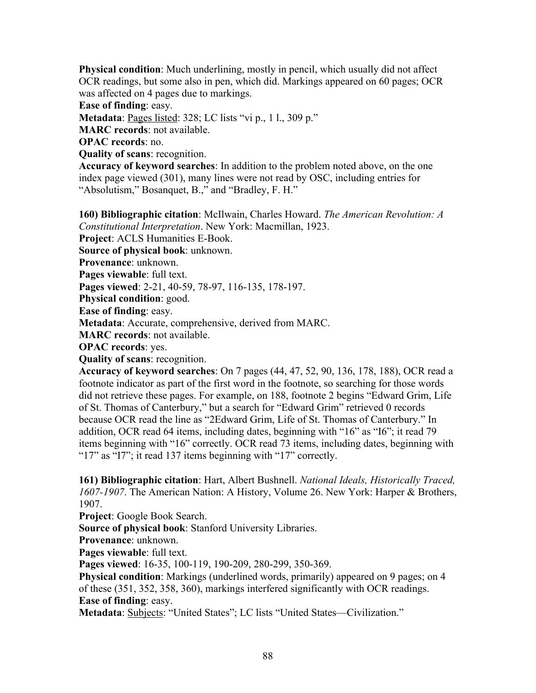**Physical condition**: Much underlining, mostly in pencil, which usually did not affect OCR readings, but some also in pen, which did. Markings appeared on 60 pages; OCR was affected on 4 pages due to markings.

**Ease of finding**: easy.

**Metadata**: Pages listed: 328; LC lists "vi p., 1 l., 309 p."

**MARC records**: not available.

**OPAC records**: no.

**Quality of scans**: recognition.

**Accuracy of keyword searches**: In addition to the problem noted above, on the one index page viewed (301), many lines were not read by OSC, including entries for "Absolutism," Bosanquet, B.," and "Bradley, F. H."

**160) Bibliographic citation**: McIlwain, Charles Howard. *The American Revolution: A Constitutional Interpretation*. New York: Macmillan, 1923.

**Project**: ACLS Humanities E-Book.

**Source of physical book**: unknown.

**Provenance**: unknown.

**Pages viewable**: full text.

**Pages viewed**: 2-21, 40-59, 78-97, 116-135, 178-197.

**Physical condition**: good.

**Ease of finding**: easy.

**Metadata**: Accurate, comprehensive, derived from MARC.

**MARC records**: not available.

**OPAC records**: yes.

**Quality of scans**: recognition.

**Accuracy of keyword searches**: On 7 pages (44, 47, 52, 90, 136, 178, 188), OCR read a footnote indicator as part of the first word in the footnote, so searching for those words did not retrieve these pages. For example, on 188, footnote 2 begins "Edward Grim, Life of St. Thomas of Canterbury," but a search for "Edward Grim" retrieved 0 records because OCR read the line as "2Edward Grim, Life of St. Thomas of Canterbury." In addition, OCR read 64 items, including dates, beginning with "16" as "I6"; it read 79 items beginning with "16" correctly. OCR read 73 items, including dates, beginning with "17" as "I7"; it read 137 items beginning with "17" correctly.

**161) Bibliographic citation**: Hart, Albert Bushnell. *National Ideals, Historically Traced, 1607-1907*. The American Nation: A History, Volume 26. New York: Harper & Brothers, 1907.

**Project**: Google Book Search.

**Source of physical book**: Stanford University Libraries.

**Provenance**: unknown.

**Pages viewable**: full text.

**Pages viewed**: 16-35, 100-119, 190-209, 280-299, 350-369.

**Physical condition**: Markings (underlined words, primarily) appeared on 9 pages; on 4 of these (351, 352, 358, 360), markings interfered significantly with OCR readings. **Ease of finding**: easy.

**Metadata**: Subjects: "United States"; LC lists "United States—Civilization."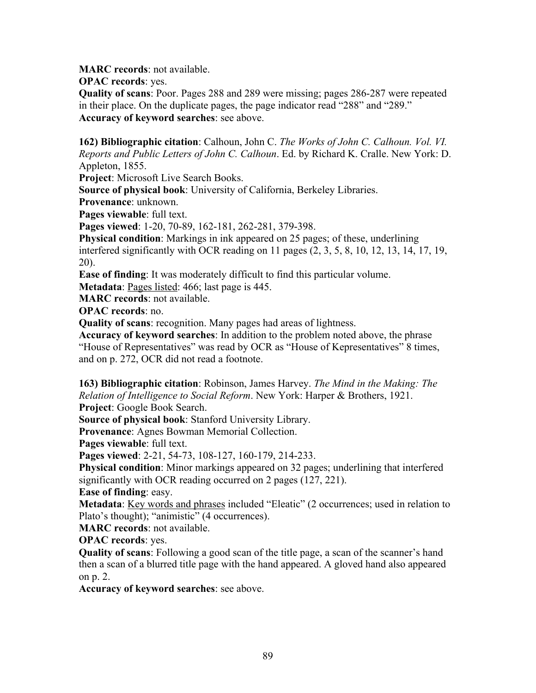**MARC records**: not available.

**OPAC records**: yes.

**Quality of scans**: Poor. Pages 288 and 289 were missing; pages 286-287 were repeated in their place. On the duplicate pages, the page indicator read "288" and "289." **Accuracy of keyword searches**: see above.

**162) Bibliographic citation**: Calhoun, John C. *The Works of John C. Calhoun. Vol. VI. Reports and Public Letters of John C. Calhoun*. Ed. by Richard K. Cralle. New York: D. Appleton, 1855.

**Project**: Microsoft Live Search Books.

**Source of physical book**: University of California, Berkeley Libraries.

**Provenance**: unknown.

**Pages viewable**: full text.

**Pages viewed**: 1-20, 70-89, 162-181, 262-281, 379-398.

**Physical condition**: Markings in ink appeared on 25 pages; of these, underlining interfered significantly with OCR reading on 11 pages (2, 3, 5, 8, 10, 12, 13, 14, 17, 19, 20).

**Ease of finding**: It was moderately difficult to find this particular volume.

**Metadata**: Pages listed: 466; last page is 445.

**MARC records**: not available.

**OPAC records**: no.

**Quality of scans**: recognition. Many pages had areas of lightness.

**Accuracy of keyword searches**: In addition to the problem noted above, the phrase "House of Representatives" was read by OCR as "House of Kepresentatives" 8 times, and on p. 272, OCR did not read a footnote.

**163) Bibliographic citation**: Robinson, James Harvey. *The Mind in the Making: The Relation of Intelligence to Social Reform*. New York: Harper & Brothers, 1921. **Project**: Google Book Search.

**Source of physical book**: Stanford University Library.

**Provenance**: Agnes Bowman Memorial Collection.

**Pages viewable**: full text.

**Pages viewed**: 2-21, 54-73, 108-127, 160-179, 214-233.

**Physical condition**: Minor markings appeared on 32 pages; underlining that interfered significantly with OCR reading occurred on 2 pages (127, 221).

**Ease of finding**: easy.

**Metadata**: Key words and phrases included "Eleatic" (2 occurrences; used in relation to Plato's thought); "animistic" (4 occurrences).

**MARC records**: not available.

**OPAC records**: yes.

**Quality of scans**: Following a good scan of the title page, a scan of the scanner's hand then a scan of a blurred title page with the hand appeared. A gloved hand also appeared on p. 2.

**Accuracy of keyword searches**: see above.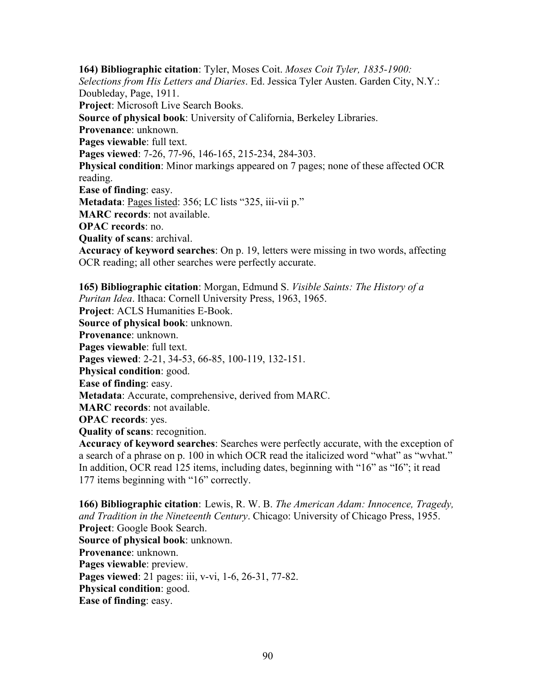**164) Bibliographic citation**: Tyler, Moses Coit. *Moses Coit Tyler, 1835-1900: Selections from His Letters and Diaries*. Ed. Jessica Tyler Austen. Garden City, N.Y.: Doubleday, Page, 1911. **Project**: Microsoft Live Search Books. **Source of physical book**: University of California, Berkeley Libraries. **Provenance**: unknown. **Pages viewable**: full text. **Pages viewed**: 7-26, 77-96, 146-165, 215-234, 284-303. **Physical condition**: Minor markings appeared on 7 pages; none of these affected OCR reading. **Ease of finding**: easy. **Metadata**: Pages listed: 356; LC lists "325, iii-vii p." **MARC records**: not available. **OPAC records**: no. **Quality of scans**: archival. **Accuracy of keyword searches**: On p. 19, letters were missing in two words, affecting OCR reading; all other searches were perfectly accurate. **165) Bibliographic citation**: Morgan, Edmund S. *Visible Saints: The History of a Puritan Idea*. Ithaca: Cornell University Press, 1963, 1965. **Project**: ACLS Humanities E-Book. **Source of physical book**: unknown. **Provenance**: unknown. **Pages viewable**: full text. **Pages viewed**: 2-21, 34-53, 66-85, 100-119, 132-151. **Physical condition**: good.

**Ease of finding**: easy.

**Metadata**: Accurate, comprehensive, derived from MARC.

**MARC records**: not available.

**OPAC records**: yes.

**Quality of scans**: recognition.

**Accuracy of keyword searches**: Searches were perfectly accurate, with the exception of a search of a phrase on p. 100 in which OCR read the italicized word "what" as "wvhat." In addition, OCR read 125 items, including dates, beginning with "16" as "I6"; it read 177 items beginning with "16" correctly.

**166) Bibliographic citation**: Lewis, R. W. B. *The American Adam: Innocence, Tragedy, and Tradition in the Nineteenth Century*. Chicago: University of Chicago Press, 1955. **Project**: Google Book Search. **Source of physical book**: unknown. **Provenance**: unknown. **Pages viewable**: preview. **Pages viewed**: 21 pages: iii, v-vi, 1-6, 26-31, 77-82. **Physical condition**: good. **Ease of finding**: easy.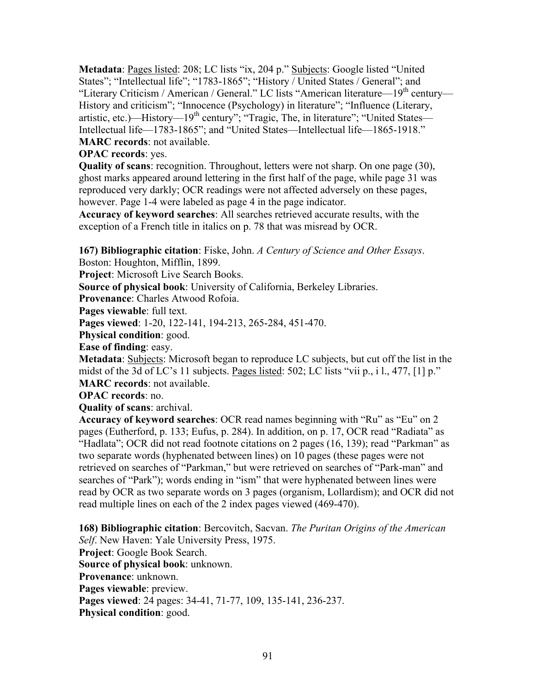Metadata: Pages listed: 208; LC lists "ix, 204 p." Subjects: Google listed "United States"; "Intellectual life"; "1783-1865"; "History / United States / General"; and "Literary Criticism / American / General." LC lists "American literature—19<sup>th</sup> century— History and criticism"; "Innocence (Psychology) in literature"; "Influence (Literary, artistic, etc.)—History— $19<sup>th</sup>$  century"; "Tragic, The, in literature"; "United States— Intellectual life—1783-1865"; and "United States—Intellectual life—1865-1918." **MARC records**: not available.

**OPAC records**: yes.

**Quality of scans**: recognition. Throughout, letters were not sharp. On one page (30), ghost marks appeared around lettering in the first half of the page, while page 31 was reproduced very darkly; OCR readings were not affected adversely on these pages, however. Page 1-4 were labeled as page 4 in the page indicator.

**Accuracy of keyword searches**: All searches retrieved accurate results, with the exception of a French title in italics on p. 78 that was misread by OCR.

**167) Bibliographic citation**: Fiske, John. *A Century of Science and Other Essays*. Boston: Houghton, Mifflin, 1899.

**Project**: Microsoft Live Search Books.

**Source of physical book**: University of California, Berkeley Libraries.

**Provenance**: Charles Atwood Rofoia.

**Pages viewable**: full text.

**Pages viewed**: 1-20, 122-141, 194-213, 265-284, 451-470.

**Physical condition**: good.

**Ease of finding**: easy.

**Metadata**: Subjects: Microsoft began to reproduce LC subjects, but cut off the list in the midst of the 3d of LC's 11 subjects. Pages listed: 502; LC lists "vii p., i l., 477, [1] p." **MARC records**: not available.

**OPAC records**: no.

**Quality of scans**: archival.

**Accuracy of keyword searches**: OCR read names beginning with "Ru" as "Eu" on 2 pages (Eutherford, p. 133; Eufus, p. 284). In addition, on p. 17, OCR read "Radiata" as "Hadlata"; OCR did not read footnote citations on 2 pages (16, 139); read "Parkman" as two separate words (hyphenated between lines) on 10 pages (these pages were not retrieved on searches of "Parkman," but were retrieved on searches of "Park-man" and searches of "Park"); words ending in "ism" that were hyphenated between lines were read by OCR as two separate words on 3 pages (organism, Lollardism); and OCR did not read multiple lines on each of the 2 index pages viewed (469-470).

**168) Bibliographic citation**: Bercovitch, Sacvan. *The Puritan Origins of the American Self*. New Haven: Yale University Press, 1975. **Project**: Google Book Search. **Source of physical book**: unknown. **Provenance**: unknown. **Pages viewable**: preview. **Pages viewed**: 24 pages: 34-41, 71-77, 109, 135-141, 236-237. **Physical condition**: good.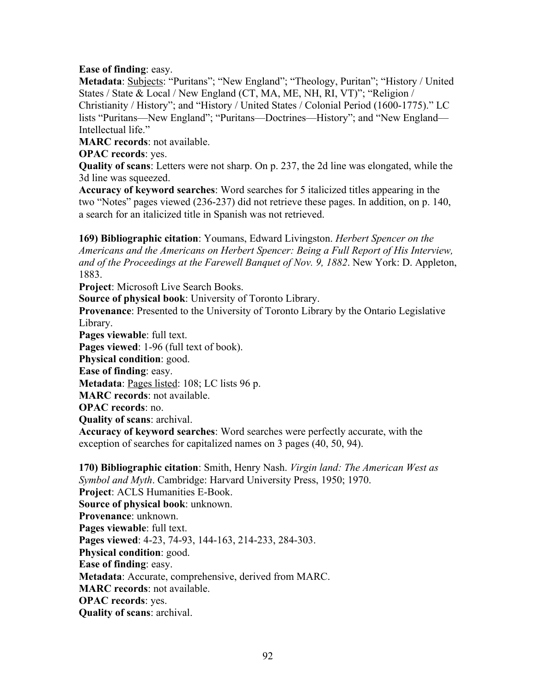## **Ease of finding**: easy.

**Metadata**: **Subjects**: "Puritans"; "New England"; "Theology, Puritan"; "History / United States / State & Local / New England (CT, MA, ME, NH, RI, VT)"; "Religion / Christianity / History"; and "History / United States / Colonial Period (1600-1775)." LC lists "Puritans—New England"; "Puritans—Doctrines—History"; and "New England— Intellectual life."

**MARC records**: not available.

**OPAC records**: yes.

**Quality of scans**: Letters were not sharp. On p. 237, the 2d line was elongated, while the 3d line was squeezed.

**Accuracy of keyword searches**: Word searches for 5 italicized titles appearing in the two "Notes" pages viewed (236-237) did not retrieve these pages. In addition, on p. 140, a search for an italicized title in Spanish was not retrieved.

**169) Bibliographic citation**: Youmans, Edward Livingston. *Herbert Spencer on the Americans and the Americans on Herbert Spencer: Being a Full Report of His Interview, and of the Proceedings at the Farewell Banquet of Nov. 9, 1882*. New York: D. Appleton, 1883.

**Project**: Microsoft Live Search Books.

**Source of physical book**: University of Toronto Library.

**Provenance**: Presented to the University of Toronto Library by the Ontario Legislative Library.

**Pages viewable**: full text.

**Pages viewed**: 1-96 (full text of book).

**Physical condition**: good.

**Ease of finding**: easy.

**Metadata**: Pages listed: 108; LC lists 96 p.

**MARC records**: not available.

**OPAC records**: no.

**Quality of scans**: archival.

**Accuracy of keyword searches**: Word searches were perfectly accurate, with the exception of searches for capitalized names on 3 pages (40, 50, 94).

**170) Bibliographic citation**: Smith, Henry Nash. *Virgin land: The American West as Symbol and Myth*. Cambridge: Harvard University Press, 1950; 1970. **Project**: ACLS Humanities E-Book. **Source of physical book**: unknown. **Provenance**: unknown. **Pages viewable**: full text. **Pages viewed**: 4-23, 74-93, 144-163, 214-233, 284-303. **Physical condition**: good. **Ease of finding**: easy. **Metadata**: Accurate, comprehensive, derived from MARC. **MARC records**: not available. **OPAC records**: yes. **Quality of scans**: archival.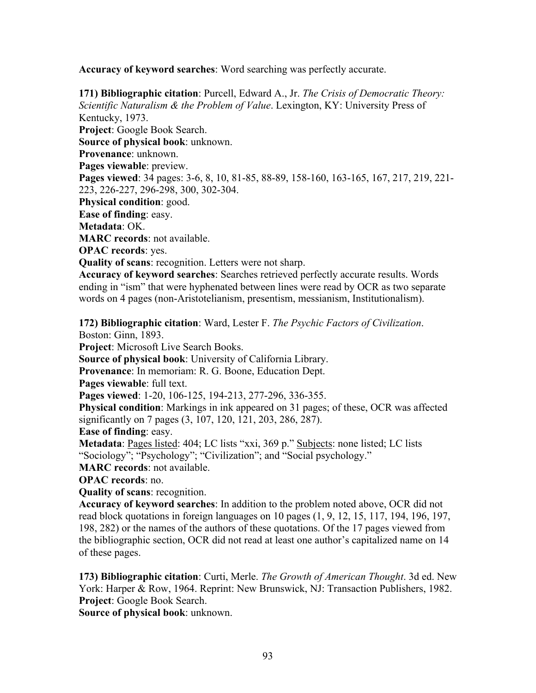**Accuracy of keyword searches**: Word searching was perfectly accurate.

**171) Bibliographic citation**: Purcell, Edward A., Jr. *The Crisis of Democratic Theory: Scientific Naturalism & the Problem of Value*. Lexington, KY: University Press of Kentucky, 1973. **Project**: Google Book Search. **Source of physical book**: unknown. **Provenance**: unknown. **Pages viewable**: preview. **Pages viewed**: 34 pages: 3-6, 8, 10, 81-85, 88-89, 158-160, 163-165, 167, 217, 219, 221- 223, 226-227, 296-298, 300, 302-304. **Physical condition**: good. **Ease of finding**: easy. **Metadata**: OK. **MARC records**: not available. **OPAC records**: yes. **Quality of scans**: recognition. Letters were not sharp. **Accuracy of keyword searches**: Searches retrieved perfectly accurate results. Words

ending in "ism" that were hyphenated between lines were read by OCR as two separate words on 4 pages (non-Aristotelianism, presentism, messianism, Institutionalism).

**172) Bibliographic citation**: Ward, Lester F. *The Psychic Factors of Civilization*. Boston: Ginn, 1893.

**Project**: Microsoft Live Search Books.

**Source of physical book**: University of California Library.

**Provenance**: In memoriam: R. G. Boone, Education Dept.

**Pages viewable**: full text.

**Pages viewed**: 1-20, 106-125, 194-213, 277-296, 336-355.

**Physical condition**: Markings in ink appeared on 31 pages; of these, OCR was affected significantly on 7 pages (3, 107, 120, 121, 203, 286, 287).

**Ease of finding**: easy.

**Metadata**: Pages listed: 404; LC lists "xxi, 369 p." Subjects: none listed; LC lists "Sociology"; "Psychology"; "Civilization"; and "Social psychology."

**MARC records**: not available.

**OPAC records**: no.

**Quality of scans**: recognition.

**Accuracy of keyword searches**: In addition to the problem noted above, OCR did not read block quotations in foreign languages on 10 pages (1, 9, 12, 15, 117, 194, 196, 197, 198, 282) or the names of the authors of these quotations. Of the 17 pages viewed from the bibliographic section, OCR did not read at least one author's capitalized name on 14 of these pages.

**173) Bibliographic citation**: Curti, Merle. *The Growth of American Thought*. 3d ed. New York: Harper & Row, 1964. Reprint: New Brunswick, NJ: Transaction Publishers, 1982. **Project**: Google Book Search.

**Source of physical book**: unknown.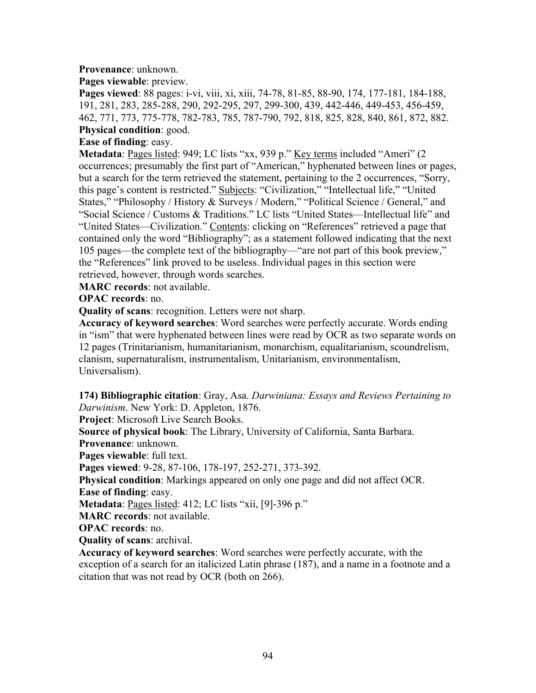## **Provenance**: unknown.

**Pages viewable**: preview.

**Pages viewed**: 88 pages: i-vi, viii, xi, xiii, 74-78, 81-85, 88-90, 174, 177-181, 184-188, 191, 281, 283, 285-288, 290, 292-295, 297, 299-300, 439, 442-446, 449-453, 456-459, 462, 771, 773, 775-778, 782-783, 785, 787-790, 792, 818, 825, 828, 840, 861, 872, 882. **Physical condition**: good.

## **Ease of finding**: easy.

**Metadata**: Pages listed: 949; LC lists "xx, 939 p." Key terms included "Ameri" (2 occurrences; presumably the first part of "American," hyphenated between lines or pages, but a search for the term retrieved the statement, pertaining to the 2 occurrences, "Sorry, this page's content is restricted." Subjects: "Civilization," "Intellectual life," "United States," "Philosophy / History & Surveys / Modern," "Political Science / General," and "Social Science / Customs & Traditions." LC lists "United States—Intellectual life" and "United States—Civilization." Contents: clicking on "References" retrieved a page that contained only the word "Bibliography"; as a statement followed indicating that the next 105 pages—the complete text of the bibliography—"are not part of this book preview," the "References" link proved to be useless. Individual pages in this section were retrieved, however, through words searches.

**MARC records**: not available.

**OPAC records**: no.

**Quality of scans**: recognition. Letters were not sharp.

**Accuracy of keyword searches**: Word searches were perfectly accurate. Words ending in "ism" that were hyphenated between lines were read by OCR as two separate words on 12 pages (Trinitarianism, humanitarianism, monarchism, equalitarianism, scoundrelism, clanism, supernaturalism, instrumentalism, Unitarianism, environmentalism, Universalism).

**174) Bibliographic citation**: Gray, Asa. *Darwiniana: Essays and Reviews Pertaining to Darwinism*. New York: D. Appleton, 1876.

**Project**: Microsoft Live Search Books.

**Source of physical book**: The Library, University of California, Santa Barbara.

**Provenance**: unknown.

**Pages viewable**: full text.

**Pages viewed**: 9-28, 87-106, 178-197, 252-271, 373-392.

**Physical condition**: Markings appeared on only one page and did not affect OCR. **Ease of finding**: easy.

**Metadata**: Pages listed: 412; LC lists "xii, [9]-396 p."

**MARC records**: not available.

**OPAC records**: no.

**Quality of scans**: archival.

**Accuracy of keyword searches**: Word searches were perfectly accurate, with the exception of a search for an italicized Latin phrase (187), and a name in a footnote and a citation that was not read by OCR (both on 266).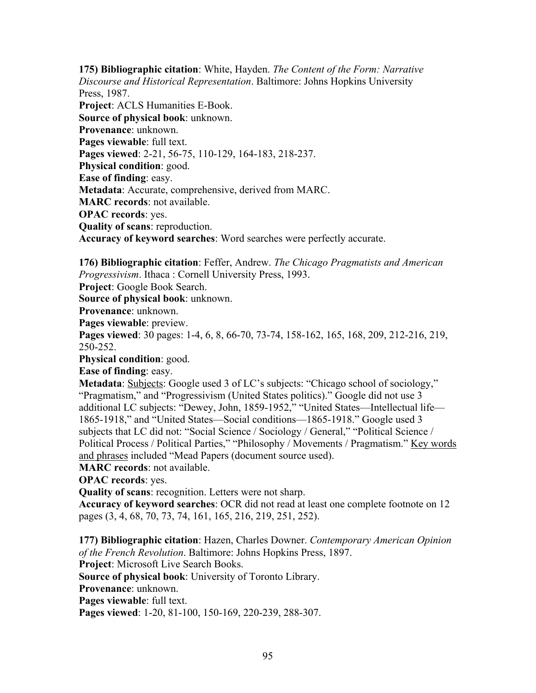**175) Bibliographic citation**: White, Hayden. *The Content of the Form: Narrative Discourse and Historical Representation*. Baltimore: Johns Hopkins University Press, 1987. **Project**: ACLS Humanities E-Book. **Source of physical book**: unknown. **Provenance**: unknown. **Pages viewable**: full text. **Pages viewed**: 2-21, 56-75, 110-129, 164-183, 218-237. **Physical condition**: good. **Ease of finding**: easy. **Metadata**: Accurate, comprehensive, derived from MARC. **MARC records**: not available. **OPAC records**: yes. **Quality of scans**: reproduction. **Accuracy of keyword searches**: Word searches were perfectly accurate.

**176) Bibliographic citation**: Feffer, Andrew. *The Chicago Pragmatists and American Progressivism*. Ithaca : Cornell University Press, 1993.

**Project**: Google Book Search.

**Source of physical book**: unknown.

**Provenance**: unknown.

**Pages viewable**: preview.

**Pages viewed**: 30 pages: 1-4, 6, 8, 66-70, 73-74, 158-162, 165, 168, 209, 212-216, 219, 250-252.

**Physical condition**: good.

**Ease of finding**: easy.

**Metadata**: Subjects: Google used 3 of LC's subjects: "Chicago school of sociology," "Pragmatism," and "Progressivism (United States politics)." Google did not use 3 additional LC subjects: "Dewey, John, 1859-1952," "United States—Intellectual life— 1865-1918," and "United States—Social conditions—1865-1918." Google used 3 subjects that LC did not: "Social Science / Sociology / General," "Political Science / Political Process / Political Parties," "Philosophy / Movements / Pragmatism." Key words and phrases included "Mead Papers (document source used).

**MARC records**: not available.

**OPAC records**: yes.

**Quality of scans**: recognition. Letters were not sharp.

**Accuracy of keyword searches**: OCR did not read at least one complete footnote on 12 pages (3, 4, 68, 70, 73, 74, 161, 165, 216, 219, 251, 252).

**177) Bibliographic citation**: Hazen, Charles Downer. *Contemporary American Opinion of the French Revolution*. Baltimore: Johns Hopkins Press, 1897.

**Project**: Microsoft Live Search Books.

**Source of physical book**: University of Toronto Library.

**Provenance**: unknown.

**Pages viewable**: full text.

**Pages viewed**: 1-20, 81-100, 150-169, 220-239, 288-307.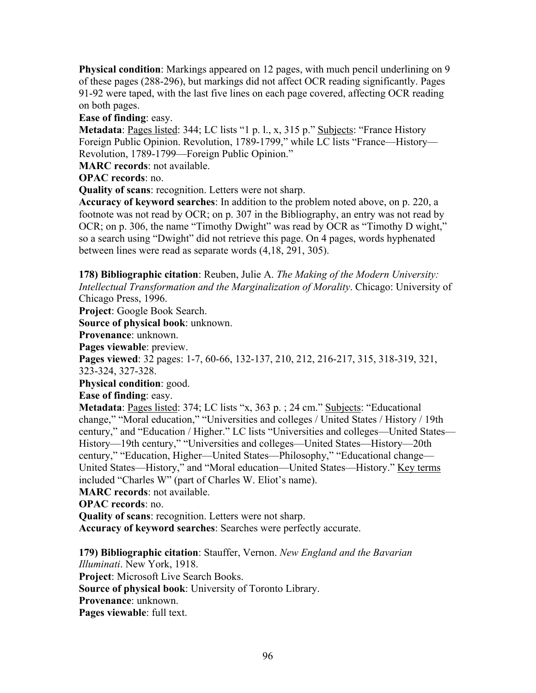**Physical condition**: Markings appeared on 12 pages, with much pencil underlining on 9 of these pages (288-296), but markings did not affect OCR reading significantly. Pages 91-92 were taped, with the last five lines on each page covered, affecting OCR reading on both pages.

**Ease of finding**: easy.

**Metadata**: Pages listed: 344; LC lists "1 p. l., x, 315 p." Subjects: "France History Foreign Public Opinion. Revolution, 1789-1799," while LC lists "France—History— Revolution, 1789-1799—Foreign Public Opinion."

**MARC records**: not available.

**OPAC records**: no.

**Quality of scans**: recognition. Letters were not sharp.

**Accuracy of keyword searches**: In addition to the problem noted above, on p. 220, a footnote was not read by OCR; on p. 307 in the Bibliography, an entry was not read by OCR; on p. 306, the name "Timothy Dwight" was read by OCR as "Timothy D wight," so a search using "Dwight" did not retrieve this page. On 4 pages, words hyphenated between lines were read as separate words (4,18, 291, 305).

**178) Bibliographic citation**: Reuben, Julie A. *The Making of the Modern University: Intellectual Transformation and the Marginalization of Morality*. Chicago: University of Chicago Press, 1996.

**Project**: Google Book Search.

**Source of physical book**: unknown.

**Provenance**: unknown.

**Pages viewable**: preview.

**Pages viewed**: 32 pages: 1-7, 60-66, 132-137, 210, 212, 216-217, 315, 318-319, 321, 323-324, 327-328.

**Physical condition**: good.

**Ease of finding**: easy.

**Metadata**: Pages listed: 374; LC lists "x, 363 p.; 24 cm." Subjects: "Educational change," "Moral education," "Universities and colleges / United States / History / 19th century," and "Education / Higher." LC lists "Universities and colleges—United States— History—19th century," "Universities and colleges—United States—History—20th century," "Education, Higher—United States—Philosophy," "Educational change— United States—History," and "Moral education—United States—History." Key terms included "Charles W" (part of Charles W. Eliot's name).

**MARC records**: not available.

**OPAC records**: no.

**Quality of scans**: recognition. Letters were not sharp.

**Accuracy of keyword searches**: Searches were perfectly accurate.

**179) Bibliographic citation**: Stauffer, Vernon. *New England and the Bavarian Illuminati*. New York, 1918.

**Project**: Microsoft Live Search Books.

**Source of physical book**: University of Toronto Library.

**Provenance**: unknown.

**Pages viewable**: full text.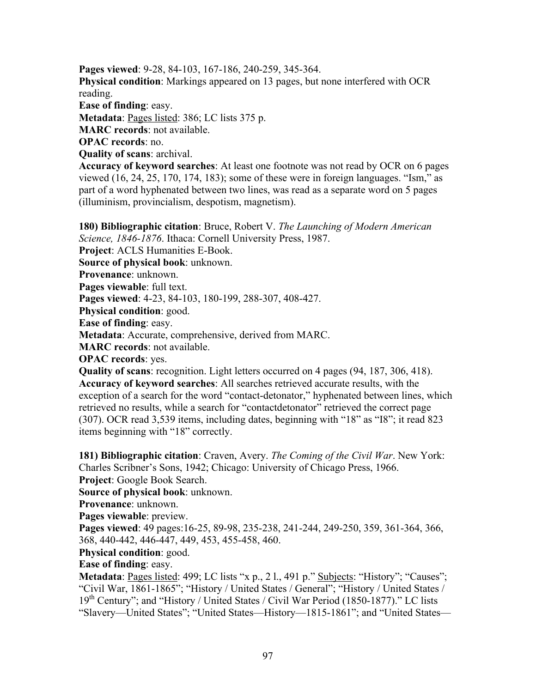**Pages viewed**: 9-28, 84-103, 167-186, 240-259, 345-364. **Physical condition**: Markings appeared on 13 pages, but none interfered with OCR reading. **Ease of finding**: easy. **Metadata**: Pages listed: 386; LC lists 375 p. **MARC records**: not available. **OPAC records**: no.

**Quality of scans**: archival.

**Accuracy of keyword searches**: At least one footnote was not read by OCR on 6 pages viewed (16, 24, 25, 170, 174, 183); some of these were in foreign languages. "Ism," as part of a word hyphenated between two lines, was read as a separate word on 5 pages (illuminism, provincialism, despotism, magnetism).

**180) Bibliographic citation**: Bruce, Robert V. *The Launching of Modern American Science, 1846-1876*. Ithaca: Cornell University Press, 1987. **Project**: ACLS Humanities E-Book. **Source of physical book**: unknown. **Provenance**: unknown. **Pages viewable**: full text. **Pages viewed**: 4-23, 84-103, 180-199, 288-307, 408-427. **Physical condition**: good. **Ease of finding**: easy. **Metadata**: Accurate, comprehensive, derived from MARC. **MARC records**: not available. **OPAC records**: yes. **Quality of scans**: recognition. Light letters occurred on 4 pages (94, 187, 306, 418). **Accuracy of keyword searches**: All searches retrieved accurate results, with the exception of a search for the word "contact-detonator," hyphenated between lines, which retrieved no results, while a search for "contactdetonator" retrieved the correct page (307). OCR read 3,539 items, including dates, beginning with "18" as "I8"; it read 823

items beginning with "18" correctly.

**181) Bibliographic citation**: Craven, Avery. *The Coming of the Civil War*. New York: Charles Scribner's Sons, 1942; Chicago: University of Chicago Press, 1966.

**Project**: Google Book Search.

**Source of physical book**: unknown.

**Provenance**: unknown.

**Pages viewable**: preview.

**Pages viewed**: 49 pages:16-25, 89-98, 235-238, 241-244, 249-250, 359, 361-364, 366, 368, 440-442, 446-447, 449, 453, 455-458, 460.

**Physical condition**: good.

**Ease of finding**: easy.

**Metadata**: <u>Pages listed</u>: 499; LC lists "x p., 2 l., 491 p." Subjects: "History"; "Causes"; "Civil War, 1861-1865"; "History / United States / General"; "History / United States / 19<sup>th</sup> Century"; and "History / United States / Civil War Period (1850-1877)." LC lists "Slavery—United States"; "United States—History—1815-1861"; and "United States—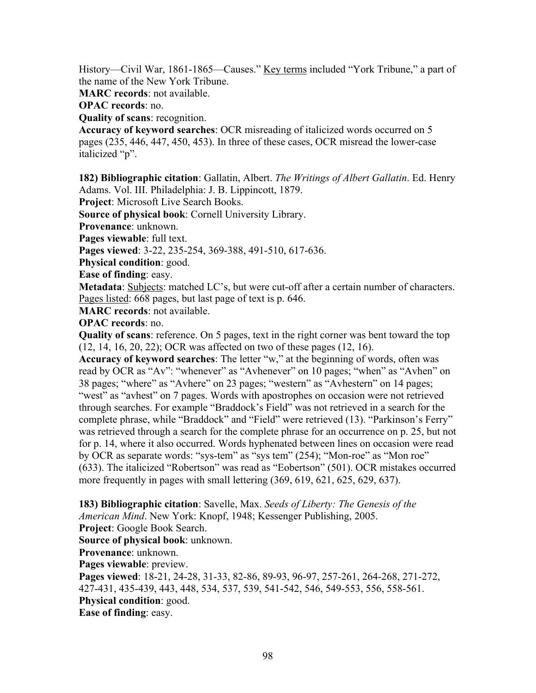History—Civil War, 1861-1865—Causes." Key terms included "York Tribune," a part of the name of the New York Tribune.

**MARC records**: not available.

**OPAC records**: no.

**Quality of scans**: recognition.

**Accuracy of keyword searches**: OCR misreading of italicized words occurred on 5 pages (235, 446, 447, 450, 453). In three of these cases, OCR misread the lower-case italicized "p".

**182) Bibliographic citation**: Gallatin, Albert. *The Writings of Albert Gallatin*. Ed. Henry Adams. Vol. III. Philadelphia: J. B. Lippincott, 1879.

**Project**: Microsoft Live Search Books.

**Source of physical book**: Cornell University Library.

**Provenance**: unknown.

**Pages viewable**: full text.

**Pages viewed**: 3-22, 235-254, 369-388, 491-510, 617-636.

**Physical condition**: good.

**Ease of finding**: easy.

**Metadata**: Subjects: matched LC's, but were cut-off after a certain number of characters. Pages listed: 668 pages, but last page of text is p. 646.

**MARC records**: not available.

**OPAC records**: no.

**Quality of scans**: reference. On 5 pages, text in the right corner was bent toward the top (12, 14, 16, 20, 22); OCR was affected on two of these pages (12, 16).

**Accuracy of keyword searches**: The letter "w," at the beginning of words, often was read by OCR as "Av": "whenever" as "Avhenever" on 10 pages; "when" as "Avhen" on 38 pages; "where" as "Avhere" on 23 pages; "western" as "Avhestern" on 14 pages; "west" as "avhest" on 7 pages. Words with apostrophes on occasion were not retrieved through searches. For example "Braddock's Field" was not retrieved in a search for the complete phrase, while "Braddock" and "Field" were retrieved (13). "Parkinson's Ferry" was retrieved through a search for the complete phrase for an occurrence on p. 25, but not for p. 14, where it also occurred. Words hyphenated between lines on occasion were read by OCR as separate words: "sys-tem" as "sys tem" (254); "Mon-roe" as "Mon roe" (633). The italicized "Robertson" was read as "Eobertson" (501). OCR mistakes occurred more frequently in pages with small lettering (369, 619, 621, 625, 629, 637).

**183) Bibliographic citation**: Savelle, Max. *Seeds of Liberty: The Genesis of the American Mind*. New York: Knopf, 1948; Kessenger Publishing, 2005.

**Project**: Google Book Search.

**Source of physical book**: unknown.

**Provenance**: unknown.

**Pages viewable**: preview.

**Pages viewed**: 18-21, 24-28, 31-33, 82-86, 89-93, 96-97, 257-261, 264-268, 271-272, 427-431, 435-439, 443, 448, 534, 537, 539, 541-542, 546, 549-553, 556, 558-561. **Physical condition**: good.

**Ease of finding**: easy.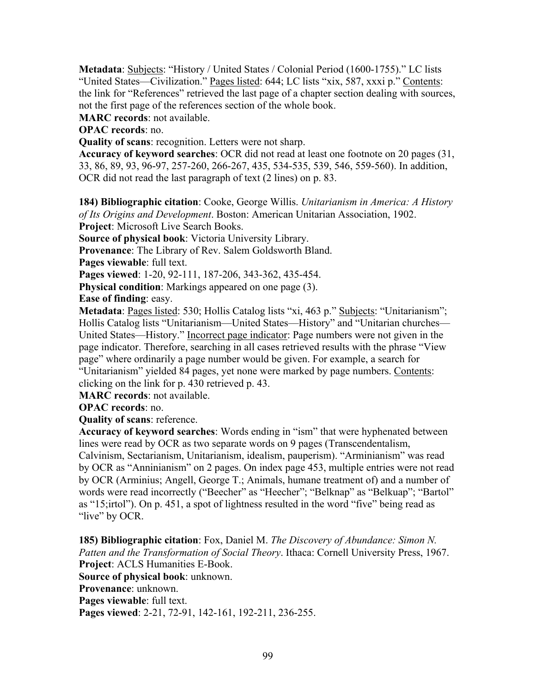**Metadata**: Subjects: "History / United States / Colonial Period (1600-1755)." LC lists "United States—Civilization." Pages listed: 644; LC lists "xix, 587, xxxi p." Contents: the link for "References" retrieved the last page of a chapter section dealing with sources, not the first page of the references section of the whole book.

**MARC records**: not available.

**OPAC records**: no.

**Quality of scans**: recognition. Letters were not sharp.

**Accuracy of keyword searches**: OCR did not read at least one footnote on 20 pages (31, 33, 86, 89, 93, 96-97, 257-260, 266-267, 435, 534-535, 539, 546, 559-560). In addition, OCR did not read the last paragraph of text (2 lines) on p. 83.

**184) Bibliographic citation**: Cooke, George Willis. *Unitarianism in America: A History of Its Origins and Development*. Boston: American Unitarian Association, 1902. **Project**: Microsoft Live Search Books.

**Source of physical book**: Victoria University Library.

**Provenance**: The Library of Rev. Salem Goldsworth Bland.

Pages viewable: full text.

**Pages viewed**: 1-20, 92-111, 187-206, 343-362, 435-454.

**Physical condition**: Markings appeared on one page (3).

**Ease of finding**: easy.

**Metadata**: Pages listed: 530; Hollis Catalog lists "xi, 463 p." Subjects: "Unitarianism"; Hollis Catalog lists "Unitarianism—United States—History" and "Unitarian churches— United States—History." Incorrect page indicator: Page numbers were not given in the page indicator. Therefore, searching in all cases retrieved results with the phrase "View page" where ordinarily a page number would be given. For example, a search for "Unitarianism" yielded 84 pages, yet none were marked by page numbers. Contents: clicking on the link for p. 430 retrieved p. 43.

**MARC records**: not available.

**OPAC records**: no.

**Quality of scans**: reference.

**Accuracy of keyword searches**: Words ending in "ism" that were hyphenated between lines were read by OCR as two separate words on 9 pages (Transcendentalism, Calvinism, Sectarianism, Unitarianism, idealism, pauperism). "Arminianism" was read by OCR as "Anninianism" on 2 pages. On index page 453, multiple entries were not read by OCR (Arminius; Angell, George T.; Animals, humane treatment of) and a number of words were read incorrectly ("Beecher" as "Heecher"; "Belknap" as "Belkuap"; "Bartol" as "15;irtol"). On p. 451, a spot of lightness resulted in the word "five" being read as "live" by OCR.

**185) Bibliographic citation**: Fox, Daniel M. *The Discovery of Abundance: Simon N. Patten and the Transformation of Social Theory*. Ithaca: Cornell University Press, 1967. **Project**: ACLS Humanities E-Book.

**Source of physical book**: unknown.

**Provenance**: unknown.

**Pages viewable**: full text.

**Pages viewed**: 2-21, 72-91, 142-161, 192-211, 236-255.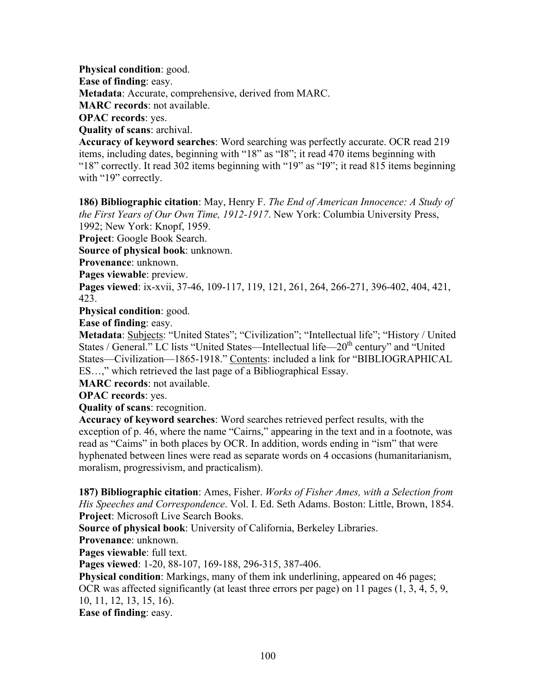**Physical condition**: good. **Ease of finding**: easy. **Metadata**: Accurate, comprehensive, derived from MARC. **MARC records**: not available. **OPAC records**: yes. **Quality of scans**: archival.

**Accuracy of keyword searches**: Word searching was perfectly accurate. OCR read 219 items, including dates, beginning with "18" as "I8"; it read 470 items beginning with "18" correctly. It read 302 items beginning with "19" as "I9"; it read 815 items beginning with "19" correctly.

**186) Bibliographic citation**: May, Henry F. *The End of American Innocence: A Study of the First Years of Our Own Time, 1912-1917*. New York: Columbia University Press, 1992; New York: Knopf, 1959.

**Project**: Google Book Search.

**Source of physical book**: unknown.

**Provenance**: unknown.

**Pages viewable**: preview.

**Pages viewed**: ix-xvii, 37-46, 109-117, 119, 121, 261, 264, 266-271, 396-402, 404, 421, 423.

**Physical condition**: good.

**Ease of finding**: easy.

Metadata: Subjects: "United States"; "Civilization"; "Intellectual life"; "History / United States / General." LC lists "United States—Intellectual life—20<sup>th</sup> century" and "United States—Civilization—1865-1918." Contents: included a link for "BIBLIOGRAPHICAL ES…," which retrieved the last page of a Bibliographical Essay.

**MARC records**: not available.

**OPAC records**: yes.

**Quality of scans**: recognition.

**Accuracy of keyword searches**: Word searches retrieved perfect results, with the exception of p. 46, where the name "Cairns," appearing in the text and in a footnote, was read as "Caims" in both places by OCR. In addition, words ending in "ism" that were hyphenated between lines were read as separate words on 4 occasions (humanitarianism, moralism, progressivism, and practicalism).

**187) Bibliographic citation**: Ames, Fisher. *Works of Fisher Ames, with a Selection from His Speeches and Correspondence*. Vol. I. Ed. Seth Adams. Boston: Little, Brown, 1854. **Project**: Microsoft Live Search Books.

**Source of physical book**: University of California, Berkeley Libraries.

**Provenance**: unknown.

**Pages viewable**: full text.

**Pages viewed**: 1-20, 88-107, 169-188, 296-315, 387-406.

**Physical condition**: Markings, many of them ink underlining, appeared on 46 pages; OCR was affected significantly (at least three errors per page) on 11 pages (1, 3, 4, 5, 9, 10, 11, 12, 13, 15, 16).

**Ease of finding**: easy.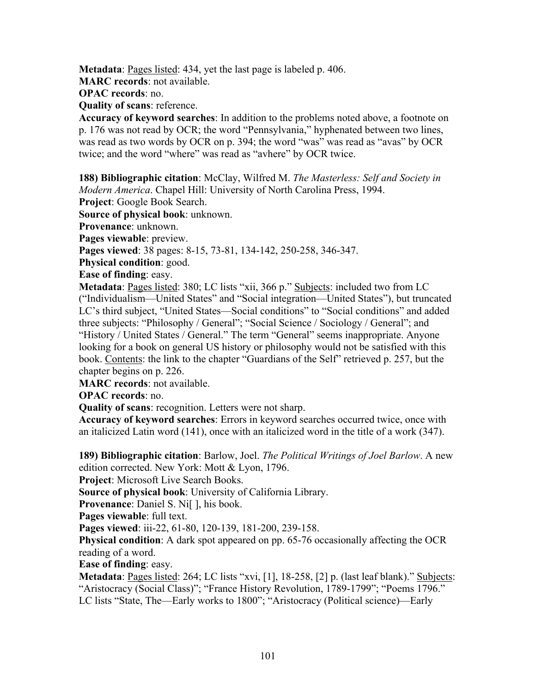**Metadata**: Pages listed: 434, yet the last page is labeled p. 406.

**MARC records**: not available.

**OPAC records**: no.

**Quality of scans**: reference.

**Accuracy of keyword searches**: In addition to the problems noted above, a footnote on p. 176 was not read by OCR; the word "Pennsylvania," hyphenated between two lines, was read as two words by OCR on p. 394; the word "was" was read as "avas" by OCR twice; and the word "where" was read as "avhere" by OCR twice.

**188) Bibliographic citation**: McClay, Wilfred M. *The Masterless: Self and Society in Modern America*. Chapel Hill: University of North Carolina Press, 1994. **Project**: Google Book Search.

**Source of physical book**: unknown.

**Provenance**: unknown.

**Pages viewable**: preview.

**Pages viewed**: 38 pages: 8-15, 73-81, 134-142, 250-258, 346-347.

**Physical condition**: good.

**Ease of finding**: easy.

**Metadata**: Pages listed: 380; LC lists "xii, 366 p." Subjects: included two from LC ("Individualism—United States" and "Social integration—United States"), but truncated LC's third subject, "United States—Social conditions" to "Social conditions" and added three subjects: "Philosophy / General"; "Social Science / Sociology / General"; and "History / United States / General." The term "General" seems inappropriate. Anyone looking for a book on general US history or philosophy would not be satisfied with this book. Contents: the link to the chapter "Guardians of the Self" retrieved p. 257, but the chapter begins on p. 226.

**MARC records**: not available.

**OPAC records**: no.

**Quality of scans**: recognition. Letters were not sharp.

**Accuracy of keyword searches**: Errors in keyword searches occurred twice, once with an italicized Latin word (141), once with an italicized word in the title of a work (347).

**189) Bibliographic citation**: Barlow, Joel. *The Political Writings of Joel Barlow*. A new edition corrected. New York: Mott & Lyon, 1796.

**Project**: Microsoft Live Search Books.

**Source of physical book**: University of California Library.

**Provenance:** Daniel S. Ni[], his book.

**Pages viewable**: full text.

**Pages viewed**: iii-22, 61-80, 120-139, 181-200, 239-158.

**Physical condition**: A dark spot appeared on pp. 65-76 occasionally affecting the OCR reading of a word.

**Ease of finding**: easy.

Metadata: Pages listed: 264; LC lists "xvi, [1], 18-258, [2] p. (last leaf blank)." Subjects: "Aristocracy (Social Class)"; "France History Revolution, 1789-1799"; "Poems 1796." LC lists "State, The—Early works to 1800"; "Aristocracy (Political science)—Early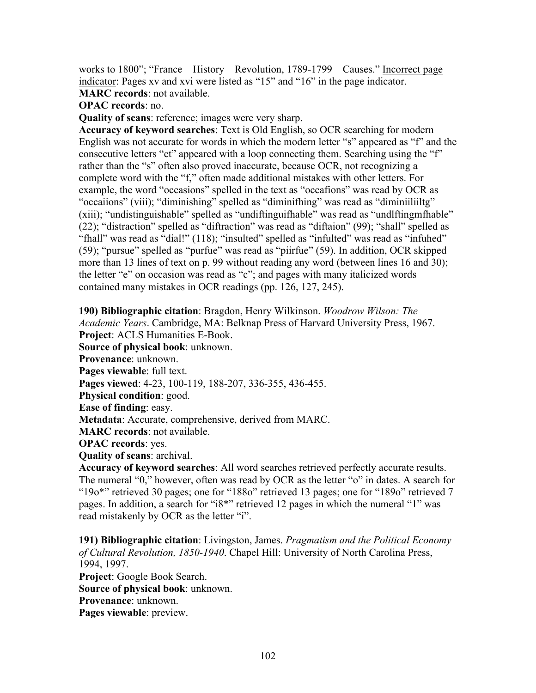works to 1800"; "France—History—Revolution, 1789-1799—Causes." Incorrect page indicator: Pages xv and xvi were listed as "15" and "16" in the page indicator.

**MARC records**: not available.

**OPAC records**: no.

**Quality of scans**: reference; images were very sharp.

**Accuracy of keyword searches**: Text is Old English, so OCR searching for modern English was not accurate for words in which the modern letter "s" appeared as "f" and the consecutive letters "ct" appeared with a loop connecting them. Searching using the "f" rather than the "s" often also proved inaccurate, because OCR, not recognizing a complete word with the "f," often made additional mistakes with other letters. For example, the word "occasions" spelled in the text as "occafions" was read by OCR as "occaiions" (viii); "diminishing" spelled as "diminifhing" was read as "diminiiliiltg" (xiii); "undistinguishable" spelled as "undiftinguifhable" was read as "undlftingmfhable" (22); "distraction" spelled as "diftraction" was read as "diftaion" (99); "shall" spelled as "fhall" was read as "dial!" (118); "insulted" spelled as "infulted" was read as "infuhed" (59); "pursue" spelled as "purfue" was read as "piirfue" (59). In addition, OCR skipped more than 13 lines of text on p. 99 without reading any word (between lines 16 and 30); the letter "e" on occasion was read as "c"; and pages with many italicized words contained many mistakes in OCR readings (pp. 126, 127, 245).

**190) Bibliographic citation**: Bragdon, Henry Wilkinson. *Woodrow Wilson: The Academic Years*. Cambridge, MA: Belknap Press of Harvard University Press, 1967.

**Project**: ACLS Humanities E-Book.

**Source of physical book**: unknown.

**Provenance**: unknown.

**Pages viewable**: full text.

**Pages viewed**: 4-23, 100-119, 188-207, 336-355, 436-455.

**Physical condition**: good.

**Ease of finding**: easy.

**Metadata**: Accurate, comprehensive, derived from MARC.

**MARC records**: not available.

**OPAC records**: yes.

**Quality of scans**: archival.

**Accuracy of keyword searches**: All word searches retrieved perfectly accurate results. The numeral "0," however, often was read by OCR as the letter "o" in dates. A search for "19o\*" retrieved 30 pages; one for "188o" retrieved 13 pages; one for "189o" retrieved 7 pages. In addition, a search for "i8\*" retrieved 12 pages in which the numeral "1" was read mistakenly by OCR as the letter "i".

**191) Bibliographic citation**: Livingston, James. *Pragmatism and the Political Economy of Cultural Revolution, 1850-1940*. Chapel Hill: University of North Carolina Press, 1994, 1997. **Project**: Google Book Search. **Source of physical book**: unknown. **Provenance**: unknown. **Pages viewable**: preview.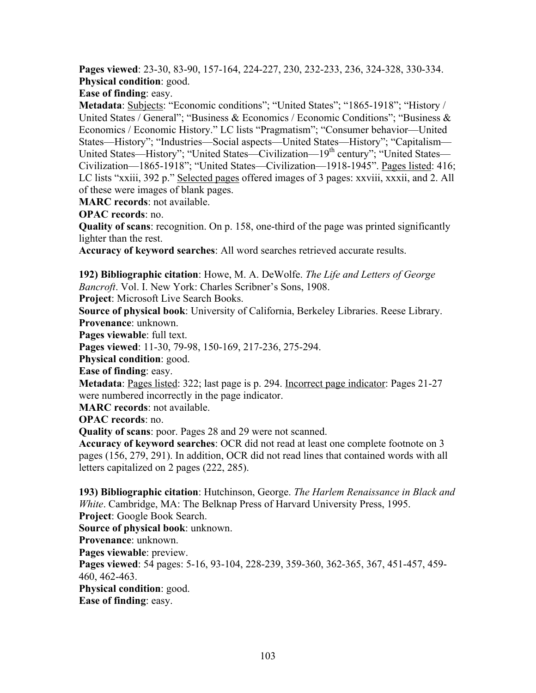**Pages viewed**: 23-30, 83-90, 157-164, 224-227, 230, 232-233, 236, 324-328, 330-334. **Physical condition**: good.

**Ease of finding**: easy.

**Metadata**: **Subjects**: "Economic conditions"; "United States"; "1865-1918"; "History / United States / General"; "Business & Economics / Economic Conditions"; "Business & Economics / Economic History." LC lists "Pragmatism"; "Consumer behavior—United States—History"; "Industries—Social aspects—United States—History"; "Capitalism— United States—History"; "United States—Civilization—19<sup>th</sup> century"; "United States— Civilization—1865-1918"; "United States—Civilization—1918-1945". Pages listed: 416; LC lists "xxiii, 392 p." Selected pages offered images of 3 pages: xxviii, xxxii, and 2. All of these were images of blank pages.

**MARC records**: not available.

**OPAC records**: no.

**Quality of scans**: recognition. On p. 158, one-third of the page was printed significantly lighter than the rest.

**Accuracy of keyword searches**: All word searches retrieved accurate results.

**192) Bibliographic citation**: Howe, M. A. DeWolfe. *The Life and Letters of George Bancroft*. Vol. I. New York: Charles Scribner's Sons, 1908.

**Project**: Microsoft Live Search Books.

**Source of physical book**: University of California, Berkeley Libraries. Reese Library. **Provenance**: unknown.

**Pages viewable**: full text.

**Pages viewed**: 11-30, 79-98, 150-169, 217-236, 275-294.

**Physical condition**: good.

**Ease of finding**: easy.

**Metadata**: Pages listed: 322; last page is p. 294. Incorrect page indicator: Pages 21-27 were numbered incorrectly in the page indicator.

**MARC records**: not available.

**OPAC records**: no.

**Quality of scans**: poor. Pages 28 and 29 were not scanned.

**Accuracy of keyword searches**: OCR did not read at least one complete footnote on 3 pages (156, 279, 291). In addition, OCR did not read lines that contained words with all letters capitalized on 2 pages (222, 285).

**193) Bibliographic citation**: Hutchinson, George. *The Harlem Renaissance in Black and White*. Cambridge, MA: The Belknap Press of Harvard University Press, 1995. **Project**: Google Book Search. **Source of physical book**: unknown. **Provenance**: unknown. **Pages viewable**: preview. **Pages viewed**: 54 pages: 5-16, 93-104, 228-239, 359-360, 362-365, 367, 451-457, 459- 460, 462-463. **Physical condition**: good. **Ease of finding**: easy.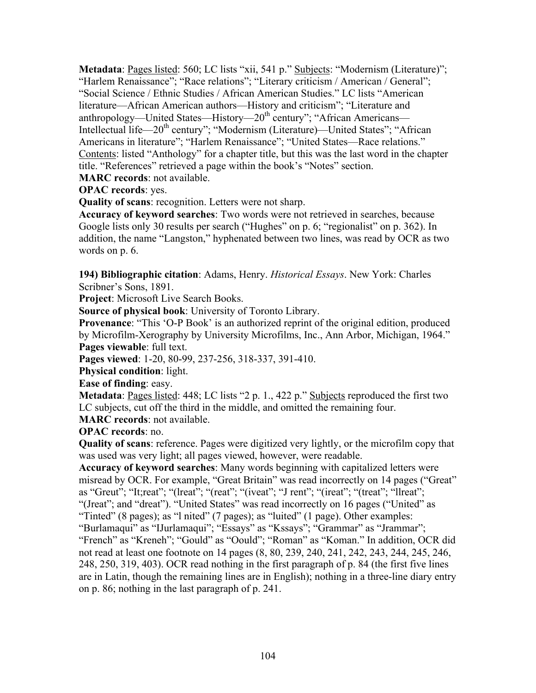**Metadata**: Pages listed: 560; LC lists "xii, 541 p." Subjects: "Modernism (Literature)"; "Harlem Renaissance"; "Race relations"; "Literary criticism / American / General"; "Social Science / Ethnic Studies / African American Studies." LC lists "American literature—African American authors—History and criticism"; "Literature and anthropology—United States—History—20<sup>th</sup> century"; "African Americans— Intellectual life—20th century"; "Modernism (Literature)—United States"; "African Americans in literature"; "Harlem Renaissance"; "United States—Race relations." Contents: listed "Anthology" for a chapter title, but this was the last word in the chapter title. "References" retrieved a page within the book's "Notes" section.

**MARC records**: not available.

**OPAC records**: yes.

**Quality of scans**: recognition. Letters were not sharp.

**Accuracy of keyword searches**: Two words were not retrieved in searches, because Google lists only 30 results per search ("Hughes" on p. 6; "regionalist" on p. 362). In addition, the name "Langston," hyphenated between two lines, was read by OCR as two words on p. 6.

**194) Bibliographic citation**: Adams, Henry. *Historical Essays*. New York: Charles Scribner's Sons, 1891.

**Project**: Microsoft Live Search Books.

**Source of physical book**: University of Toronto Library.

**Provenance**: "This 'O-P Book' is an authorized reprint of the original edition, produced by Microfilm-Xerography by University Microfilms, Inc., Ann Arbor, Michigan, 1964." **Pages viewable**: full text.

**Pages viewed**: 1-20, 80-99, 237-256, 318-337, 391-410.

**Physical condition**: light.

**Ease of finding**: easy.

**Metadata**: Pages listed: 448; LC lists "2 p. 1., 422 p." Subjects reproduced the first two LC subjects, cut off the third in the middle, and omitted the remaining four.

**MARC records**: not available.

**OPAC records**: no.

**Quality of scans**: reference. Pages were digitized very lightly, or the microfilm copy that was used was very light; all pages viewed, however, were readable.

**Accuracy of keyword searches**: Many words beginning with capitalized letters were misread by OCR. For example, "Great Britain" was read incorrectly on 14 pages ("Great" as "Greut"; "It;reat"; "(lreat"; "(reat"; "(iveat"; "J rent"; "(ireat"; "(treat"; "llreat"; "(Jreat"; and "dreat"). "United States" was read incorrectly on 16 pages ("United" as "Tinted" (8 pages); as "l nited" (7 pages); as "luited" (1 page). Other examples: "Burlamaqui" as "IJurlamaqui"; "Essays" as "Kssays"; "Grammar" as "Jrammar"; "French" as "Kreneh"; "Gould" as "Oould"; "Roman" as "Koman." In addition, OCR did not read at least one footnote on 14 pages (8, 80, 239, 240, 241, 242, 243, 244, 245, 246, 248, 250, 319, 403). OCR read nothing in the first paragraph of p. 84 (the first five lines are in Latin, though the remaining lines are in English); nothing in a three-line diary entry on p. 86; nothing in the last paragraph of p. 241.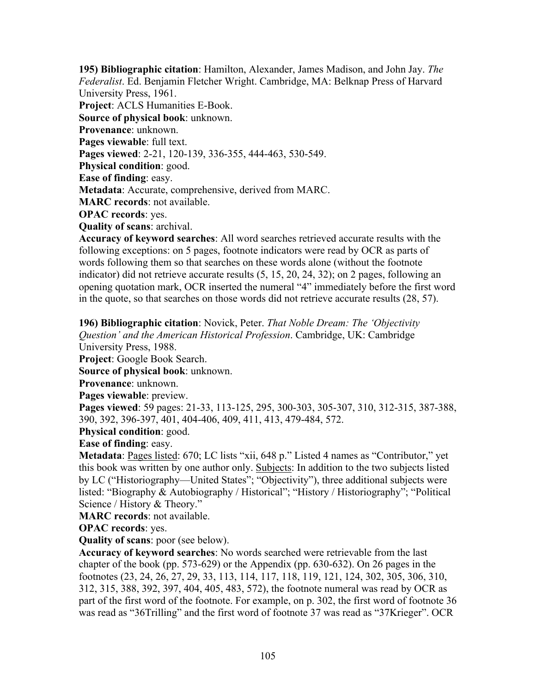**195) Bibliographic citation**: Hamilton, Alexander, James Madison, and John Jay. *The Federalist*. Ed. Benjamin Fletcher Wright. Cambridge, MA: Belknap Press of Harvard University Press, 1961.

**Project**: ACLS Humanities E-Book.

**Source of physical book**: unknown.

**Provenance**: unknown.

**Pages viewable**: full text.

**Pages viewed**: 2-21, 120-139, 336-355, 444-463, 530-549.

**Physical condition**: good.

**Ease of finding**: easy.

**Metadata**: Accurate, comprehensive, derived from MARC.

**MARC records**: not available.

**OPAC records**: yes.

**Quality of scans**: archival.

**Accuracy of keyword searches**: All word searches retrieved accurate results with the following exceptions: on 5 pages, footnote indicators were read by OCR as parts of words following them so that searches on these words alone (without the footnote indicator) did not retrieve accurate results (5, 15, 20, 24, 32); on 2 pages, following an opening quotation mark, OCR inserted the numeral "4" immediately before the first word in the quote, so that searches on those words did not retrieve accurate results (28, 57).

**196) Bibliographic citation**: Novick, Peter. *That Noble Dream: The 'Objectivity Question' and the American Historical Profession*. Cambridge, UK: Cambridge

University Press, 1988.

**Project**: Google Book Search.

**Source of physical book**: unknown.

**Provenance**: unknown.

**Pages viewable**: preview.

**Pages viewed**: 59 pages: 21-33, 113-125, 295, 300-303, 305-307, 310, 312-315, 387-388, 390, 392, 396-397, 401, 404-406, 409, 411, 413, 479-484, 572.

**Physical condition**: good.

**Ease of finding**: easy.

**Metadata**: <u>Pages listed</u>: 670; LC lists "xii, 648 p." Listed 4 names as "Contributor," yet this book was written by one author only. Subjects: In addition to the two subjects listed by LC ("Historiography—United States"; "Objectivity"), three additional subjects were listed: "Biography & Autobiography / Historical"; "History / Historiography"; "Political Science / History & Theory."

**MARC records**: not available.

**OPAC records**: yes.

**Quality of scans**: poor (see below).

**Accuracy of keyword searches**: No words searched were retrievable from the last chapter of the book (pp. 573-629) or the Appendix (pp. 630-632). On 26 pages in the footnotes (23, 24, 26, 27, 29, 33, 113, 114, 117, 118, 119, 121, 124, 302, 305, 306, 310, 312, 315, 388, 392, 397, 404, 405, 483, 572), the footnote numeral was read by OCR as part of the first word of the footnote. For example, on p. 302, the first word of footnote 36 was read as "36Trilling" and the first word of footnote 37 was read as "37Krieger". OCR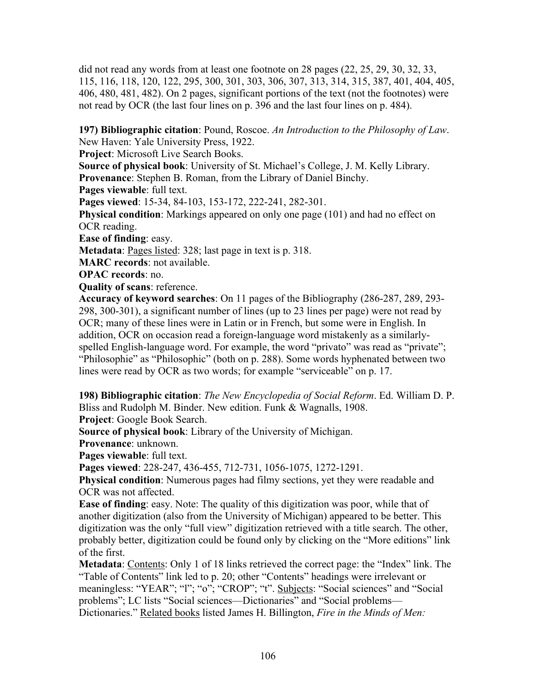did not read any words from at least one footnote on 28 pages (22, 25, 29, 30, 32, 33, 115, 116, 118, 120, 122, 295, 300, 301, 303, 306, 307, 313, 314, 315, 387, 401, 404, 405, 406, 480, 481, 482). On 2 pages, significant portions of the text (not the footnotes) were not read by OCR (the last four lines on p. 396 and the last four lines on p. 484).

**197) Bibliographic citation**: Pound, Roscoe. *An Introduction to the Philosophy of Law*. New Haven: Yale University Press, 1922.

**Project**: Microsoft Live Search Books.

**Source of physical book**: University of St. Michael's College, J. M. Kelly Library. **Provenance**: Stephen B. Roman, from the Library of Daniel Binchy.

**Pages viewable**: full text.

**Pages viewed**: 15-34, 84-103, 153-172, 222-241, 282-301.

**Physical condition**: Markings appeared on only one page (101) and had no effect on OCR reading.

**Ease of finding**: easy.

**Metadata**: Pages listed: 328; last page in text is p. 318.

**MARC records**: not available.

**OPAC records**: no.

**Quality of scans**: reference.

**Accuracy of keyword searches**: On 11 pages of the Bibliography (286-287, 289, 293- 298, 300-301), a significant number of lines (up to 23 lines per page) were not read by OCR; many of these lines were in Latin or in French, but some were in English. In addition, OCR on occasion read a foreign-language word mistakenly as a similarlyspelled English-language word. For example, the word "privato" was read as "private"; "Philosophie" as "Philosophic" (both on p. 288). Some words hyphenated between two lines were read by OCR as two words; for example "serviceable" on p. 17.

**198) Bibliographic citation**: *The New Encyclopedia of Social Reform*. Ed. William D. P. Bliss and Rudolph M. Binder. New edition. Funk & Wagnalls, 1908. **Project**: Google Book Search.

**Source of physical book**: Library of the University of Michigan.

**Provenance**: unknown.

**Pages viewable**: full text.

**Pages viewed**: 228-247, 436-455, 712-731, 1056-1075, 1272-1291.

**Physical condition**: Numerous pages had filmy sections, yet they were readable and OCR was not affected.

**Ease of finding**: easy. Note: The quality of this digitization was poor, while that of another digitization (also from the University of Michigan) appeared to be better. This digitization was the only "full view" digitization retrieved with a title search. The other, probably better, digitization could be found only by clicking on the "More editions" link of the first.

**Metadata**: Contents: Only 1 of 18 links retrieved the correct page: the "Index" link. The "Table of Contents" link led to p. 20; other "Contents" headings were irrelevant or meaningless: "YEAR"; "l"; "o"; "CROP"; "t". Subjects: "Social sciences" and "Social problems"; LC lists "Social sciences—Dictionaries" and "Social problems— Dictionaries." Related books listed James H. Billington, *Fire in the Minds of Men:*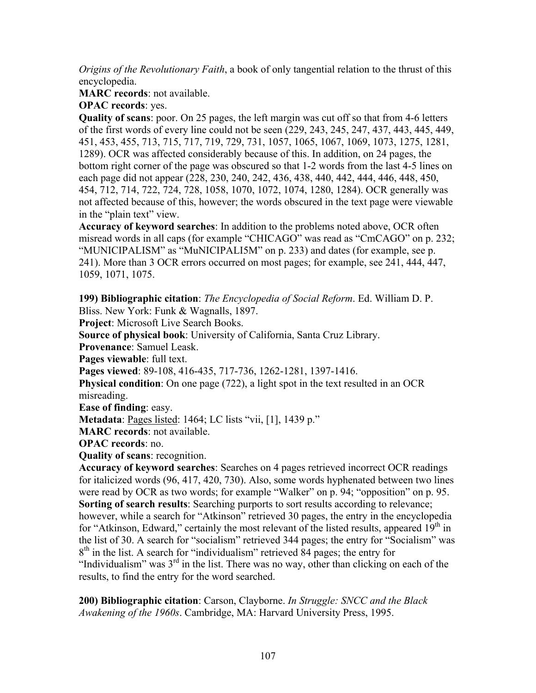*Origins of the Revolutionary Faith*, a book of only tangential relation to the thrust of this encyclopedia.

**MARC records**: not available.

**OPAC records**: yes.

**Quality of scans**: poor. On 25 pages, the left margin was cut off so that from 4-6 letters of the first words of every line could not be seen (229, 243, 245, 247, 437, 443, 445, 449, 451, 453, 455, 713, 715, 717, 719, 729, 731, 1057, 1065, 1067, 1069, 1073, 1275, 1281, 1289). OCR was affected considerably because of this. In addition, on 24 pages, the bottom right corner of the page was obscured so that 1-2 words from the last 4-5 lines on each page did not appear (228, 230, 240, 242, 436, 438, 440, 442, 444, 446, 448, 450, 454, 712, 714, 722, 724, 728, 1058, 1070, 1072, 1074, 1280, 1284). OCR generally was not affected because of this, however; the words obscured in the text page were viewable in the "plain text" view.

**Accuracy of keyword searches**: In addition to the problems noted above, OCR often misread words in all caps (for example "CHICAGO" was read as "CmCAGO" on p. 232; "MUNICIPALISM" as "MuNICIPALI5M" on p. 233) and dates (for example, see p. 241). More than 3 OCR errors occurred on most pages; for example, see 241, 444, 447, 1059, 1071, 1075.

**199) Bibliographic citation**: *The Encyclopedia of Social Reform*. Ed. William D. P.

Bliss. New York: Funk & Wagnalls, 1897.

**Project**: Microsoft Live Search Books.

**Source of physical book**: University of California, Santa Cruz Library.

**Provenance**: Samuel Leask.

**Pages viewable**: full text.

**Pages viewed**: 89-108, 416-435, 717-736, 1262-1281, 1397-1416.

**Physical condition**: On one page (722), a light spot in the text resulted in an OCR misreading.

**Ease of finding**: easy.

**Metadata**: Pages listed: 1464; LC lists "vii, [1], 1439 p."

**MARC records**: not available.

**OPAC records**: no.

**Quality of scans**: recognition.

**Accuracy of keyword searches**: Searches on 4 pages retrieved incorrect OCR readings for italicized words (96, 417, 420, 730). Also, some words hyphenated between two lines were read by OCR as two words; for example "Walker" on p. 94; "opposition" on p. 95. **Sorting of search results**: Searching purports to sort results according to relevance; however, while a search for "Atkinson" retrieved 30 pages, the entry in the encyclopedia for "Atkinson, Edward," certainly the most relevant of the listed results, appeared  $19<sup>th</sup>$  in the list of 30. A search for "socialism" retrieved 344 pages; the entry for "Socialism" was  $8<sup>th</sup>$  in the list. A search for "individualism" retrieved 84 pages; the entry for "Individualism" was  $3<sup>rd</sup>$  in the list. There was no way, other than clicking on each of the results, to find the entry for the word searched.

**200) Bibliographic citation**: Carson, Clayborne. *In Struggle: SNCC and the Black Awakening of the 1960s*. Cambridge, MA: Harvard University Press, 1995.